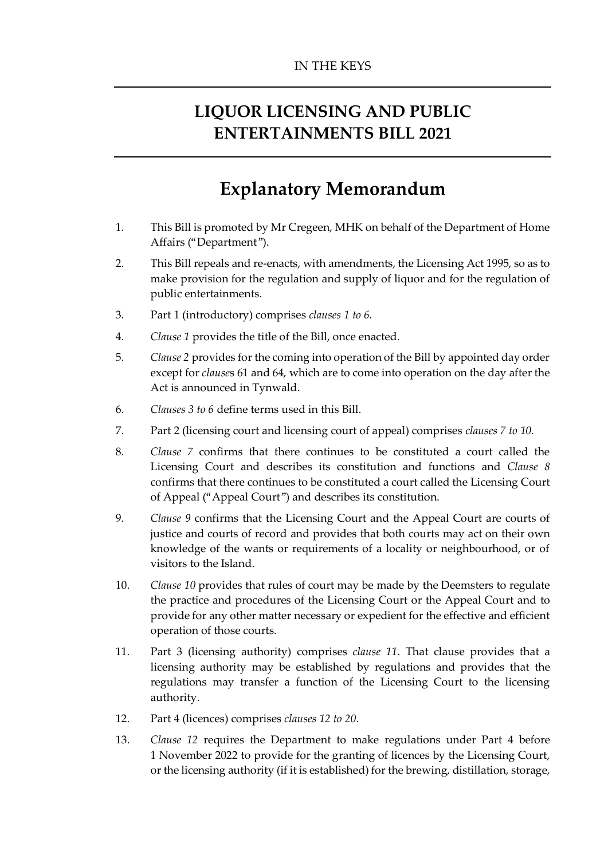# **LIQUOR LICENSING AND PUBLIC ENTERTAINMENTS BILL 2021**

# **Explanatory Memorandum**

- 1. This Bill is promoted by Mr Cregeen, MHK on behalf of the Department of Home Affairs ("Department").
- 2. This Bill repeals and re-enacts, with amendments, the Licensing Act 1995, so as to make provision for the regulation and supply of liquor and for the regulation of public entertainments.
- 3. Part 1 (introductory) comprises *clauses 1 to 6.*
- 4. *Clause 1* provides the title of the Bill, once enacted.
- 5. *Clause 2* provides for the coming into operation of the Bill by appointed day order except for *clause*s 61 and 64, which are to come into operation on the day after the Act is announced in Tynwald.
- 6. *Clauses 3 to 6* define terms used in this Bill.
- 7. Part 2 (licensing court and licensing court of appeal) comprises *clauses 7 to 10.*
- 8. *Clause 7* confirms that there continues to be constituted a court called the Licensing Court and describes its constitution and functions and *Clause 8* confirms that there continues to be constituted a court called the Licensing Court of Appeal ("Appeal Court") and describes its constitution.
- 9. *Clause 9* confirms that the Licensing Court and the Appeal Court are courts of justice and courts of record and provides that both courts may act on their own knowledge of the wants or requirements of a locality or neighbourhood, or of visitors to the Island.
- 10. *Clause 10* provides that rules of court may be made by the Deemsters to regulate the practice and procedures of the Licensing Court or the Appeal Court and to provide for any other matter necessary or expedient for the effective and efficient operation of those courts.
- 11. Part 3 (licensing authority) comprises *clause 11*. That clause provides that a licensing authority may be established by regulations and provides that the regulations may transfer a function of the Licensing Court to the licensing authority.
- 12. Part 4 (licences) comprises *clauses 12 to 20*.
- 13. *Clause 12* requires the Department to make regulations under Part 4 before 1 November 2022 to provide for the granting of licences by the Licensing Court, or the licensing authority (if it is established) for the brewing, distillation, storage,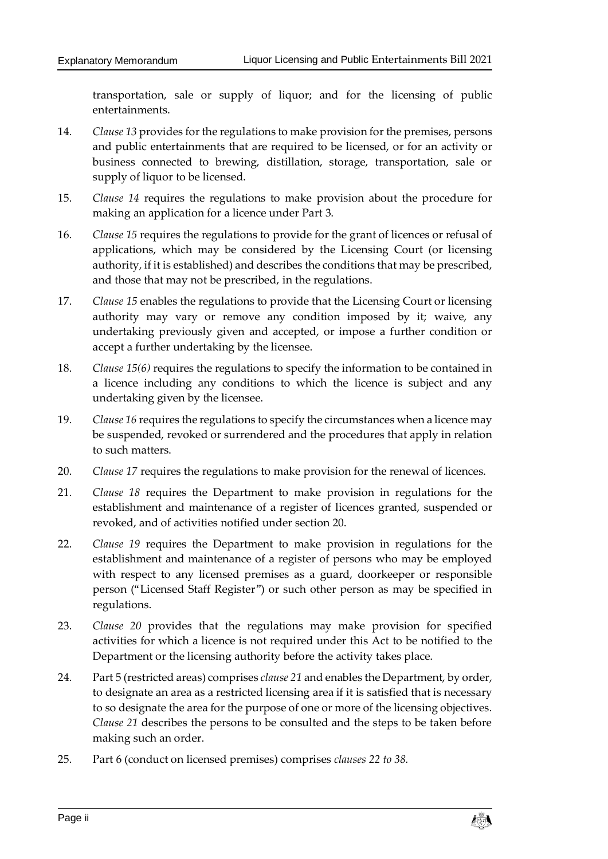transportation, sale or supply of liquor; and for the licensing of public entertainments.

- 14. *Clause 13* provides for the regulations to make provision for the premises, persons and public entertainments that are required to be licensed, or for an activity or business connected to brewing, distillation, storage, transportation, sale or supply of liquor to be licensed.
- 15. *Clause 14* requires the regulations to make provision about the procedure for making an application for a licence under Part 3.
- 16. *Clause 15* requires the regulations to provide for the grant of licences or refusal of applications, which may be considered by the Licensing Court (or licensing authority, if it is established) and describes the conditions that may be prescribed, and those that may not be prescribed, in the regulations.
- 17. *Clause 15* enables the regulations to provide that the Licensing Court or licensing authority may vary or remove any condition imposed by it; waive, any undertaking previously given and accepted, or impose a further condition or accept a further undertaking by the licensee.
- 18. *Clause 15(6)* requires the regulations to specify the information to be contained in a licence including any conditions to which the licence is subject and any undertaking given by the licensee.
- 19. *Clause 16* requires the regulations to specify the circumstances when a licence may be suspended, revoked or surrendered and the procedures that apply in relation to such matters.
- 20. *Clause 17* requires the regulations to make provision for the renewal of licences.
- 21. *Clause 18* requires the Department to make provision in regulations for the establishment and maintenance of a register of licences granted, suspended or revoked, and of activities notified under section 20.
- 22. *Clause 19* requires the Department to make provision in regulations for the establishment and maintenance of a register of persons who may be employed with respect to any licensed premises as a guard, doorkeeper or responsible person ("Licensed Staff Register") or such other person as may be specified in regulations.
- 23. *Clause 20* provides that the regulations may make provision for specified activities for which a licence is not required under this Act to be notified to the Department or the licensing authority before the activity takes place.
- 24. Part 5 (restricted areas) comprises *clause 21* and enables the Department, by order, to designate an area as a restricted licensing area if it is satisfied that is necessary to so designate the area for the purpose of one or more of the licensing objectives. *Clause 21* describes the persons to be consulted and the steps to be taken before making such an order.
- 25. Part 6 (conduct on licensed premises) comprises *clauses 22 to 38.*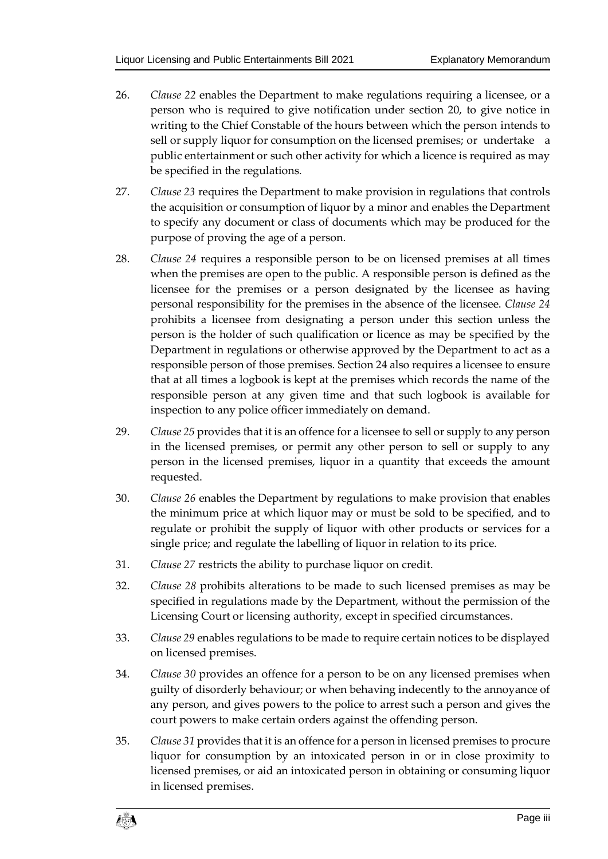- 26. *Clause 22* enables the Department to make regulations requiring a licensee, or a person who is required to give notification under section 20, to give notice in writing to the Chief Constable of the hours between which the person intends to sell or supply liquor for consumption on the licensed premises; or undertake a public entertainment or such other activity for which a licence is required as may be specified in the regulations.
- 27. *Clause 23* requires the Department to make provision in regulations that controls the acquisition or consumption of liquor by a minor and enables the Department to specify any document or class of documents which may be produced for the purpose of proving the age of a person.
- 28. *Clause 24* requires a responsible person to be on licensed premises at all times when the premises are open to the public. A responsible person is defined as the licensee for the premises or a person designated by the licensee as having personal responsibility for the premises in the absence of the licensee. *Clause 24*  prohibits a licensee from designating a person under this section unless the person is the holder of such qualification or licence as may be specified by the Department in regulations or otherwise approved by the Department to act as a responsible person of those premises. Section 24 also requires a licensee to ensure that at all times a logbook is kept at the premises which records the name of the responsible person at any given time and that such logbook is available for inspection to any police officer immediately on demand.
- 29. *Clause 25* provides that it is an offence for a licensee to sell or supply to any person in the licensed premises, or permit any other person to sell or supply to any person in the licensed premises, liquor in a quantity that exceeds the amount requested.
- 30. *Clause 26* enables the Department by regulations to make provision that enables the minimum price at which liquor may or must be sold to be specified, and to regulate or prohibit the supply of liquor with other products or services for a single price; and regulate the labelling of liquor in relation to its price.
- 31. *Clause 27* restricts the ability to purchase liquor on credit.
- 32. *Clause 28* prohibits alterations to be made to such licensed premises as may be specified in regulations made by the Department, without the permission of the Licensing Court or licensing authority, except in specified circumstances.
- 33. *Clause 29* enables regulations to be made to require certain notices to be displayed on licensed premises.
- 34. *Clause 30* provides an offence for a person to be on any licensed premises when guilty of disorderly behaviour; or when behaving indecently to the annoyance of any person, and gives powers to the police to arrest such a person and gives the court powers to make certain orders against the offending person.
- 35. *Clause 31* provides that it is an offence for a person in licensed premises to procure liquor for consumption by an intoxicated person in or in close proximity to licensed premises, or aid an intoxicated person in obtaining or consuming liquor in licensed premises.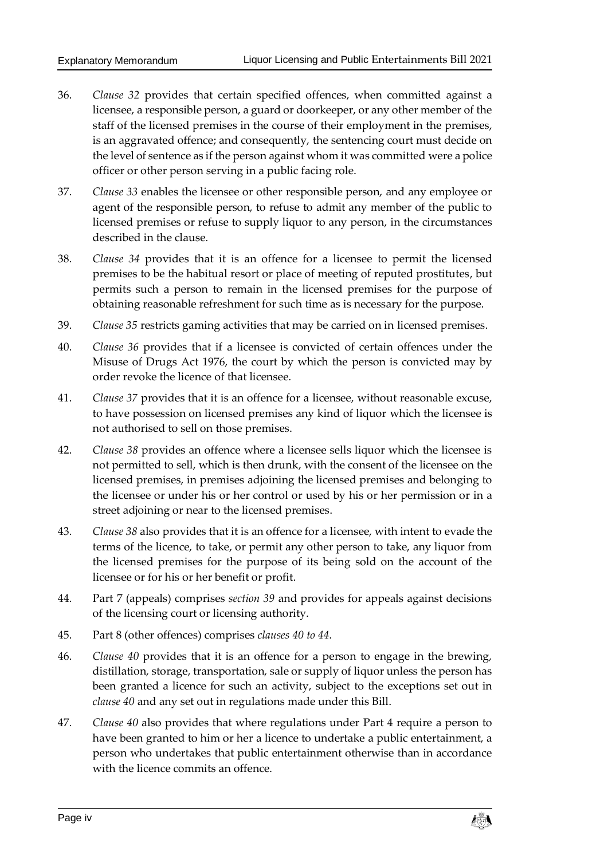- 36. *Clause 32* provides that certain specified offences, when committed against a licensee, a responsible person, a guard or doorkeeper, or any other member of the staff of the licensed premises in the course of their employment in the premises, is an aggravated offence; and consequently, the sentencing court must decide on the level of sentence as if the person against whom it was committed were a police officer or other person serving in a public facing role.
- 37. *Clause 33* enables the licensee or other responsible person, and any employee or agent of the responsible person, to refuse to admit any member of the public to licensed premises or refuse to supply liquor to any person, in the circumstances described in the clause.
- 38. *Clause 34* provides that it is an offence for a licensee to permit the licensed premises to be the habitual resort or place of meeting of reputed prostitutes, but permits such a person to remain in the licensed premises for the purpose of obtaining reasonable refreshment for such time as is necessary for the purpose.
- 39. *Clause 35* restricts gaming activities that may be carried on in licensed premises.
- 40. *Clause 36* provides that if a licensee is convicted of certain offences under the Misuse of Drugs Act 1976, the court by which the person is convicted may by order revoke the licence of that licensee.
- 41. *Clause 37* provides that it is an offence for a licensee, without reasonable excuse, to have possession on licensed premises any kind of liquor which the licensee is not authorised to sell on those premises.
- 42. *Clause 38* provides an offence where a licensee sells liquor which the licensee is not permitted to sell, which is then drunk, with the consent of the licensee on the licensed premises, in premises adjoining the licensed premises and belonging to the licensee or under his or her control or used by his or her permission or in a street adjoining or near to the licensed premises.
- 43. *Clause 38* also provides that it is an offence for a licensee, with intent to evade the terms of the licence, to take, or permit any other person to take, any liquor from the licensed premises for the purpose of its being sold on the account of the licensee or for his or her benefit or profit.
- 44. Part 7 (appeals) comprises *section 39* and provides for appeals against decisions of the licensing court or licensing authority.
- 45. Part 8 (other offences) comprises *clauses 40 to 44*.
- 46. *Clause 40* provides that it is an offence for a person to engage in the brewing, distillation, storage, transportation, sale or supply of liquor unless the person has been granted a licence for such an activity, subject to the exceptions set out in *clause 40* and any set out in regulations made under this Bill.
- 47. *Clause 40* also provides that where regulations under Part 4 require a person to have been granted to him or her a licence to undertake a public entertainment, a person who undertakes that public entertainment otherwise than in accordance with the licence commits an offence

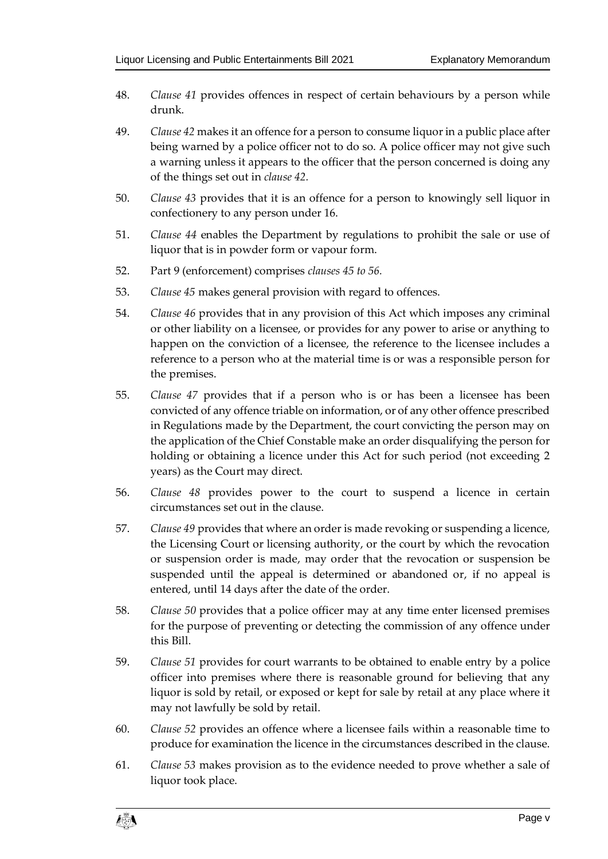- 48. *Clause 41* provides offences in respect of certain behaviours by a person while drunk.
- 49. *Clause 42* makes it an offence for a person to consume liquor in a public place after being warned by a police officer not to do so. A police officer may not give such a warning unless it appears to the officer that the person concerned is doing any of the things set out in *clause 42.*
- 50. *Clause 43* provides that it is an offence for a person to knowingly sell liquor in confectionery to any person under 16.
- 51. *Clause 44* enables the Department by regulations to prohibit the sale or use of liquor that is in powder form or vapour form.
- 52. Part 9 (enforcement) comprises *clauses 45 to 56.*
- 53. *Clause 45* makes general provision with regard to offences.
- 54. *Clause 46* provides that in any provision of this Act which imposes any criminal or other liability on a licensee, or provides for any power to arise or anything to happen on the conviction of a licensee, the reference to the licensee includes a reference to a person who at the material time is or was a responsible person for the premises.
- 55. *Clause 47* provides that if a person who is or has been a licensee has been convicted of any offence triable on information, or of any other offence prescribed in Regulations made by the Department, the court convicting the person may on the application of the Chief Constable make an order disqualifying the person for holding or obtaining a licence under this Act for such period (not exceeding 2 years) as the Court may direct.
- 56. *Clause 48* provides power to the court to suspend a licence in certain circumstances set out in the clause.
- 57. *Clause 49* provides that where an order is made revoking or suspending a licence, the Licensing Court or licensing authority, or the court by which the revocation or suspension order is made, may order that the revocation or suspension be suspended until the appeal is determined or abandoned or, if no appeal is entered, until 14 days after the date of the order.
- 58. *Clause 50* provides that a police officer may at any time enter licensed premises for the purpose of preventing or detecting the commission of any offence under this Bill.
- 59. *Clause 51* provides for court warrants to be obtained to enable entry by a police officer into premises where there is reasonable ground for believing that any liquor is sold by retail, or exposed or kept for sale by retail at any place where it may not lawfully be sold by retail.
- 60. *Clause 52* provides an offence where a licensee fails within a reasonable time to produce for examination the licence in the circumstances described in the clause.
- 61. *Clause 53* makes provision as to the evidence needed to prove whether a sale of liquor took place.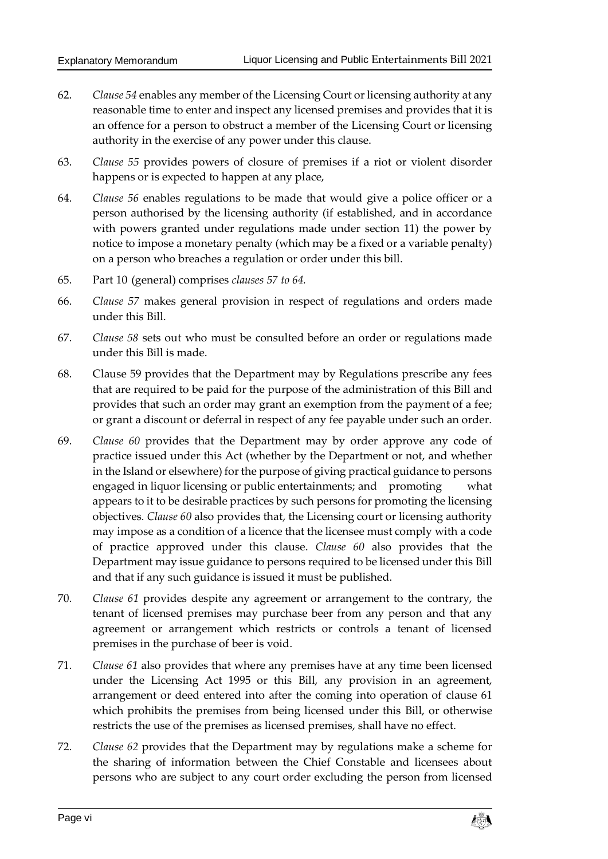- 62. *Clause 54* enables any member of the Licensing Court or licensing authority at any reasonable time to enter and inspect any licensed premises and provides that it is an offence for a person to obstruct a member of the Licensing Court or licensing authority in the exercise of any power under this clause.
- 63. *Clause 55* provides powers of closure of premises if a riot or violent disorder happens or is expected to happen at any place,
- 64. *Clause 56* enables regulations to be made that would give a police officer or a person authorised by the licensing authority (if established, and in accordance with powers granted under regulations made under section 11) the power by notice to impose a monetary penalty (which may be a fixed or a variable penalty) on a person who breaches a regulation or order under this bill.
- 65. Part 10 (general) comprises *clauses 57 to 64.*
- 66. *Clause 57* makes general provision in respect of regulations and orders made under this Bill.
- 67. *Clause 58* sets out who must be consulted before an order or regulations made under this Bill is made.
- 68. Clause 59 provides that the Department may by Regulations prescribe any fees that are required to be paid for the purpose of the administration of this Bill and provides that such an order may grant an exemption from the payment of a fee; or grant a discount or deferral in respect of any fee payable under such an order.
- 69. *Clause 60* provides that the Department may by order approve any code of practice issued under this Act (whether by the Department or not, and whether in the Island or elsewhere) for the purpose of giving practical guidance to persons engaged in liquor licensing or public entertainments; and promoting what appears to it to be desirable practices by such persons for promoting the licensing objectives. *Clause 60* also provides that, the Licensing court or licensing authority may impose as a condition of a licence that the licensee must comply with a code of practice approved under this clause. *Clause 60* also provides that the Department may issue guidance to persons required to be licensed under this Bill and that if any such guidance is issued it must be published.
- 70. *Clause 61* provides despite any agreement or arrangement to the contrary, the tenant of licensed premises may purchase beer from any person and that any agreement or arrangement which restricts or controls a tenant of licensed premises in the purchase of beer is void.
- 71. *Clause 61* also provides that where any premises have at any time been licensed under the Licensing Act 1995 or this Bill, any provision in an agreement, arrangement or deed entered into after the coming into operation of clause 61 which prohibits the premises from being licensed under this Bill, or otherwise restricts the use of the premises as licensed premises, shall have no effect.
- 72. *Clause 62* provides that the Department may by regulations make a scheme for the sharing of information between the Chief Constable and licensees about persons who are subject to any court order excluding the person from licensed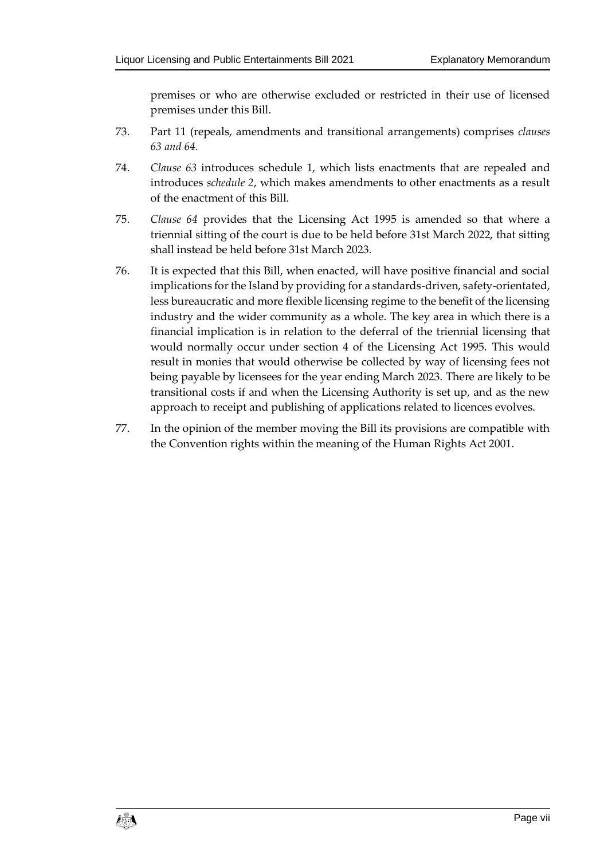premises or who are otherwise excluded or restricted in their use of licensed premises under this Bill.

- 73. Part 11 (repeals, amendments and transitional arrangements) comprises *clauses 63 and 64.*
- 74. *Clause 63* introduces schedule 1, which lists enactments that are repealed and introduces *schedule 2*, which makes amendments to other enactments as a result of the enactment of this Bill.
- 75. *Clause 64* provides that the Licensing Act 1995 is amended so that where a triennial sitting of the court is due to be held before 31st March 2022, that sitting shall instead be held before 31st March 2023.
- 76. It is expected that this Bill, when enacted, will have positive financial and social implications for the Island by providing for a standards-driven, safety-orientated, less bureaucratic and more flexible licensing regime to the benefit of the licensing industry and the wider community as a whole. The key area in which there is a financial implication is in relation to the deferral of the triennial licensing that would normally occur under section 4 of the Licensing Act 1995. This would result in monies that would otherwise be collected by way of licensing fees not being payable by licensees for the year ending March 2023. There are likely to be transitional costs if and when the Licensing Authority is set up, and as the new approach to receipt and publishing of applications related to licences evolves.
- 77. In the opinion of the member moving the Bill its provisions are compatible with the Convention rights within the meaning of the Human Rights Act 2001.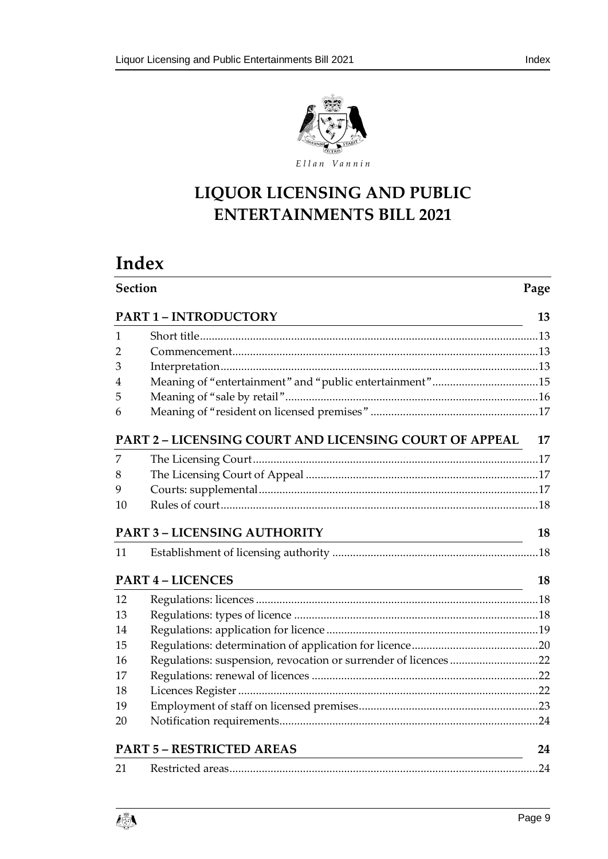

# **LIQUOR LICENSING AND PUBLIC ENTERTAINMENTS BILL 2021**

# **Index**

|                | Section<br>Page                                                                                                                                       |    |  |  |  |
|----------------|-------------------------------------------------------------------------------------------------------------------------------------------------------|----|--|--|--|
|                | <b>PART 1 - INTRODUCTORY</b><br><u> 1980 - Johann Barn, mars ann an t-Amhain Aonaichte ann an t-Amhain Aonaichte ann an t-Amhain Aonaichte ann an</u> | 13 |  |  |  |
| 1              |                                                                                                                                                       |    |  |  |  |
| 2              |                                                                                                                                                       |    |  |  |  |
| 3              |                                                                                                                                                       |    |  |  |  |
| $\overline{4}$ | Meaning of "entertainment" and "public entertainment"15                                                                                               |    |  |  |  |
| 5              |                                                                                                                                                       |    |  |  |  |
| 6              |                                                                                                                                                       |    |  |  |  |
|                | <b>PART 2 - LICENSING COURT AND LICENSING COURT OF APPEAL</b>                                                                                         | 17 |  |  |  |
| 7              |                                                                                                                                                       |    |  |  |  |
| 8              |                                                                                                                                                       |    |  |  |  |
| 9              |                                                                                                                                                       |    |  |  |  |
| 10             |                                                                                                                                                       |    |  |  |  |
|                | <b>PART 3 - LICENSING AUTHORITY</b><br><u> 1980 - Andrea Brand, Amerikaansk politik (</u>                                                             | 18 |  |  |  |
| 11             |                                                                                                                                                       |    |  |  |  |
|                | <b>PART 4 - LICENCES</b>                                                                                                                              | 18 |  |  |  |
| 12             |                                                                                                                                                       |    |  |  |  |
| 13             |                                                                                                                                                       |    |  |  |  |
| 14             |                                                                                                                                                       |    |  |  |  |
| 15             |                                                                                                                                                       |    |  |  |  |
| 16             | Regulations: suspension, revocation or surrender of licences22                                                                                        |    |  |  |  |
| 17             |                                                                                                                                                       |    |  |  |  |
| 18             |                                                                                                                                                       |    |  |  |  |
| 19             |                                                                                                                                                       |    |  |  |  |
| 20             |                                                                                                                                                       |    |  |  |  |
|                | <b>PART 5 - RESTRICTED AREAS</b>                                                                                                                      | 24 |  |  |  |
| 21             |                                                                                                                                                       |    |  |  |  |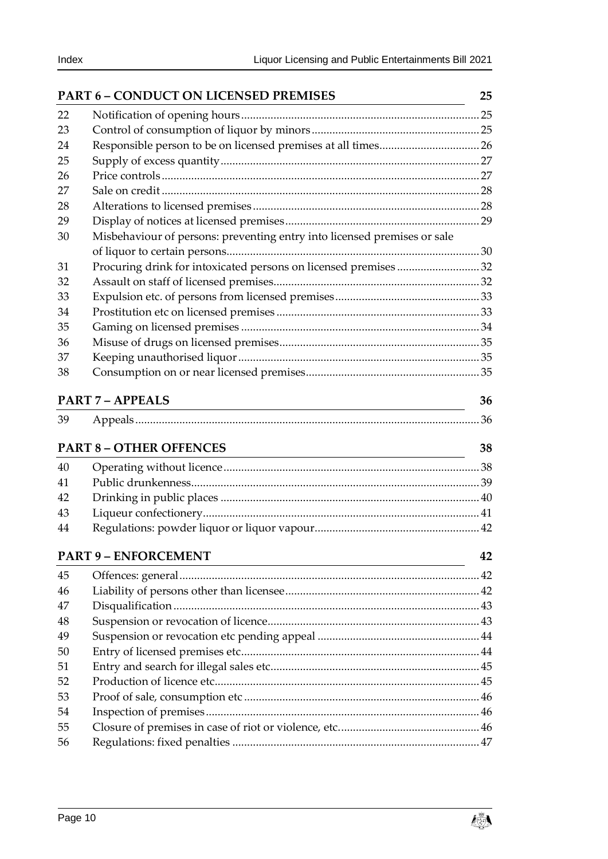|    | <b>PART 6 - CONDUCT ON LICENSED PREMISES</b>                             | 25 |
|----|--------------------------------------------------------------------------|----|
| 22 |                                                                          |    |
| 23 |                                                                          |    |
| 24 |                                                                          |    |
| 25 |                                                                          |    |
| 26 |                                                                          |    |
| 27 |                                                                          |    |
| 28 |                                                                          |    |
| 29 |                                                                          |    |
| 30 | Misbehaviour of persons: preventing entry into licensed premises or sale |    |
| 31 | Procuring drink for intoxicated persons on licensed premises32           |    |
| 32 |                                                                          |    |
| 33 |                                                                          |    |
| 34 |                                                                          |    |
| 35 |                                                                          |    |
| 36 |                                                                          |    |
| 37 |                                                                          |    |
| 38 |                                                                          |    |
|    | <b>PART 7 - APPEALS</b>                                                  | 36 |
|    |                                                                          |    |
| 39 |                                                                          |    |
|    | <b>PART 8 - OTHER OFFENCES</b>                                           | 38 |
| 40 |                                                                          |    |
| 41 |                                                                          |    |
| 42 |                                                                          |    |
| 43 |                                                                          |    |
| 44 |                                                                          |    |
|    | <b>PART 9 - ENFORCEMENT</b>                                              | 42 |
| 45 | <u> 1989 - Johann Stoff, Amerikaansk politiker († 1908)</u>              |    |
| 46 |                                                                          |    |
| 47 |                                                                          |    |
| 48 |                                                                          |    |
| 49 |                                                                          |    |
| 50 |                                                                          |    |
| 51 |                                                                          |    |
| 52 |                                                                          |    |
| 53 |                                                                          |    |
| 54 |                                                                          |    |
| 55 |                                                                          |    |
| 56 |                                                                          |    |
|    |                                                                          |    |

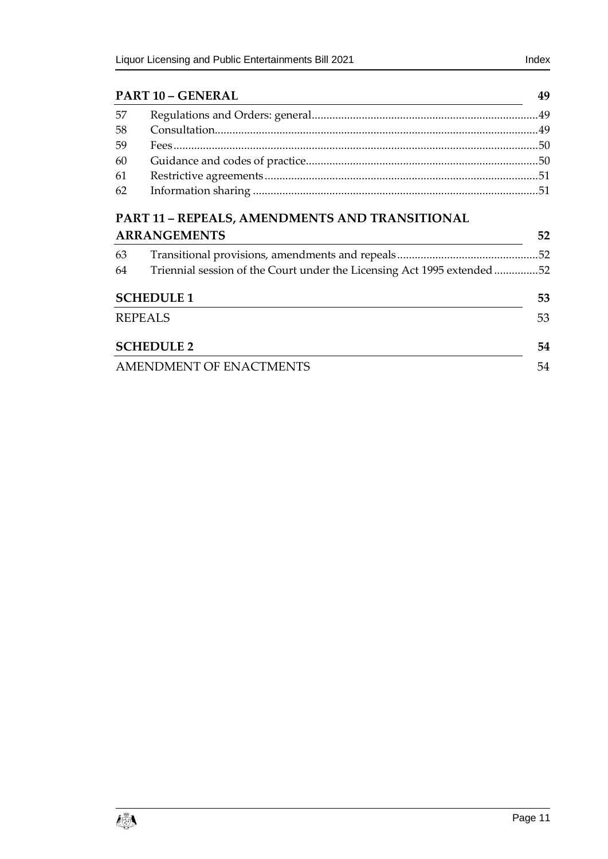| 57 |                                                |  |
|----|------------------------------------------------|--|
| 58 |                                                |  |
| 59 |                                                |  |
| 60 |                                                |  |
| 61 |                                                |  |
| 62 |                                                |  |
|    | PART 11 - REPEALS, AMENDMENTS AND TRANSITIONAL |  |

|    | <b>ARRANGEMENTS</b>                                                    |     |  |  |  |
|----|------------------------------------------------------------------------|-----|--|--|--|
| 63 |                                                                        | .52 |  |  |  |
| 64 | Triennial session of the Court under the Licensing Act 1995 extended52 |     |  |  |  |
|    | <b>SCHEDULE 1</b>                                                      | 53  |  |  |  |
|    | <b>REPEALS</b>                                                         |     |  |  |  |
|    | <b>SCHEDULE 2</b>                                                      | 54  |  |  |  |
|    | AMENDMENT OF ENACTMENTS                                                |     |  |  |  |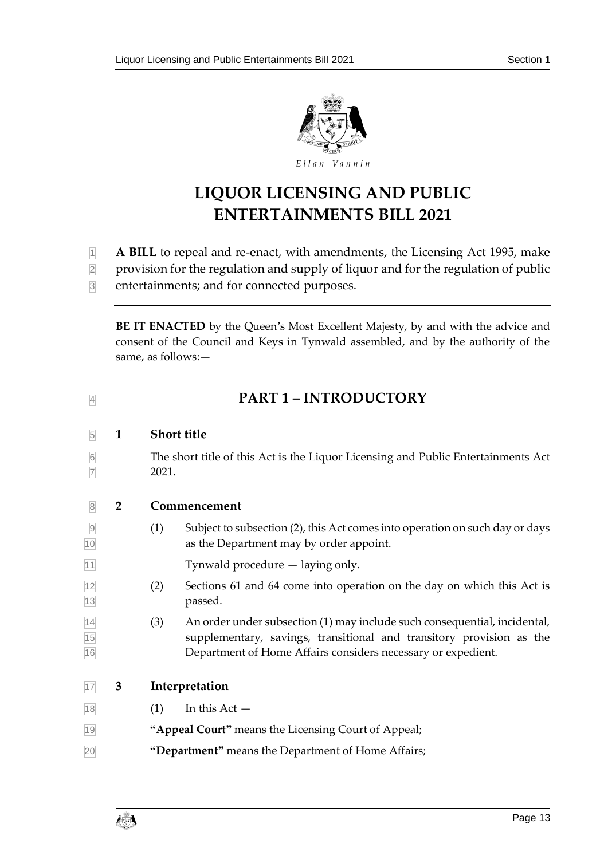

# **LIQUOR LICENSING AND PUBLIC ENTERTAINMENTS BILL 2021**

- **1** A BILL to repeal and re-enact, with amendments, the Licensing Act 1995, make
- 2 provision for the regulation and supply of liquor and for the regulation of public
- 3 entertainments; and for connected purposes.

**BE IT ENACTED** by the Queen's Most Excellent Majesty, by and with the advice and consent of the Council and Keys in Tynwald assembled, and by the authority of the same, as follows:—

# <span id="page-12-1"></span><span id="page-12-0"></span><sup>4</sup> **PART 1 – INTRODUCTORY**

#### 5 **1 Short title**

- 6 The short title of this Act is the Liquor Licensing and Public Entertainments Act  $\frac{1}{7}$  2021.
- 

#### <span id="page-12-2"></span>8 **2 Commencement**

- 9 (1) Subject to subsection (2), this Act comes into operation on such day or days 10 as the Department may by order appoint.
- 11 Tynwald procedure laying only.
- 12 (2) Sections 61 and [64](#page-51-2) come into operation on the day on which this Act is 13 passed.
- $\frac{1}{14}$  (3) An order under subsection (1) may include such consequential, incidental, 15 supplementary, savings, transitional and transitory provision as the 16 Department of Home Affairs considers necessary or expedient.
- <span id="page-12-3"></span>17 **3 Interpretation**
- $\boxed{18}$  (1) In this Act —
- 19 **"Appeal Court"** means the Licensing Court of Appeal;
- 20 **"Department"** means the Department of Home Affairs;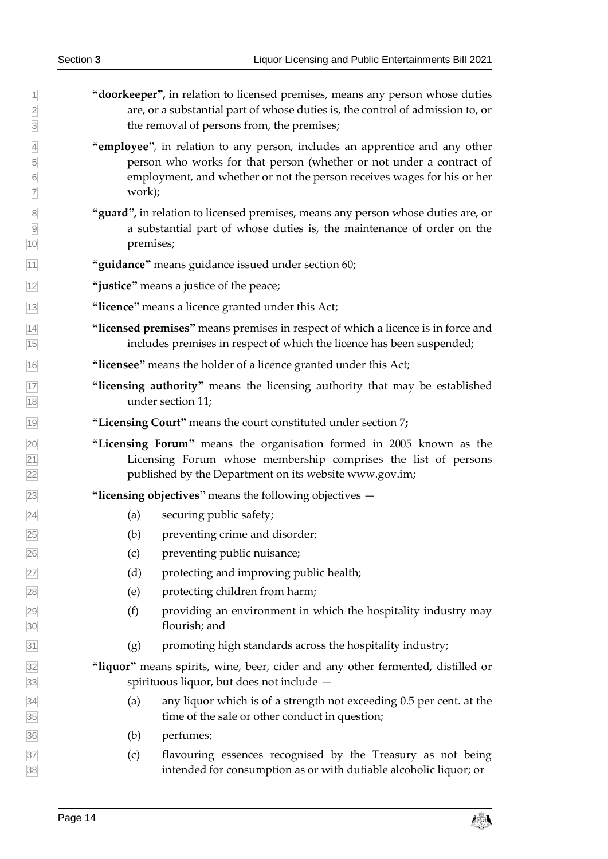| $\vert$ 1<br>$\overline{2}$<br>$\overline{3}$                         | "doorkeeper", in relation to licensed premises, means any person whose duties<br>are, or a substantial part of whose duties is, the control of admission to, or<br>the removal of persons from, the premises;                            |
|-----------------------------------------------------------------------|------------------------------------------------------------------------------------------------------------------------------------------------------------------------------------------------------------------------------------------|
| $\overline{4}$<br>$\overline{5}$<br>$6\overline{6}$<br>$\overline{7}$ | "employee", in relation to any person, includes an apprentice and any other<br>person who works for that person (whether or not under a contract of<br>employment, and whether or not the person receives wages for his or her<br>work); |
| 8<br>9<br>$\overline{10}$                                             | "guard", in relation to licensed premises, means any person whose duties are, or<br>a substantial part of whose duties is, the maintenance of order on the<br>premises;                                                                  |
| $\overline{11}$                                                       | "guidance" means guidance issued under section 60;                                                                                                                                                                                       |
| $\overline{12}$                                                       | "justice" means a justice of the peace;                                                                                                                                                                                                  |
| $\overline{13}$                                                       | "licence" means a licence granted under this Act;                                                                                                                                                                                        |
| $\frac{14}{15}$                                                       | "licensed premises" means premises in respect of which a licence is in force and<br>includes premises in respect of which the licence has been suspended;                                                                                |
| $\overline{16}$                                                       | "licensee" means the holder of a licence granted under this Act;                                                                                                                                                                         |
| $\frac{17}{18}$                                                       | "licensing authority" means the licensing authority that may be established<br>under section 11;                                                                                                                                         |
| 19                                                                    | "Licensing Court" means the court constituted under section 7;                                                                                                                                                                           |
| $\frac{20}{21}$<br>$\frac{22}{22}$                                    | "Licensing Forum" means the organisation formed in 2005 known as the<br>Licensing Forum whose membership comprises the list of persons<br>published by the Department on its website www.gov.im;                                         |
| $\overline{23}$                                                       | "licensing objectives" means the following objectives $-$                                                                                                                                                                                |
| $\frac{24}{ }$                                                        | (a)<br>securing public safety;                                                                                                                                                                                                           |
| 25                                                                    | preventing crime and disorder;<br>(b)                                                                                                                                                                                                    |
| $\frac{26}{5}$                                                        | preventing public nuisance;<br>(c)                                                                                                                                                                                                       |
|                                                                       | (d)<br>protecting and improving public health;                                                                                                                                                                                           |
|                                                                       | protecting children from harm;<br>(e)                                                                                                                                                                                                    |
| 27<br>28<br>29<br>30                                                  | (f)<br>providing an environment in which the hospitality industry may<br>flourish; and                                                                                                                                                   |
| $\overline{31}$                                                       | promoting high standards across the hospitality industry;<br>(g)                                                                                                                                                                         |
|                                                                       | "liquor" means spirits, wine, beer, cider and any other fermented, distilled or<br>spirituous liquor, but does not include -                                                                                                             |
| $\frac{32}{33}$<br>$\frac{34}{35}$<br>$\frac{35}{36}$                 | any liquor which is of a strength not exceeding 0.5 per cent. at the<br>(a)<br>time of the sale or other conduct in question;                                                                                                            |
|                                                                       | (b)<br>perfumes;                                                                                                                                                                                                                         |
| $\frac{37}{38}$                                                       | flavouring essences recognised by the Treasury as not being<br>(c)<br>intended for consumption as or with dutiable alcoholic liquor; or                                                                                                  |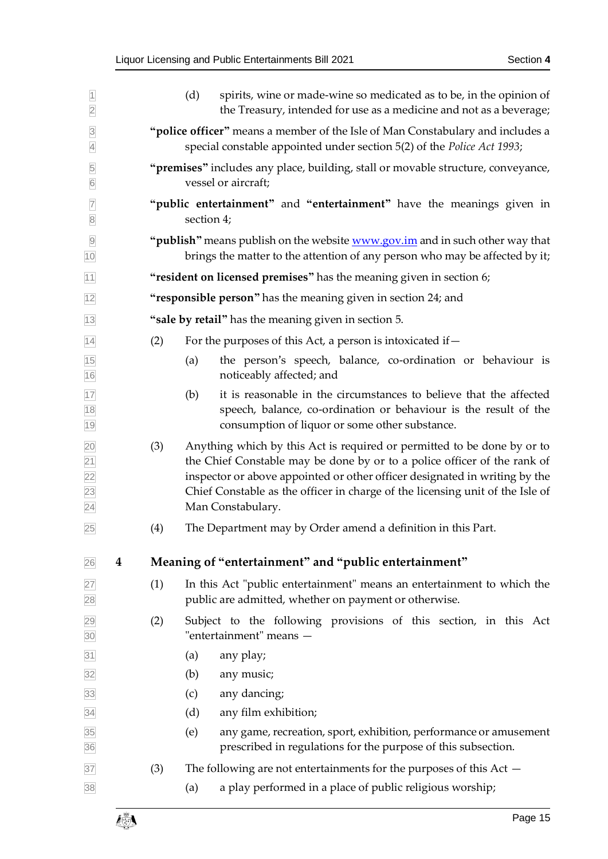<span id="page-14-0"></span>

| $\overline{1}$<br>$\overline{2}$                     |          |     | (d)<br>spirits, wine or made-wine so medicated as to be, in the opinion of<br>the Treasury, intended for use as a medicine and not as a beverage;                                                                                                                                                                                       |
|------------------------------------------------------|----------|-----|-----------------------------------------------------------------------------------------------------------------------------------------------------------------------------------------------------------------------------------------------------------------------------------------------------------------------------------------|
| $\overline{3}$<br>$\overline{4}$                     |          |     | "police officer" means a member of the Isle of Man Constabulary and includes a<br>special constable appointed under section 5(2) of the Police Act 1993;                                                                                                                                                                                |
| 5<br>$\overline{6}$                                  |          |     | "premises" includes any place, building, stall or movable structure, conveyance,<br>vessel or aircraft;                                                                                                                                                                                                                                 |
| $\overline{7}$<br>$\overline{8}$                     |          |     | "public entertainment" and "entertainment" have the meanings given in<br>section 4;                                                                                                                                                                                                                                                     |
| $\overline{9}$<br>10                                 |          |     | " <b>publish</b> " means publish on the website <b>www.gov.im</b> and in such other way that<br>brings the matter to the attention of any person who may be affected by it;                                                                                                                                                             |
| 11                                                   |          |     | "resident on licensed premises" has the meaning given in section 6;                                                                                                                                                                                                                                                                     |
| 12                                                   |          |     | "responsible person" has the meaning given in section 24; and                                                                                                                                                                                                                                                                           |
| 13                                                   |          |     | "sale by retail" has the meaning given in section 5.                                                                                                                                                                                                                                                                                    |
| 14                                                   |          | (2) | For the purposes of this Act, a person is intoxicated if-                                                                                                                                                                                                                                                                               |
| 15<br>16                                             |          |     | the person's speech, balance, co-ordination or behaviour is<br>(a)<br>noticeably affected; and                                                                                                                                                                                                                                          |
| 17<br>18<br>19                                       |          |     | it is reasonable in the circumstances to believe that the affected<br>(b)<br>speech, balance, co-ordination or behaviour is the result of the<br>consumption of liquor or some other substance.                                                                                                                                         |
| 20<br>$\overline{21}$<br>22<br>23<br>$\overline{24}$ |          | (3) | Anything which by this Act is required or permitted to be done by or to<br>the Chief Constable may be done by or to a police officer of the rank of<br>inspector or above appointed or other officer designated in writing by the<br>Chief Constable as the officer in charge of the licensing unit of the Isle of<br>Man Constabulary. |
| 25                                                   |          | (4) | The Department may by Order amend a definition in this Part.                                                                                                                                                                                                                                                                            |
| 26                                                   | $\bf{4}$ |     | Meaning of "entertainment" and "public entertainment"                                                                                                                                                                                                                                                                                   |
| 27<br>28                                             |          | (1) | In this Act "public entertainment" means an entertainment to which the<br>public are admitted, whether on payment or otherwise.                                                                                                                                                                                                         |
| 29<br>30                                             |          | (2) | Subject to the following provisions of this section, in this Act<br>"entertainment" means -                                                                                                                                                                                                                                             |
| 31                                                   |          |     | any play;<br>(a)                                                                                                                                                                                                                                                                                                                        |
| 32                                                   |          |     | any music;<br>(b)                                                                                                                                                                                                                                                                                                                       |
| 33                                                   |          |     | any dancing;<br>(c)                                                                                                                                                                                                                                                                                                                     |
| 34                                                   |          |     | any film exhibition;<br>(d)                                                                                                                                                                                                                                                                                                             |
| 35<br>36                                             |          |     | (e)<br>any game, recreation, sport, exhibition, performance or amusement<br>prescribed in regulations for the purpose of this subsection.                                                                                                                                                                                               |
| 37                                                   |          | (3) | The following are not entertainments for the purposes of this $Act -$                                                                                                                                                                                                                                                                   |
| 38                                                   |          |     | a play performed in a place of public religious worship;<br>(a)                                                                                                                                                                                                                                                                         |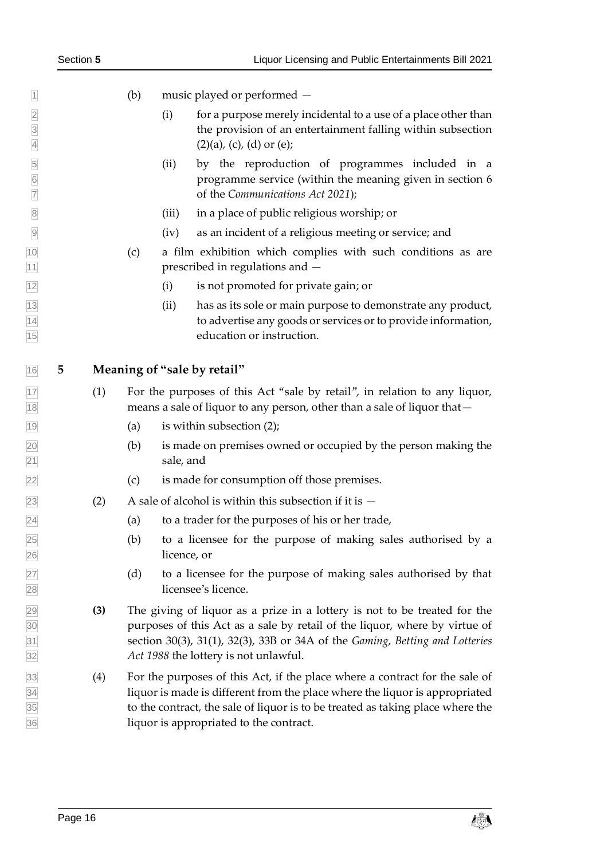- (b) music played or performed —
- (i) for a purpose merely incidental to a use of a place other than the provision of an entertainment falling within subsection (2)(a), (c), (d) or (e);
- (ii) by the reproduction of programmes included in a programme service (within the meaning given in section 6 of the *Communications Act 2021*);
- (iii) in a place of public religious worship; or
- (iv) as an incident of a religious meeting or service; and
- (c) a film exhibition which complies with such conditions as are **prescribed in regulations and –**
- (i) is not promoted for private gain; or
- (ii) has as its sole or main purpose to demonstrate any product, to advertise any goods or services or to provide information, education or instruction.

#### <span id="page-15-0"></span>**5 Meaning of "sale by retail"**

- (1) For the purposes of this Act "sale by retail", in relation to any liquor, means a sale of liquor to any person, other than a sale of liquor that—
- $\boxed{19}$  (a) is within subsection (2);
- (b) is made on premises owned or occupied by the person making the sale, and
- (c) is made for consumption off those premises.
- $\overline{23}$  (2) A sale of alcohol is within this subsection if it is  $-$
- (a) to a trader for the purposes of his or her trade,
- $\sqrt{25}$  (b) to a licensee for the purpose of making sales authorised by a licence, or
- (d) to a licensee for the purpose of making sales authorised by that licensee's licence.
- **(3)** The giving of liquor as a prize in a lottery is not to be treated for the purposes of this Act as a sale by retail of the liquor, where by virtue of section 30(3), 31(1), 32(3), 33B or 34A of the *Gaming, Betting and Lotteries Act 1988* the lottery is not unlawful.
- (4) For the purposes of this Act, if the place where a contract for the sale of liquor is made is different from the place where the liquor is appropriated to the contract, the sale of liquor is to be treated as taking place where the liquor is appropriated to the contract.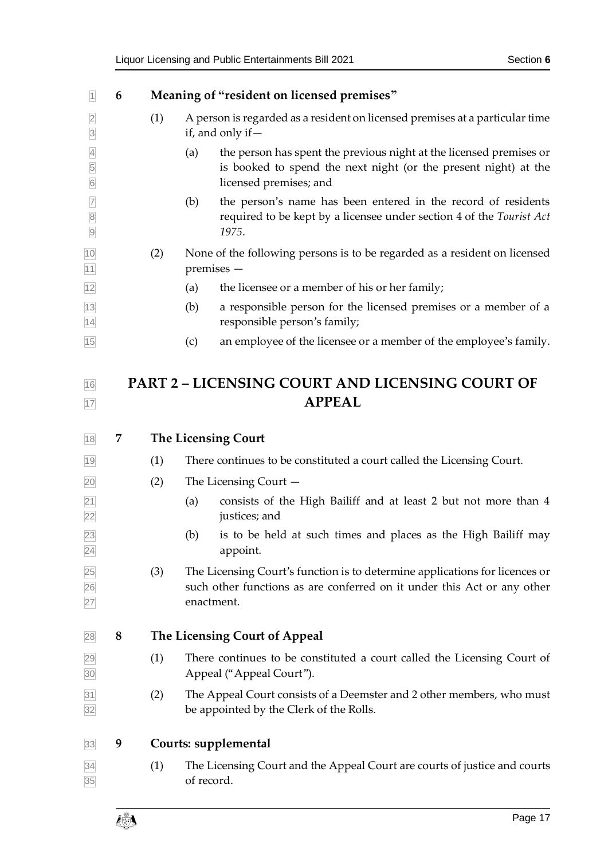<span id="page-16-4"></span><span id="page-16-3"></span><span id="page-16-2"></span><span id="page-16-1"></span><span id="page-16-0"></span>

| 1                                     | 6 |     | Meaning of "resident on licensed premises"                                                                                                                              |  |  |
|---------------------------------------|---|-----|-------------------------------------------------------------------------------------------------------------------------------------------------------------------------|--|--|
| $\overline{2}$<br>$\overline{3}$      |   | (1) | A person is regarded as a resident on licensed premises at a particular time<br>if, and only if $-$                                                                     |  |  |
| $\overline{4}$<br>5<br>$\overline{6}$ |   |     | the person has spent the previous night at the licensed premises or<br>(a)<br>is booked to spend the next night (or the present night) at the<br>licensed premises; and |  |  |
| $\overline{7}$<br>8<br>9              |   |     | the person's name has been entered in the record of residents<br>(b)<br>required to be kept by a licensee under section 4 of the Tourist Act<br>1975.                   |  |  |
| $\frac{10}{11}$                       |   | (2) | None of the following persons is to be regarded as a resident on licensed<br>premises -                                                                                 |  |  |
| 12                                    |   |     | the licensee or a member of his or her family;<br>(a)                                                                                                                   |  |  |
| $\frac{13}{14}$                       |   |     | (b)<br>a responsible person for the licensed premises or a member of a<br>responsible person's family;                                                                  |  |  |
| 15                                    |   |     | an employee of the licensee or a member of the employee's family.<br>(c)                                                                                                |  |  |
| 16                                    |   |     | <b>PART 2 - LICENSING COURT AND LICENSING COURT OF</b>                                                                                                                  |  |  |
| 17                                    |   |     | <b>APPEAL</b>                                                                                                                                                           |  |  |
| 18                                    | 7 |     | <b>The Licensing Court</b>                                                                                                                                              |  |  |
| 19                                    |   | (1) | There continues to be constituted a court called the Licensing Court.                                                                                                   |  |  |
| 20                                    |   | (2) | The Licensing Court $-$                                                                                                                                                 |  |  |
| $\frac{21}{22}$                       |   |     | consists of the High Bailiff and at least 2 but not more than 4<br>(a)<br>justices; and                                                                                 |  |  |
| 23<br>$\overline{24}$                 |   |     | is to be held at such times and places as the High Bailiff may<br>(b)<br>appoint.                                                                                       |  |  |
| 25<br>26<br>27                        |   | (3) | The Licensing Court's function is to determine applications for licences or<br>such other functions as are conferred on it under this Act or any other<br>enactment.    |  |  |
| 28                                    | 8 |     | <b>The Licensing Court of Appeal</b>                                                                                                                                    |  |  |
| 29<br>30                              |   | (1) | There continues to be constituted a court called the Licensing Court of<br>Appeal ("Appeal Court").                                                                     |  |  |
| $\overline{31}$<br>32                 |   | (2) | The Appeal Court consists of a Deemster and 2 other members, who must<br>be appointed by the Clerk of the Rolls.                                                        |  |  |
| 33                                    | 9 |     | Courts: supplemental                                                                                                                                                    |  |  |
| 34<br>35                              |   | (1) | The Licensing Court and the Appeal Court are courts of justice and courts<br>of record.                                                                                 |  |  |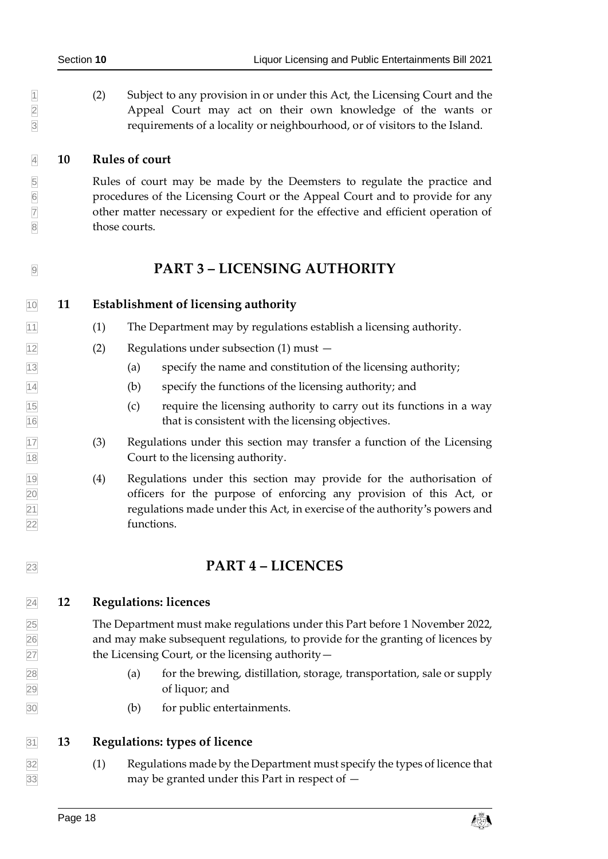1 (2) Subject to any provision in or under this Act, the Licensing Court and the Appeal Court may act on their own knowledge of the wants or Appeal Court may act on their own knowledge of the wants or requirements of a locality or neighbourhood, or of visitors to the Island.

#### <span id="page-17-0"></span>**10 Rules of court**

 Rules of court may be made by the Deemsters to regulate the practice and procedures of the Licensing Court or the Appeal Court and to provide for any other matter necessary or expedient for the effective and efficient operation of 8 those courts.

# <span id="page-17-2"></span><span id="page-17-1"></span>**PART 3 – LICENSING AUTHORITY**

### **11 Establishment of licensing authority**

- (1) The Department may by regulations establish a licensing authority.
- (2) Regulations under subsection (1) must —
- (a) specify the name and constitution of the licensing authority;
- (b) specify the functions of the licensing authority; and
- (c) require the licensing authority to carry out its functions in a way that is consistent with the licensing objectives.
- (3) Regulations under this section may transfer a function of the Licensing Court to the licensing authority.
- (4) Regulations under this section may provide for the authorisation of officers for the purpose of enforcing any provision of this Act, or regulations made under this Act, in exercise of the authority's powers and functions.

## <span id="page-17-4"></span><span id="page-17-3"></span>**PART 4 – LICENCES**

#### **12 Regulations: licences**

 The Department must make regulations under this Part before 1 November 2022, and may make subsequent regulations, to provide for the granting of licences by 27 the Licensing Court, or the licensing authority  $-$ 

- (a) for the brewing, distillation, storage, transportation, sale or supply of liquor; and
- <span id="page-17-5"></span>(b) for public entertainments.

#### **13 Regulations: types of licence**

 (1) Regulations made by the Department must specify the types of licence that may be granted under this Part in respect of —

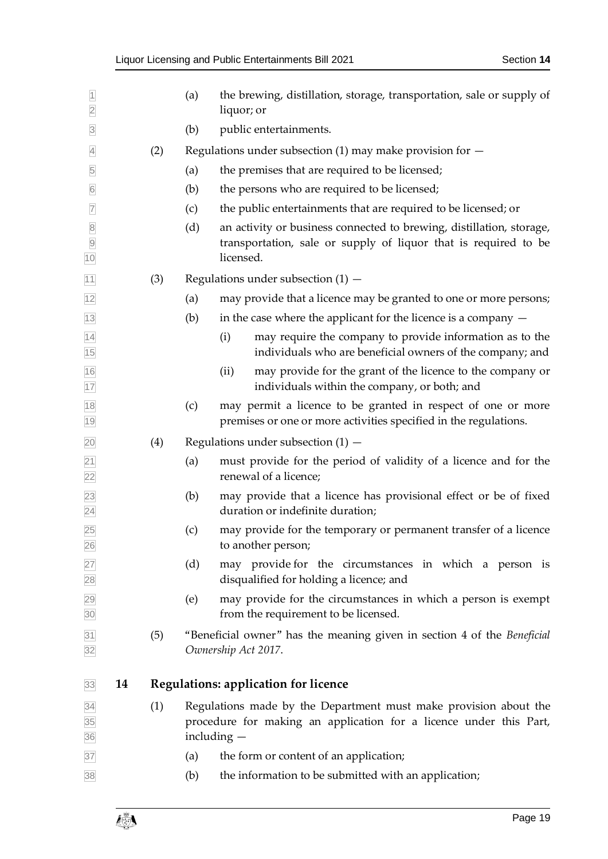<span id="page-18-0"></span>

| $\overline{1}$<br>$\overline{2}$                          |    |     | (a) | the brewing, distillation, storage, transportation, sale or supply of<br>liquor; or                                                                     |
|-----------------------------------------------------------|----|-----|-----|---------------------------------------------------------------------------------------------------------------------------------------------------------|
| $\overline{\mathbf{3}}$                                   |    |     | (b) | public entertainments.                                                                                                                                  |
| $\overline{4}$                                            |    | (2) |     | Regulations under subsection $(1)$ may make provision for $-$                                                                                           |
| $\overline{5}$                                            |    |     | (a) | the premises that are required to be licensed;                                                                                                          |
| $6\overline{6}$                                           |    |     | (b) | the persons who are required to be licensed;                                                                                                            |
| $\overline{7}$                                            |    |     | (c) | the public entertainments that are required to be licensed; or                                                                                          |
| $\begin{array}{c}\n 8 \\  \hline\n 9\n \end{array}$<br>10 |    |     | (d) | an activity or business connected to brewing, distillation, storage,<br>transportation, sale or supply of liquor that is required to be<br>licensed.    |
| 11                                                        |    | (3) |     | Regulations under subsection $(1)$ –                                                                                                                    |
| 12                                                        |    |     | (a) | may provide that a licence may be granted to one or more persons;                                                                                       |
| $\overline{13}$                                           |    |     | (b) | in the case where the applicant for the licence is a company $-$                                                                                        |
| $\frac{14}{15}$                                           |    |     |     | may require the company to provide information as to the<br>(i)<br>individuals who are beneficial owners of the company; and                            |
| $\frac{16}{17}$                                           |    |     |     | may provide for the grant of the licence to the company or<br>(ii)<br>individuals within the company, or both; and                                      |
| $\frac{18}{19}$                                           |    |     | (c) | may permit a licence to be granted in respect of one or more<br>premises or one or more activities specified in the regulations.                        |
| $\overline{20}$                                           |    | (4) |     | Regulations under subsection $(1)$ –                                                                                                                    |
|                                                           |    |     | (a) | must provide for the period of validity of a licence and for the<br>renewal of a licence;                                                               |
| $\frac{21}{22}$<br>$\frac{23}{24}$                        |    |     | (b) | may provide that a licence has provisional effect or be of fixed<br>duration or indefinite duration;                                                    |
| 25<br>$\frac{26}{5}$                                      |    |     | (c) | may provide for the temporary or permanent transfer of a licence<br>to another person;                                                                  |
|                                                           |    |     | (d) | may provide for the circumstances in which a person is<br>disqualified for holding a licence; and                                                       |
| 27<br>28<br>29<br>30                                      |    |     | (e) | may provide for the circumstances in which a person is exempt<br>from the requirement to be licensed.                                                   |
| $\frac{31}{32}$                                           |    | (5) |     | "Beneficial owner" has the meaning given in section 4 of the Beneficial<br>Ownership Act 2017.                                                          |
| 33                                                        | 14 |     |     | <b>Regulations: application for licence</b>                                                                                                             |
| $\frac{34}{35}$ $\frac{35}{36}$ $\frac{37}{37}$           |    | (1) |     | Regulations made by the Department must make provision about the<br>procedure for making an application for a licence under this Part,<br>including $-$ |
|                                                           |    |     | (a) | the form or content of an application;                                                                                                                  |
| 38                                                        |    |     | (b) | the information to be submitted with an application;                                                                                                    |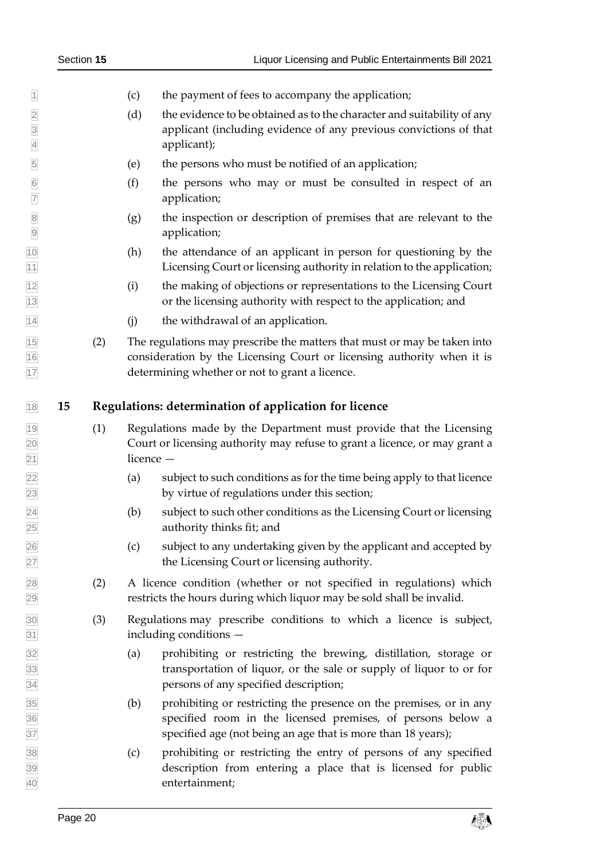|    |     | (c)         | the payment of fees to accompany the application;                                                                                                                                                    |
|----|-----|-------------|------------------------------------------------------------------------------------------------------------------------------------------------------------------------------------------------------|
|    |     | (d)         | the evidence to be obtained as to the character and suitability of any<br>applicant (including evidence of any previous convictions of that<br>applicant);                                           |
|    |     | (e)         | the persons who must be notified of an application;                                                                                                                                                  |
|    |     | (f)         | the persons who may or must be consulted in respect of an<br>application;                                                                                                                            |
|    |     | (g)         | the inspection or description of premises that are relevant to the<br>application;                                                                                                                   |
|    |     | (h)         | the attendance of an applicant in person for questioning by the<br>Licensing Court or licensing authority in relation to the application;                                                            |
|    |     | (i)         | the making of objections or representations to the Licensing Court<br>or the licensing authority with respect to the application; and                                                                |
|    |     | (j)         | the withdrawal of an application.                                                                                                                                                                    |
|    | (2) |             | The regulations may prescribe the matters that must or may be taken into<br>consideration by the Licensing Court or licensing authority when it is<br>determining whether or not to grant a licence. |
| 15 |     |             | Regulations: determination of application for licence                                                                                                                                                |
|    | (1) | licence $-$ | Regulations made by the Department must provide that the Licensing<br>Court or licensing authority may refuse to grant a licence, or may grant a                                                     |
|    |     | (a)         | subject to such conditions as for the time being apply to that licence<br>by virtue of regulations under this section;                                                                               |
|    |     | (b)         | subject to such other conditions as the Licensing Court or licensing<br>authority thinks fit; and                                                                                                    |
|    |     | (c)         | subject to any undertaking given by the applicant and accepted by<br>the Licensing Court or licensing authority.                                                                                     |
|    | (2) |             | A licence condition (whether or not specified in regulations) which<br>restricts the hours during which liquor may be sold shall be invalid.                                                         |
|    | (3) |             | Regulations may prescribe conditions to which a licence is subject,<br>including conditions -                                                                                                        |
|    |     | (a)         | prohibiting or restricting the brewing, distillation, storage or<br>transportation of liquor, or the sale or supply of liquor to or for<br>persons of any specified description;                     |
|    |     | (b)         | prohibiting or restricting the presence on the premises, or in any<br>specified room in the licensed premises, of persons below a<br>specified age (not being an age that is more than 18 years);    |
|    |     | (c)         | prohibiting or restricting the entry of persons of any specified<br>description from entering a place that is licensed for public<br>entertainment;                                                  |
|    |     |             |                                                                                                                                                                                                      |

- 
- 
- 
- 
- 
- 
- <span id="page-19-0"></span>
	-
	-
	-
- 
- -
	-
	-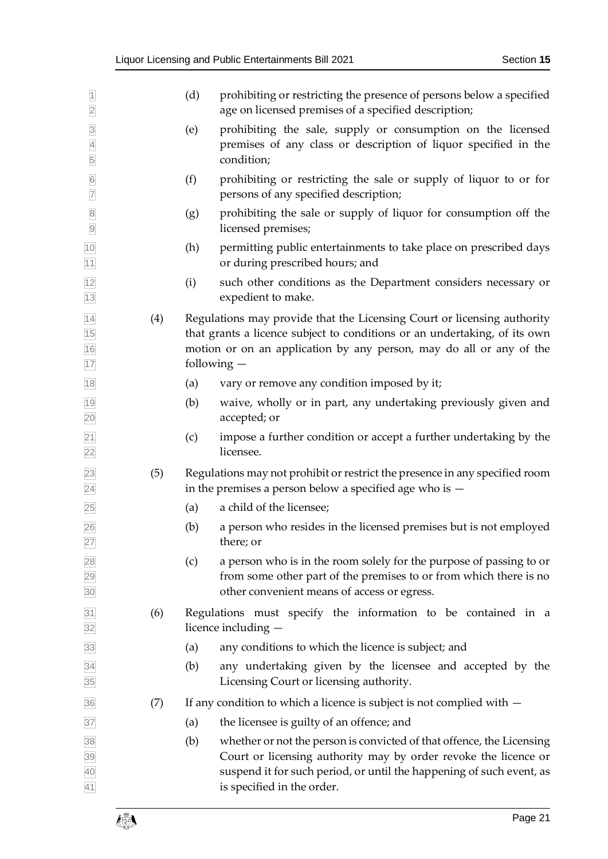| $\overline{1}$<br>$\overline{2}$               |     | (d) | prohibiting or restricting the presence of persons below a specified<br>age on licensed premises of a specified description;                                                                                                                 |
|------------------------------------------------|-----|-----|----------------------------------------------------------------------------------------------------------------------------------------------------------------------------------------------------------------------------------------------|
| $\frac{3}{4}$<br>5                             |     | (e) | prohibiting the sale, supply or consumption on the licensed<br>premises of any class or description of liquor specified in the<br>condition;                                                                                                 |
| $\frac{6}{7}$                                  |     | (f) | prohibiting or restricting the sale or supply of liquor to or for<br>persons of any specified description;                                                                                                                                   |
| $\begin{array}{c c} 8 \\ \hline 9 \end{array}$ |     | (g) | prohibiting the sale or supply of liquor for consumption off the<br>licensed premises;                                                                                                                                                       |
| 10<br>$11$                                     |     | (h) | permitting public entertainments to take place on prescribed days<br>or during prescribed hours; and                                                                                                                                         |
| 12<br>13                                       |     | (i) | such other conditions as the Department considers necessary or<br>expedient to make.                                                                                                                                                         |
| 14<br>15<br>16<br>17                           | (4) |     | Regulations may provide that the Licensing Court or licensing authority<br>that grants a licence subject to conditions or an undertaking, of its own<br>motion or on an application by any person, may do all or any of the<br>following $-$ |
| 18                                             |     | (a) | vary or remove any condition imposed by it;                                                                                                                                                                                                  |
| 19<br>20                                       |     | (b) | waive, wholly or in part, any undertaking previously given and<br>accepted; or                                                                                                                                                               |
| $\overline{21}$<br>$\overline{22}$             |     | (c) | impose a further condition or accept a further undertaking by the<br>licensee.                                                                                                                                                               |
| $\overline{23}$<br>$\overline{24}$             | (5) |     | Regulations may not prohibit or restrict the presence in any specified room<br>in the premises a person below a specified age who is $-$                                                                                                     |
| 25                                             |     | (a) | a child of the licensee;                                                                                                                                                                                                                     |
| 26<br>27                                       |     | (b) | a person who resides in the licensed premises but is not employed<br>there; or                                                                                                                                                               |
| 28<br>29<br>30                                 |     | (c) | a person who is in the room solely for the purpose of passing to or<br>from some other part of the premises to or from which there is no<br>other convenient means of access or egress.                                                      |
| 31<br>32                                       | (6) |     | Regulations must specify the information to be contained in a<br>licence including -                                                                                                                                                         |
| 33                                             |     | (a) | any conditions to which the licence is subject; and                                                                                                                                                                                          |
| 34<br>35                                       |     | (b) | any undertaking given by the licensee and accepted by the<br>Licensing Court or licensing authority.                                                                                                                                         |
| 36                                             | (7) |     | If any condition to which a licence is subject is not complied with $-$                                                                                                                                                                      |
| 37                                             |     | (a) | the licensee is guilty of an offence; and                                                                                                                                                                                                    |
| 38                                             |     | (b) | whether or not the person is convicted of that offence, the Licensing                                                                                                                                                                        |
| 39<br>40<br>41                                 |     |     | Court or licensing authority may by order revoke the licence or<br>suspend it for such period, or until the happening of such event, as<br>is specified in the order.                                                                        |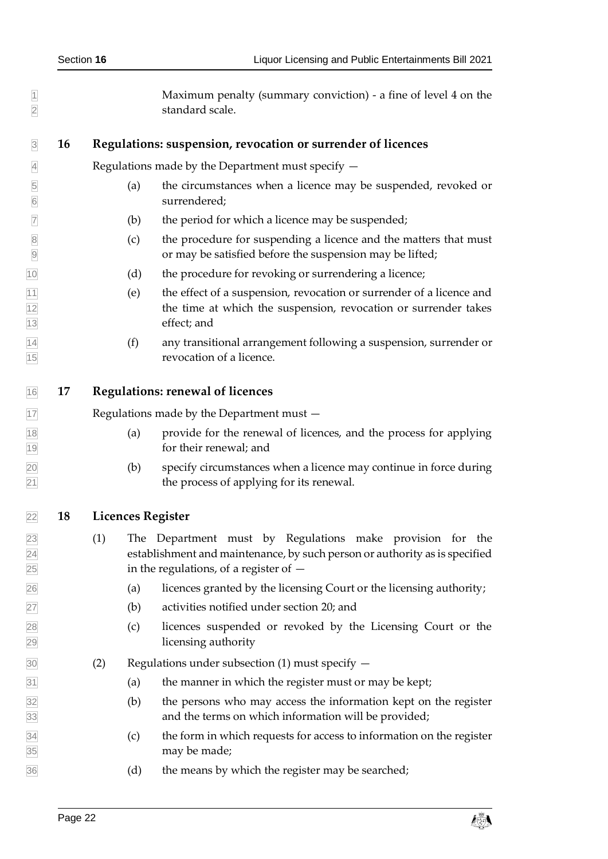<span id="page-21-2"></span><span id="page-21-1"></span><span id="page-21-0"></span>1 Maximum penalty (summary conviction) - a fine of level 4 on the standard scale. **16 Regulations: suspension, revocation or surrender of licences** Regulations made by the Department must specify — (a) the circumstances when a licence may be suspended, revoked or surrendered;  $\triangledown$  (b) the period for which a licence may be suspended; (c) the procedure for suspending a licence and the matters that must or may be satisfied before the suspension may be lifted; (d) the procedure for revoking or surrendering a licence;  $|11|$  (e) the effect of a suspension, revocation or surrender of a licence and the time at which the suspension, revocation or surrender takes effect; and (f) any transitional arrangement following a suspension, surrender or revocation of a licence. **17 Regulations: renewal of licences** 17 Regulations made by the Department must – (a) provide for the renewal of licences, and the process for applying for their renewal; and (b) specify circumstances when a licence may continue in force during the process of applying for its renewal. **18 Licences Register** (1) The Department must by Regulations make provision for the establishment and maintenance, by such person or authority as is specified in the regulations, of a register of — (a) licences granted by the licensing Court or the licensing authority; (b) activities notified under section [20;](#page-23-0) and (c) licences suspended or revoked by the Licensing Court or the licensing authority (2) Regulations under subsection (1) must specify —  $\boxed{31}$  (a) the manner in which the register must or may be kept;  $\frac{32}{2}$  (b) the persons who may access the information kept on the register and the terms on which information will be provided; (c) the form in which requests for access to information on the register may be made; (d) the means by which the register may be searched;

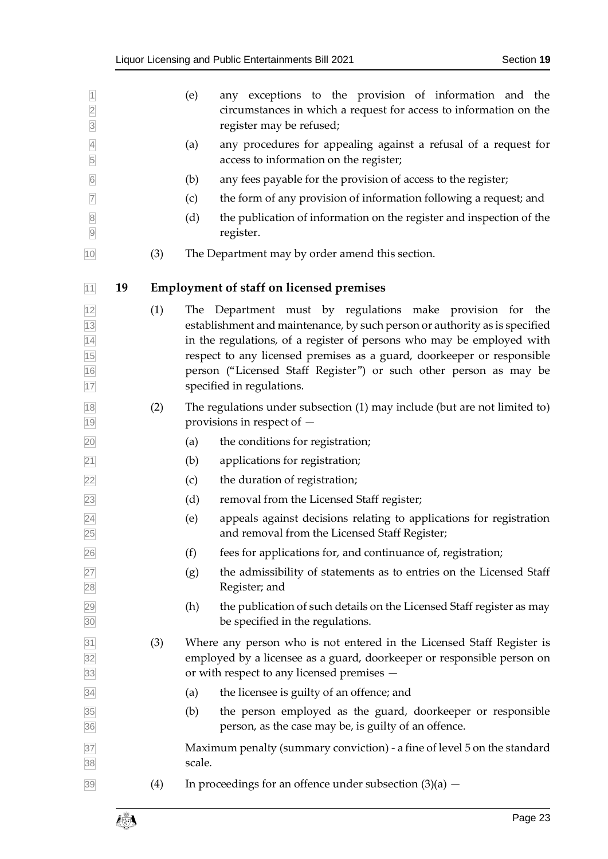<span id="page-22-0"></span>

| $\overline{1}$<br>$\overline{2}$<br>$\overline{3}$ |    |     | any exceptions to the provision of information and the<br>(e)<br>circumstances in which a request for access to information on the<br>register may be refused;                                                                                                                                                                                                                               |
|----------------------------------------------------|----|-----|----------------------------------------------------------------------------------------------------------------------------------------------------------------------------------------------------------------------------------------------------------------------------------------------------------------------------------------------------------------------------------------------|
| $\overline{4}$<br>5                                |    |     | any procedures for appealing against a refusal of a request for<br>(a)<br>access to information on the register;                                                                                                                                                                                                                                                                             |
| $6\overline{6}$                                    |    |     | any fees payable for the provision of access to the register;<br>(b)                                                                                                                                                                                                                                                                                                                         |
| $\overline{7}$                                     |    |     | the form of any provision of information following a request; and<br>(c)                                                                                                                                                                                                                                                                                                                     |
| $\overline{8}$<br>$\overline{9}$                   |    |     | (d)<br>the publication of information on the register and inspection of the<br>register.                                                                                                                                                                                                                                                                                                     |
| 10                                                 |    | (3) | The Department may by order amend this section.                                                                                                                                                                                                                                                                                                                                              |
| 11                                                 | 19 |     | <b>Employment of staff on licensed premises</b>                                                                                                                                                                                                                                                                                                                                              |
| 12<br>13<br>14<br>15<br>16<br>17                   |    | (1) | The Department must by regulations make provision for the<br>establishment and maintenance, by such person or authority as is specified<br>in the regulations, of a register of persons who may be employed with<br>respect to any licensed premises as a guard, doorkeeper or responsible<br>person ("Licensed Staff Register") or such other person as may be<br>specified in regulations. |
| 18<br>19                                           |    | (2) | The regulations under subsection (1) may include (but are not limited to)<br>provisions in respect of $-$                                                                                                                                                                                                                                                                                    |
| 20                                                 |    |     | the conditions for registration;<br>(a)                                                                                                                                                                                                                                                                                                                                                      |
| $\overline{21}$                                    |    |     | (b)<br>applications for registration;                                                                                                                                                                                                                                                                                                                                                        |
| 22                                                 |    |     | (c)<br>the duration of registration;                                                                                                                                                                                                                                                                                                                                                         |
| $\overline{23}$                                    |    |     | (d)<br>removal from the Licensed Staff register;                                                                                                                                                                                                                                                                                                                                             |
| $\overline{24}$<br>25                              |    |     | (e)<br>appeals against decisions relating to applications for registration<br>and removal from the Licensed Staff Register;                                                                                                                                                                                                                                                                  |
| 26                                                 |    |     | (f)<br>fees for applications for, and continuance of, registration;                                                                                                                                                                                                                                                                                                                          |
| 27<br>28                                           |    |     | the admissibility of statements as to entries on the Licensed Staff<br>(g)<br>Register; and                                                                                                                                                                                                                                                                                                  |
| 29<br>30                                           |    |     | the publication of such details on the Licensed Staff register as may<br>(h)<br>be specified in the regulations.                                                                                                                                                                                                                                                                             |
| 31<br>32<br>33                                     |    | (3) | Where any person who is not entered in the Licensed Staff Register is<br>employed by a licensee as a guard, doorkeeper or responsible person on<br>or with respect to any licensed premises -                                                                                                                                                                                                |
| 34                                                 |    |     | the licensee is guilty of an offence; and<br>(a)                                                                                                                                                                                                                                                                                                                                             |
| 35<br>36                                           |    |     | the person employed as the guard, doorkeeper or responsible<br>(b)<br>person, as the case may be, is guilty of an offence.                                                                                                                                                                                                                                                                   |
| 37<br>38                                           |    |     | Maximum penalty (summary conviction) - a fine of level 5 on the standard<br>scale.                                                                                                                                                                                                                                                                                                           |
| 39                                                 |    | (4) | In proceedings for an offence under subsection $(3)(a)$ –                                                                                                                                                                                                                                                                                                                                    |

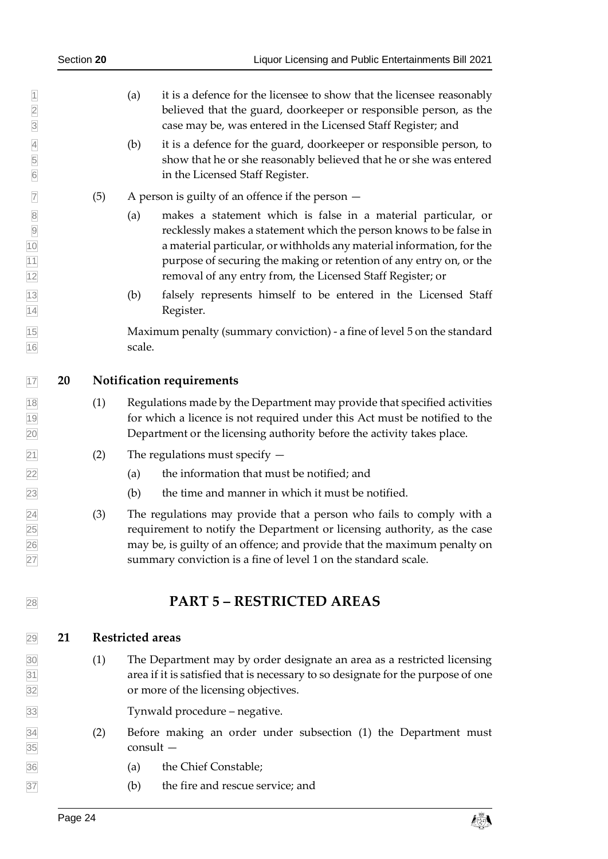- (a) it is a defence for the licensee to show that the licensee reasonably believed that the guard, doorkeeper or responsible person, as the case may be, was entered in the Licensed Staff Register; and
- (b) it is a defence for the guard, doorkeeper or responsible person, to show that he or she reasonably believed that he or she was entered in the Licensed Staff Register.
- $\boxed{7}$  (5) A person is guilty of an offence if the person  $-$
- (a) makes a statement which is false in a material particular, or recklessly makes a statement which the person knows to be false in a material particular, or withholds any material information, for the purpose of securing the making or retention of any entry on, or the removal of any entry from, the Licensed Staff Register; or
- (b) falsely represents himself to be entered in the Licensed Staff Register.

 Maximum penalty (summary conviction) - a fine of level 5 on the standard 16 scale.

- <span id="page-23-0"></span>**20 Notification requirements**
- (1) Regulations made by the Department may provide that specified activities for which a licence is not required under this Act must be notified to the Department or the licensing authority before the activity takes place.
- $\boxed{21}$  (2) The regulations must specify  $-$
- (a) the information that must be notified; and
- (b) the time and manner in which it must be notified.
- $\overline{24}$  (3) The regulations may provide that a person who fails to comply with a requirement to notify the Department or licensing authority, as the case may be, is guilty of an offence; and provide that the maximum penalty on summary conviction is a fine of level 1 on the standard scale.

## <span id="page-23-2"></span><span id="page-23-1"></span>**PART 5 – RESTRICTED AREAS**

#### **21 Restricted areas**

 (1) The Department may by order designate an area as a restricted licensing area if it is satisfied that is necessary to so designate for the purpose of one or more of the licensing objectives.

Tynwald procedure – negative.

- (2) Before making an order under subsection (1) the Department must consult —
- (a) the Chief Constable;
- (b) the fire and rescue service; and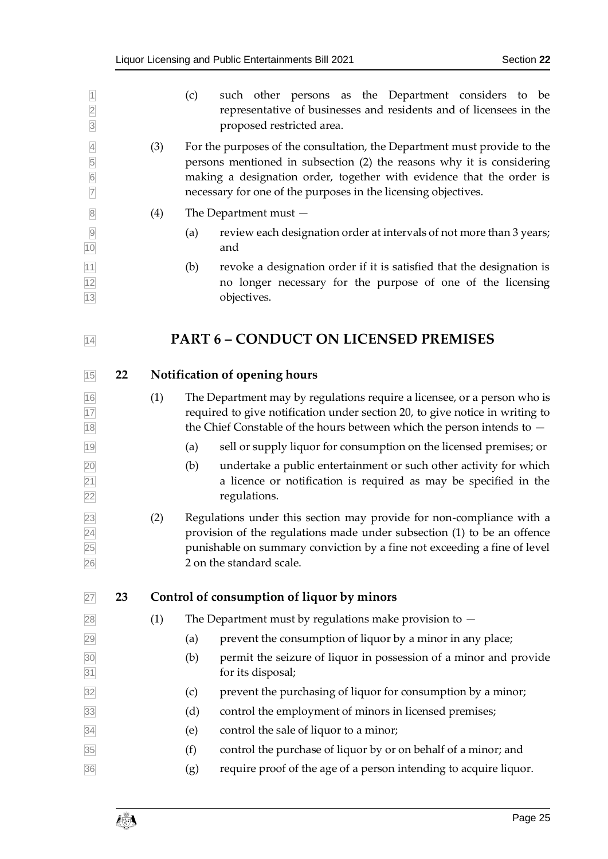<span id="page-24-3"></span><span id="page-24-2"></span><span id="page-24-1"></span><span id="page-24-0"></span>

| $\overline{1}$<br>$\overline{2}$<br>$\overline{3}$       |    |     | such other persons as the Department considers to be<br>(c)<br>representative of businesses and residents and of licensees in the<br>proposed restricted area.                                                                                                                              |
|----------------------------------------------------------|----|-----|---------------------------------------------------------------------------------------------------------------------------------------------------------------------------------------------------------------------------------------------------------------------------------------------|
| $\overline{4}$<br>5<br>$6\overline{6}$<br>$\overline{7}$ |    | (3) | For the purposes of the consultation, the Department must provide to the<br>persons mentioned in subsection (2) the reasons why it is considering<br>making a designation order, together with evidence that the order is<br>necessary for one of the purposes in the licensing objectives. |
| $\overline{8}$                                           |    | (4) | The Department must $-$                                                                                                                                                                                                                                                                     |
| $\overline{9}$<br>10                                     |    |     | review each designation order at intervals of not more than 3 years;<br>(a)<br>and                                                                                                                                                                                                          |
| $\frac{11}{12}$<br> 13                                   |    |     | revoke a designation order if it is satisfied that the designation is<br>(b)<br>no longer necessary for the purpose of one of the licensing<br>objectives.                                                                                                                                  |
| 14                                                       |    |     | <b>PART 6 - CONDUCT ON LICENSED PREMISES</b>                                                                                                                                                                                                                                                |
| 15                                                       | 22 |     | <b>Notification of opening hours</b>                                                                                                                                                                                                                                                        |
| $\frac{16}{17}$<br>18                                    |    | (1) | The Department may by regulations require a licensee, or a person who is<br>required to give notification under section 20, to give notice in writing to<br>the Chief Constable of the hours between which the person intends to $-$                                                        |
| 19                                                       |    |     | sell or supply liquor for consumption on the licensed premises; or<br>(a)                                                                                                                                                                                                                   |
| $\overline{20}$<br>$\overline{21}$<br>$\overline{22}$    |    |     | undertake a public entertainment or such other activity for which<br>(b)<br>a licence or notification is required as may be specified in the<br>regulations.                                                                                                                                |
| $\boxed{23}$<br>$\overline{24}$<br>$\frac{25}{26}$       |    | (2) | Regulations under this section may provide for non-compliance with a<br>provision of the regulations made under subsection (1) to be an offence<br>punishable on summary conviction by a fine not exceeding a fine of level<br>2 on the standard scale.                                     |
| 27                                                       | 23 |     | Control of consumption of liquor by minors                                                                                                                                                                                                                                                  |
| 28                                                       |    | (1) | The Department must by regulations make provision to $-$                                                                                                                                                                                                                                    |
| 29                                                       |    |     | prevent the consumption of liquor by a minor in any place;<br>(a)                                                                                                                                                                                                                           |
| $\frac{30}{31}$                                          |    |     | permit the seizure of liquor in possession of a minor and provide<br>(b)<br>for its disposal;                                                                                                                                                                                               |
| 32                                                       |    |     | prevent the purchasing of liquor for consumption by a minor;<br>(c)                                                                                                                                                                                                                         |
| 33                                                       |    |     | control the employment of minors in licensed premises;<br>(d)                                                                                                                                                                                                                               |
| 34                                                       |    |     | control the sale of liquor to a minor;<br>(e)                                                                                                                                                                                                                                               |
| 35                                                       |    |     | (f)<br>control the purchase of liquor by or on behalf of a minor; and                                                                                                                                                                                                                       |
| 36                                                       |    |     | require proof of the age of a person intending to acquire liquor.<br>(g)                                                                                                                                                                                                                    |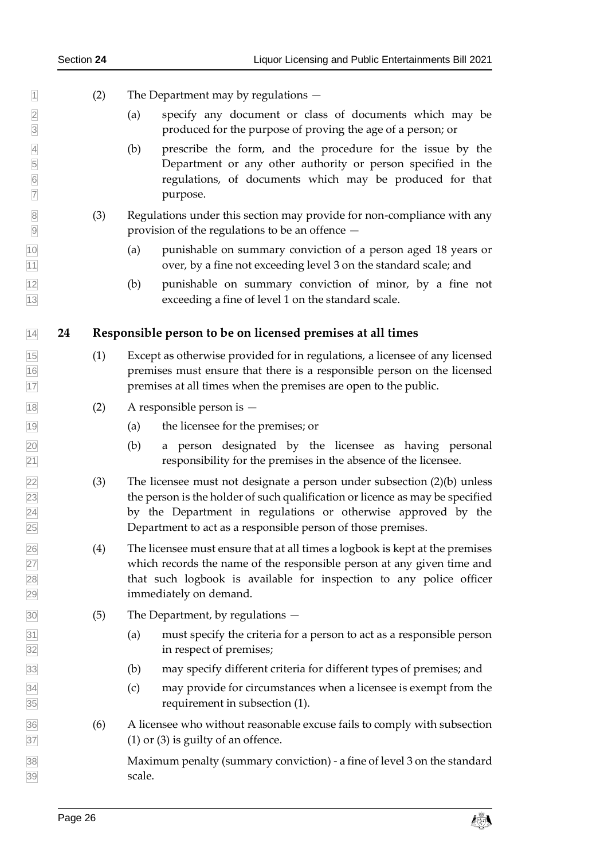|                | K                                |
|----------------|----------------------------------|
|                | k                                |
|                |                                  |
|                |                                  |
|                |                                  |
|                | J                                |
|                |                                  |
| $\frac{1}{2}$  | )                                |
| 1              | 1                                |
|                | $\overline{ }$                   |
| 1              |                                  |
| 1              | 3                                |
|                |                                  |
|                |                                  |
|                | 14                               |
|                | $1\overline{5}$                  |
|                |                                  |
|                | 16                               |
| $\overline{1}$ | 7                                |
|                | 8                                |
| 1              |                                  |
|                | $\overline{19}$                  |
|                | $\overline{2}$<br>$\mathfrak{p}$ |
|                | $\frac{21}{2}$                   |
|                |                                  |
|                |                                  |
|                |                                  |
|                |                                  |
|                | 4                                |
|                |                                  |
|                | 5                                |
|                |                                  |
|                | $\overline{26}$                  |
|                | $\frac{27}{2}$                   |
|                | $\overline{28}$                  |
|                | 29                               |
|                |                                  |
|                | 30                               |
|                | $\overline{3}1$                  |
|                | j                                |
| j              |                                  |
|                |                                  |
|                |                                  |
| j              | ļ                                |
|                | S (                              |
| ì              | ı                                |
|                | 38                               |

- $\Box$  (2) The Department may by regulations  $-$
- 2 (a) specify any document or class of documents which may be 3 produced for the purpose of proving the age of a person; or
- 4 (b) prescribe the form, and the procedure for the issue by the 5 Department or any other authority or person specified in the regulations, of documents which may be produced for that purpose.
	- 8 (3) Regulations under this section may provide for non-compliance with any provision of the regulations to be an offence  $-$ 
		- 10 (a) punishable on summary conviction of a person aged 18 years or over, by a fine not exceeding level 3 on the standard scale; and
		- 12 (b) punishable on summary conviction of minor, by a fine not exceeding a fine of level 1 on the standard scale.

#### <span id="page-25-0"></span>14 **24 Responsible person to be on licensed premises at all times**

- 15 (1) Except as otherwise provided for in regulations, a licensee of any licensed premises must ensure that there is a responsible person on the licensed premises at all times when the premises are open to the public.
- $12$  A responsible person is  $-$ 
	- 19 (a) the licensee for the premises; or
	- 20 (b) a person designated by the licensee as having personal responsibility for the premises in the absence of the licensee.
- (3) The licensee must not designate a person under subsection  $(2)(b)$  unless the person is the holder of such qualification or licence as may be specified by the Department in regulations or otherwise approved by the Department to act as a responsible person of those premises.
- 26 (4) The licensee must ensure that at all times a logbook is kept at the premises which records the name of the responsible person at any given time and that such logbook is available for inspection to any police officer immediately on demand.
- $(5)$  The Department, by regulations  $-$ 
	- 31 (a) must specify the criteria for a person to act as a responsible person in respect of premises;
	- 33 (b) may specify different criteria for different types of premises; and
	- 34 (c) may provide for circumstances when a licensee is exempt from the requirement in subsection (1).
- 36 (6) A licensee who without reasonable excuse fails to comply with subsection  $(1)$  or  $(3)$  is guilty of an offence.

Maximum penalty (summary conviction) - a fine of level 3 on the standard 39 scale.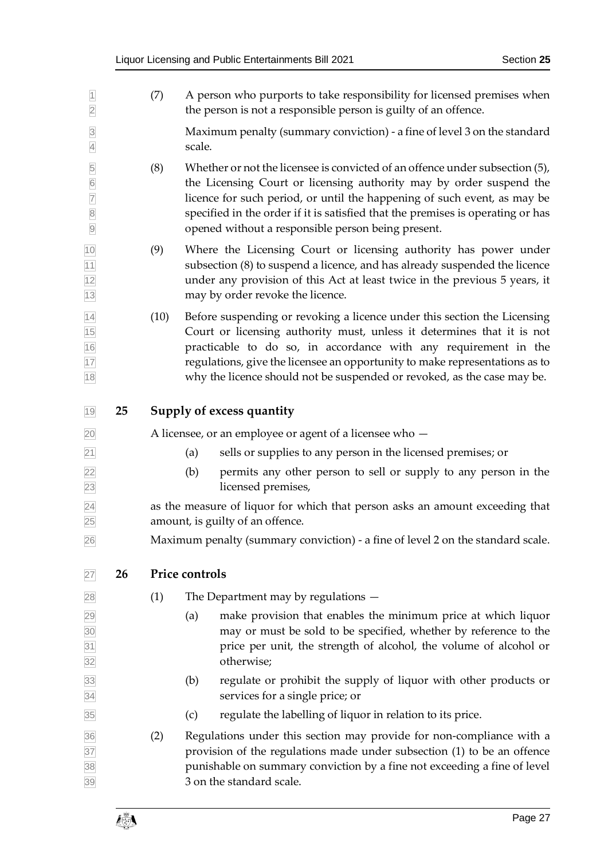<span id="page-26-1"></span><span id="page-26-0"></span>

| $\overline{3}$<br>$\overline{4}$                                                        |    |                                                                                                                  | Maximum penalty (summary conviction) - a fine of level 3 on the standard<br>scale.                                                                                                                                                                                                                                                                                              |  |  |  |  |
|-----------------------------------------------------------------------------------------|----|------------------------------------------------------------------------------------------------------------------|---------------------------------------------------------------------------------------------------------------------------------------------------------------------------------------------------------------------------------------------------------------------------------------------------------------------------------------------------------------------------------|--|--|--|--|
| 5<br>$\frac{6}{7}$<br>$\begin{array}{ c c } \hline 8 \\ \hline 9 \\ \hline \end{array}$ |    | (8)                                                                                                              | Whether or not the licensee is convicted of an offence under subsection (5),<br>the Licensing Court or licensing authority may by order suspend the<br>licence for such period, or until the happening of such event, as may be<br>specified in the order if it is satisfied that the premises is operating or has<br>opened without a responsible person being present.        |  |  |  |  |
| 10<br>11<br>12<br>13                                                                    |    | (9)                                                                                                              | Where the Licensing Court or licensing authority has power under<br>subsection (8) to suspend a licence, and has already suspended the licence<br>under any provision of this Act at least twice in the previous 5 years, it<br>may by order revoke the licence.                                                                                                                |  |  |  |  |
| 14<br>15<br>16<br>17<br>18                                                              |    | (10)                                                                                                             | Before suspending or revoking a licence under this section the Licensing<br>Court or licensing authority must, unless it determines that it is not<br>practicable to do so, in accordance with any requirement in the<br>regulations, give the licensee an opportunity to make representations as to<br>why the licence should not be suspended or revoked, as the case may be. |  |  |  |  |
| 19                                                                                      | 25 |                                                                                                                  | Supply of excess quantity                                                                                                                                                                                                                                                                                                                                                       |  |  |  |  |
| 20                                                                                      |    |                                                                                                                  | A licensee, or an employee or agent of a licensee who $-$                                                                                                                                                                                                                                                                                                                       |  |  |  |  |
| $\overline{21}$                                                                         |    |                                                                                                                  | sells or supplies to any person in the licensed premises; or<br>(a)                                                                                                                                                                                                                                                                                                             |  |  |  |  |
| 22<br>$\overline{23}$                                                                   |    |                                                                                                                  | (b)<br>permits any other person to sell or supply to any person in the<br>licensed premises,                                                                                                                                                                                                                                                                                    |  |  |  |  |
| $\overline{24}$<br>25                                                                   |    | as the measure of liquor for which that person asks an amount exceeding that<br>amount, is guilty of an offence. |                                                                                                                                                                                                                                                                                                                                                                                 |  |  |  |  |
| 26                                                                                      |    |                                                                                                                  | Maximum penalty (summary conviction) - a fine of level 2 on the standard scale.                                                                                                                                                                                                                                                                                                 |  |  |  |  |
| 27                                                                                      | 26 |                                                                                                                  | Price controls                                                                                                                                                                                                                                                                                                                                                                  |  |  |  |  |
| 28                                                                                      |    | (1)                                                                                                              | The Department may by regulations -                                                                                                                                                                                                                                                                                                                                             |  |  |  |  |
| 29 <br>30<br>31<br>32                                                                   |    |                                                                                                                  | make provision that enables the minimum price at which liquor<br>(a)<br>may or must be sold to be specified, whether by reference to the<br>price per unit, the strength of alcohol, the volume of alcohol or<br>otherwise;                                                                                                                                                     |  |  |  |  |
| 33<br>34                                                                                |    |                                                                                                                  | regulate or prohibit the supply of liquor with other products or<br>(b)<br>services for a single price; or                                                                                                                                                                                                                                                                      |  |  |  |  |
| 35                                                                                      |    |                                                                                                                  | regulate the labelling of liquor in relation to its price.<br>(c)                                                                                                                                                                                                                                                                                                               |  |  |  |  |
| 36<br>37<br>38<br>39                                                                    |    | (2)                                                                                                              | Regulations under this section may provide for non-compliance with a<br>provision of the regulations made under subsection (1) to be an offence<br>punishable on summary conviction by a fine not exceeding a fine of level<br>3 on the standard scale.                                                                                                                         |  |  |  |  |

1 (7) A person who purports to take responsibility for licensed premises when the person is not a responsible person is guilty of an offence. the person is not a responsible person is guilty of an offence.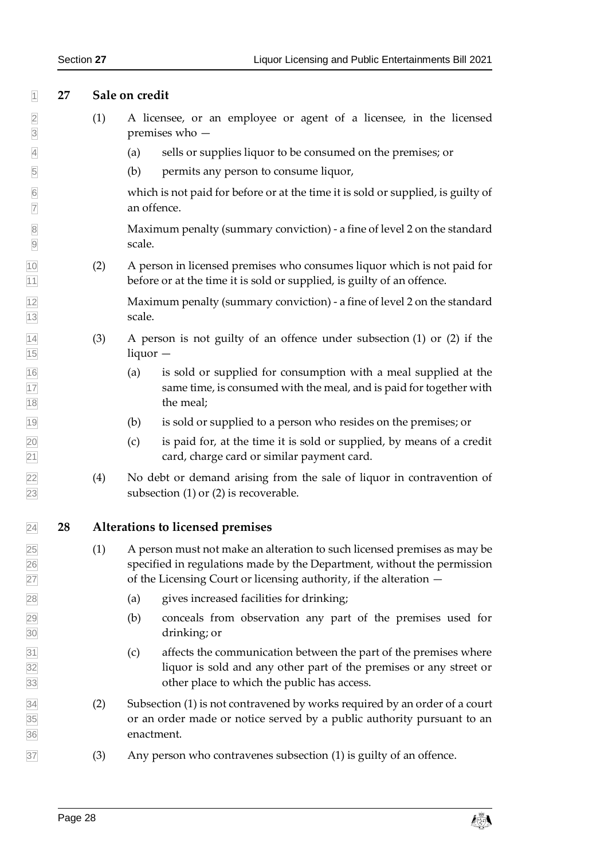<span id="page-27-1"></span><span id="page-27-0"></span>

| 1                                               | 27 |     | Sale on credit                                                                                                                                                                                                            |  |  |  |  |
|-------------------------------------------------|----|-----|---------------------------------------------------------------------------------------------------------------------------------------------------------------------------------------------------------------------------|--|--|--|--|
| $\overline{2}$<br>$\overline{3}$                |    | (1) | A licensee, or an employee or agent of a licensee, in the licensed<br>premises who $-$                                                                                                                                    |  |  |  |  |
| $\overline{4}$                                  |    |     | sells or supplies liquor to be consumed on the premises; or<br>(a)                                                                                                                                                        |  |  |  |  |
| 5                                               |    |     | (b)<br>permits any person to consume liquor,                                                                                                                                                                              |  |  |  |  |
| $6\overline{6}$<br>$\overline{7}$               |    |     | which is not paid for before or at the time it is sold or supplied, is guilty of<br>an offence.                                                                                                                           |  |  |  |  |
| $\overline{8}$<br>$\overline{9}$                |    |     | Maximum penalty (summary conviction) - a fine of level 2 on the standard<br>scale.                                                                                                                                        |  |  |  |  |
| 10<br>11                                        |    | (2) | A person in licensed premises who consumes liquor which is not paid for<br>before or at the time it is sold or supplied, is guilty of an offence.                                                                         |  |  |  |  |
| $\frac{12}{13}$                                 |    |     | Maximum penalty (summary conviction) - a fine of level 2 on the standard<br>scale.                                                                                                                                        |  |  |  |  |
|                                                 |    | (3) | A person is not guilty of an offence under subsection (1) or (2) if the<br>$liquor -$                                                                                                                                     |  |  |  |  |
| $\frac{14}{15}$ $\frac{16}{17}$ $\frac{17}{18}$ |    |     | is sold or supplied for consumption with a meal supplied at the<br>(a)<br>same time, is consumed with the meal, and is paid for together with<br>the meal;                                                                |  |  |  |  |
| 19                                              |    |     | is sold or supplied to a person who resides on the premises; or<br>(b)                                                                                                                                                    |  |  |  |  |
| $\frac{20}{21}$                                 |    |     | is paid for, at the time it is sold or supplied, by means of a credit<br>(c)<br>card, charge card or similar payment card.                                                                                                |  |  |  |  |
| $\frac{22}{23}$                                 |    | (4) | No debt or demand arising from the sale of liquor in contravention of<br>subsection $(1)$ or $(2)$ is recoverable.                                                                                                        |  |  |  |  |
| $\overline{24}$                                 | 28 |     | Alterations to licensed premises                                                                                                                                                                                          |  |  |  |  |
|                                                 |    | (1) | A person must not make an alteration to such licensed premises as may be<br>specified in regulations made by the Department, without the permission<br>of the Licensing Court or licensing authority, if the alteration - |  |  |  |  |
|                                                 |    |     | gives increased facilities for drinking;<br>(a)                                                                                                                                                                           |  |  |  |  |
|                                                 |    |     | (b)<br>conceals from observation any part of the premises used for<br>drinking; or                                                                                                                                        |  |  |  |  |
|                                                 |    |     | affects the communication between the part of the premises where<br>(c)<br>liquor is sold and any other part of the premises or any street or<br>other place to which the public has access.                              |  |  |  |  |
| 25 26 27 28 29 30 31 32 33 34 35 36             |    | (2) | Subsection (1) is not contravened by works required by an order of a court<br>or an order made or notice served by a public authority pursuant to an<br>enactment.                                                        |  |  |  |  |
| 37                                              |    | (3) | Any person who contravenes subsection (1) is guilty of an offence.                                                                                                                                                        |  |  |  |  |
|                                                 |    |     |                                                                                                                                                                                                                           |  |  |  |  |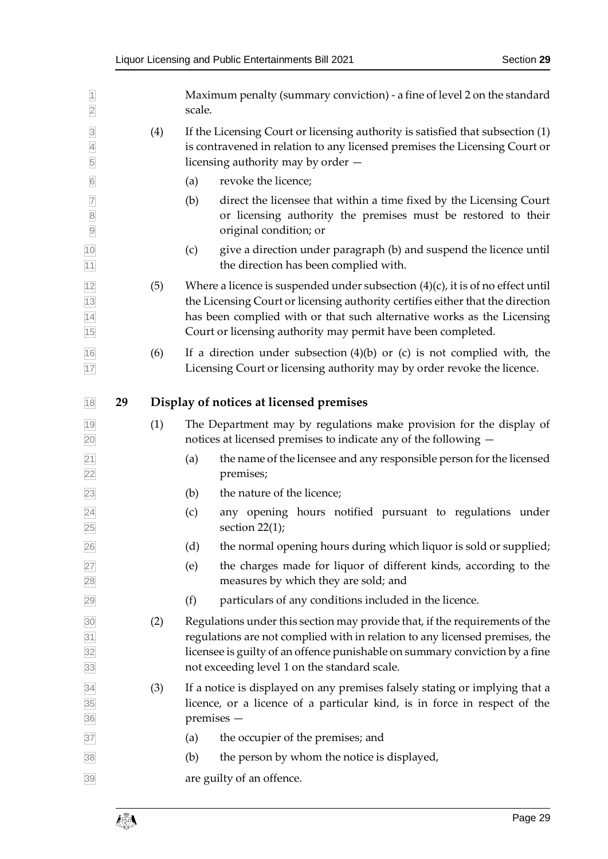<span id="page-28-0"></span>

| $\overline{1}$<br>$\overline{2}$      |    |     | Maximum penalty (summary conviction) - a fine of level 2 on the standard<br>scale.                                                                                                                                                                                                                            |
|---------------------------------------|----|-----|---------------------------------------------------------------------------------------------------------------------------------------------------------------------------------------------------------------------------------------------------------------------------------------------------------------|
| $\overline{3}$<br>$\overline{4}$<br>5 |    | (4) | If the Licensing Court or licensing authority is satisfied that subsection (1)<br>is contravened in relation to any licensed premises the Licensing Court or<br>licensing authority may by order $-$                                                                                                          |
| $6\overline{6}$                       |    |     | revoke the licence;<br>(a)                                                                                                                                                                                                                                                                                    |
| $\overline{7}$<br>8<br>9              |    |     | (b)<br>direct the licensee that within a time fixed by the Licensing Court<br>or licensing authority the premises must be restored to their<br>original condition; or                                                                                                                                         |
| 10<br>11                              |    |     | give a direction under paragraph (b) and suspend the licence until<br>(c)<br>the direction has been complied with.                                                                                                                                                                                            |
| 12<br>13<br>14<br>15                  |    | (5) | Where a licence is suspended under subsection $(4)(c)$ , it is of no effect until<br>the Licensing Court or licensing authority certifies either that the direction<br>has been complied with or that such alternative works as the Licensing<br>Court or licensing authority may permit have been completed. |
| 16<br>17                              |    | (6) | If a direction under subsection $(4)(b)$ or $(c)$ is not complied with, the<br>Licensing Court or licensing authority may by order revoke the licence.                                                                                                                                                        |
| 18                                    | 29 |     | Display of notices at licensed premises                                                                                                                                                                                                                                                                       |
| 19<br>20                              |    | (1) | The Department may by regulations make provision for the display of<br>notices at licensed premises to indicate any of the following -                                                                                                                                                                        |
| $\overline{21}$<br>22                 |    |     | the name of the licensee and any responsible person for the licensed<br>(a)<br>premises;                                                                                                                                                                                                                      |
| $\overline{23}$                       |    |     | the nature of the licence;<br>(b)                                                                                                                                                                                                                                                                             |
| $\overline{24}$<br>25                 |    |     | any opening hours notified pursuant to regulations under<br>(c)<br>section $22(1)$ ;                                                                                                                                                                                                                          |
| 26                                    |    |     | the normal opening hours during which liquor is sold or supplied;<br>(d)                                                                                                                                                                                                                                      |
| 27<br>28                              |    |     | the charges made for liquor of different kinds, according to the<br>(e)<br>measures by which they are sold; and                                                                                                                                                                                               |
| 29                                    |    |     | (f)<br>particulars of any conditions included in the licence.                                                                                                                                                                                                                                                 |
| 30<br>$\frac{31}{32}$ $\frac{32}{33}$ |    | (2) | Regulations under this section may provide that, if the requirements of the<br>regulations are not complied with in relation to any licensed premises, the<br>licensee is guilty of an offence punishable on summary conviction by a fine<br>not exceeding level 1 on the standard scale.                     |
| 34<br>35<br>36                        |    | (3) | If a notice is displayed on any premises falsely stating or implying that a<br>licence, or a licence of a particular kind, is in force in respect of the<br>premises -                                                                                                                                        |
| 37                                    |    |     | the occupier of the premises; and<br>(a)                                                                                                                                                                                                                                                                      |
| 38                                    |    |     | the person by whom the notice is displayed,<br>(b)                                                                                                                                                                                                                                                            |
| 39                                    |    |     | are guilty of an offence.                                                                                                                                                                                                                                                                                     |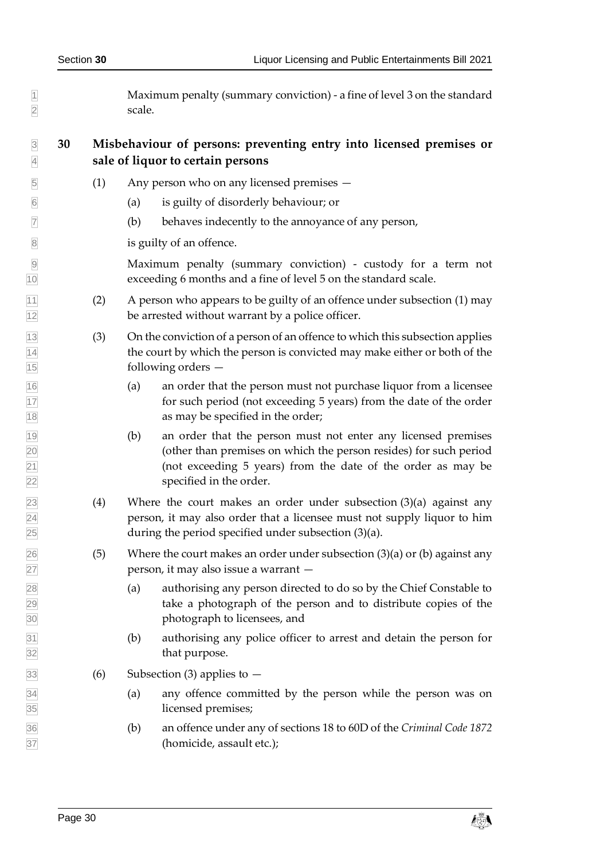Maximum penalty (summary conviction) - a fine of level 3 on the standard scale.

# <span id="page-29-0"></span> **30 Misbehaviour of persons: preventing entry into licensed premises or sale of liquor to certain persons**

- (1) Any person who on any licensed premises —
- (a) is guilty of disorderly behaviour; or
- $\triangledown$  (b) behaves indecently to the annoyance of any person,

is guilty of an offence.

 Maximum penalty (summary conviction) - custody for a term not exceeding 6 months and a fine of level 5 on the standard scale.

- $\frac{1}{11}$  (2) A person who appears to be guilty of an offence under subsection (1) may be arrested without warrant by a police officer.
- <span id="page-29-1"></span> (3) On the conviction of a person of an offence to which this subsection applies the court by which the person is convicted may make either or both of the following orders —
- (a) an order that the person must not purchase liquor from a licensee for such period (not exceeding 5 years) from the date of the order as may be specified in the order;
- (b) an order that the person must not enter any licensed premises (other than premises on which the person resides) for such period (not exceeding 5 years) from the date of the order as may be specified in the order.
- $\sqrt{23}$  (4) Where the court makes an order under subsection (3)(a) against any person, it may also order that a licensee must not supply liquor to him  $\sqrt{25}$  during the period specified under subsection (3)(a).
- $\sqrt{26}$  (5) Where the court makes an order under subsection (3)(a) or (b) against any person, it may also issue a warrant —
- (a) authorising any person directed to do so by the Chief Constable to take a photograph of the person and to distribute copies of the photograph to licensees, and
- (b) authorising any police officer to arrest and detain the person for 32 that purpose.
- $\boxed{33}$  (6) Subsection (3) applies to  $-$
- (a) any offence committed by the person while the person was on licensed premises;
- (b) an offence under any of sections 18 to 60D of the *Criminal Code 1872*  (homicide, assault etc.);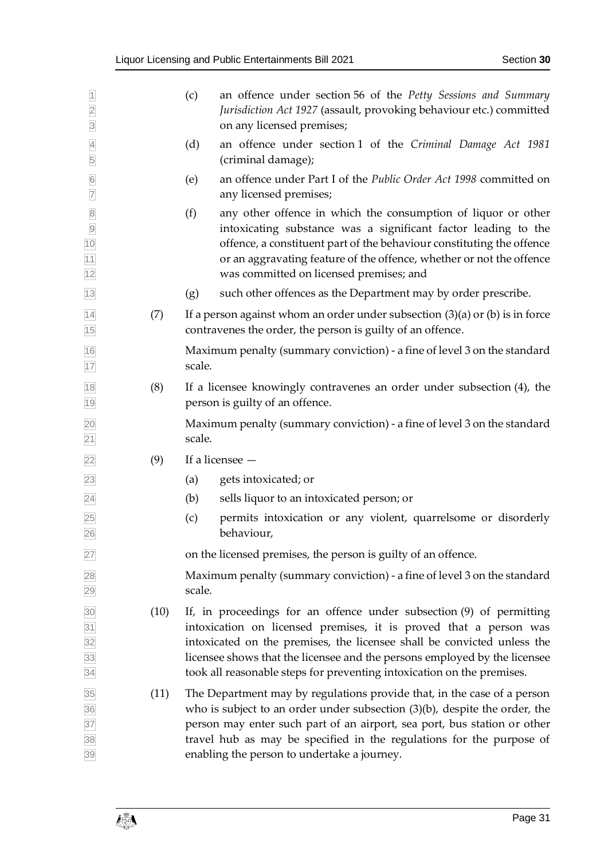|                                                             |      | an offence under section 56 of the Petty Sessions and Summary<br>(c)                                                                                                                                                                                                                                                                                                        |
|-------------------------------------------------------------|------|-----------------------------------------------------------------------------------------------------------------------------------------------------------------------------------------------------------------------------------------------------------------------------------------------------------------------------------------------------------------------------|
| $\overline{1}$<br>$\overline{2}$<br>$\overline{3}$          |      | Jurisdiction Act 1927 (assault, provoking behaviour etc.) committed<br>on any licensed premises;                                                                                                                                                                                                                                                                            |
| $\overline{4}$<br>$\overline{5}$                            |      | (d)<br>an offence under section 1 of the Criminal Damage Act 1981<br>(criminal damage);                                                                                                                                                                                                                                                                                     |
| $6\overline{6}$<br>$\overline{7}$                           |      | an offence under Part I of the Public Order Act 1998 committed on<br>(e)<br>any licensed premises;                                                                                                                                                                                                                                                                          |
| 8<br>9<br>10<br>11<br>12                                    |      | (f)<br>any other offence in which the consumption of liquor or other<br>intoxicating substance was a significant factor leading to the<br>offence, a constituent part of the behaviour constituting the offence<br>or an aggravating feature of the offence, whether or not the offence<br>was committed on licensed premises; and                                          |
| 13                                                          |      | such other offences as the Department may by order prescribe.<br>(g)                                                                                                                                                                                                                                                                                                        |
| $\frac{14}{15}$                                             | (7)  | If a person against whom an order under subsection $(3)(a)$ or $(b)$ is in force<br>contravenes the order, the person is guilty of an offence.                                                                                                                                                                                                                              |
| 16<br>17                                                    |      | Maximum penalty (summary conviction) - a fine of level 3 on the standard<br>scale.                                                                                                                                                                                                                                                                                          |
| $\boxed{18}$<br>19                                          | (8)  | If a licensee knowingly contravenes an order under subsection (4), the<br>person is guilty of an offence.                                                                                                                                                                                                                                                                   |
| 20<br>$\boxed{21}$                                          |      | Maximum penalty (summary conviction) - a fine of level 3 on the standard<br>scale.                                                                                                                                                                                                                                                                                          |
| $\overline{22}$                                             | (9)  | If a licensee $-$                                                                                                                                                                                                                                                                                                                                                           |
| 23                                                          |      | gets intoxicated; or<br>(a)                                                                                                                                                                                                                                                                                                                                                 |
| $\overline{24}$                                             |      | (b)<br>sells liquor to an intoxicated person; or                                                                                                                                                                                                                                                                                                                            |
| 25<br>26                                                    |      | permits intoxication or any violent, quarrelsome or disorderly<br>(c)<br>behaviour,                                                                                                                                                                                                                                                                                         |
| 27                                                          |      | on the licensed premises, the person is guilty of an offence.                                                                                                                                                                                                                                                                                                               |
| 28<br>29                                                    |      | Maximum penalty (summary conviction) - a fine of level 3 on the standard<br>scale.                                                                                                                                                                                                                                                                                          |
| 30<br>$\frac{31}{32}$<br>$\frac{32}{33}$<br>$\frac{33}{34}$ | (10) | If, in proceedings for an offence under subsection (9) of permitting<br>intoxication on licensed premises, it is proved that a person was<br>intoxicated on the premises, the licensee shall be convicted unless the<br>licensee shows that the licensee and the persons employed by the licensee<br>took all reasonable steps for preventing intoxication on the premises. |
| 35<br>36<br>37<br>38<br>39                                  | (11) | The Department may by regulations provide that, in the case of a person<br>who is subject to an order under subsection $(3)(b)$ , despite the order, the<br>person may enter such part of an airport, sea port, bus station or other<br>travel hub as may be specified in the regulations for the purpose of<br>enabling the person to undertake a journey.                 |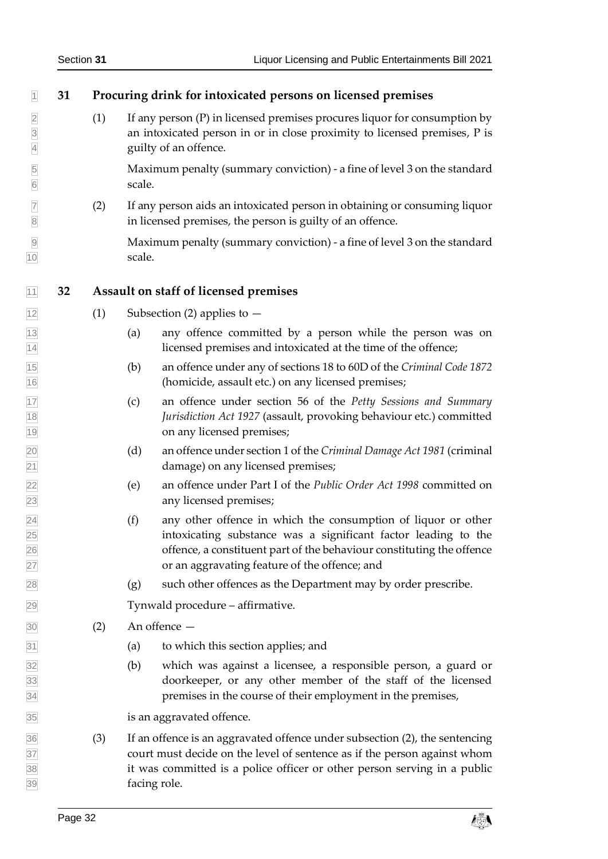<span id="page-31-1"></span><span id="page-31-0"></span>

| $\overline{1}$                   | 31 |     |        | Procuring drink for intoxicated persons on licensed premises                                                                                                                                                                                              |
|----------------------------------|----|-----|--------|-----------------------------------------------------------------------------------------------------------------------------------------------------------------------------------------------------------------------------------------------------------|
| $\frac{2}{3}$<br>$\overline{4}$  |    | (1) |        | If any person (P) in licensed premises procures liquor for consumption by<br>an intoxicated person in or in close proximity to licensed premises, P is<br>guilty of an offence.                                                                           |
| $\overline{5}$<br>$\overline{6}$ |    |     | scale. | Maximum penalty (summary conviction) - a fine of level 3 on the standard                                                                                                                                                                                  |
| $\overline{7}$<br>$\boxed{8}$    |    | (2) |        | If any person aids an intoxicated person in obtaining or consuming liquor<br>in licensed premises, the person is guilty of an offence.                                                                                                                    |
| $\overline{9}$<br>10             |    |     | scale. | Maximum penalty (summary conviction) - a fine of level 3 on the standard                                                                                                                                                                                  |
| 11                               | 32 |     |        | Assault on staff of licensed premises                                                                                                                                                                                                                     |
| 12                               |    | (1) |        | Subsection (2) applies to $-$                                                                                                                                                                                                                             |
| $\frac{13}{14}$                  |    |     | (a)    | any offence committed by a person while the person was on<br>licensed premises and intoxicated at the time of the offence;                                                                                                                                |
| $\frac{15}{16}$                  |    |     | (b)    | an offence under any of sections 18 to 60D of the Criminal Code 1872<br>(homicide, assault etc.) on any licensed premises;                                                                                                                                |
| 17<br>$\frac{18}{19}$            |    |     | (c)    | an offence under section 56 of the Petty Sessions and Summary<br>Jurisdiction Act 1927 (assault, provoking behaviour etc.) committed<br>on any licensed premises;                                                                                         |
| 20<br>21                         |    |     | (d)    | an offence under section 1 of the Criminal Damage Act 1981 (criminal<br>damage) on any licensed premises;                                                                                                                                                 |
| 22<br>23                         |    |     | (e)    | an offence under Part I of the Public Order Act 1998 committed on<br>any licensed premises;                                                                                                                                                               |
| $\frac{24}{25}$<br>26<br>27      |    |     | (f)    | any other offence in which the consumption of liquor or other<br>intoxicating substance was a significant factor leading to the<br>offence, a constituent part of the behaviour constituting the offence<br>or an aggravating feature of the offence; and |
| 28                               |    |     | (g)    | such other offences as the Department may by order prescribe.                                                                                                                                                                                             |
| 29                               |    |     |        | Tynwald procedure - affirmative.                                                                                                                                                                                                                          |
| 30                               |    | (2) |        | An offence -                                                                                                                                                                                                                                              |
| 31                               |    |     | (a)    | to which this section applies; and                                                                                                                                                                                                                        |
| 32<br>33<br>34                   |    |     | (b)    | which was against a licensee, a responsible person, a guard or<br>doorkeeper, or any other member of the staff of the licensed<br>premises in the course of their employment in the premises,                                                             |
| 35                               |    |     |        | is an aggravated offence.                                                                                                                                                                                                                                 |
| 36<br>37<br>38<br>39             |    | (3) |        | If an offence is an aggravated offence under subsection (2), the sentencing<br>court must decide on the level of sentence as if the person against whom<br>it was committed is a police officer or other person serving in a public<br>facing role.       |

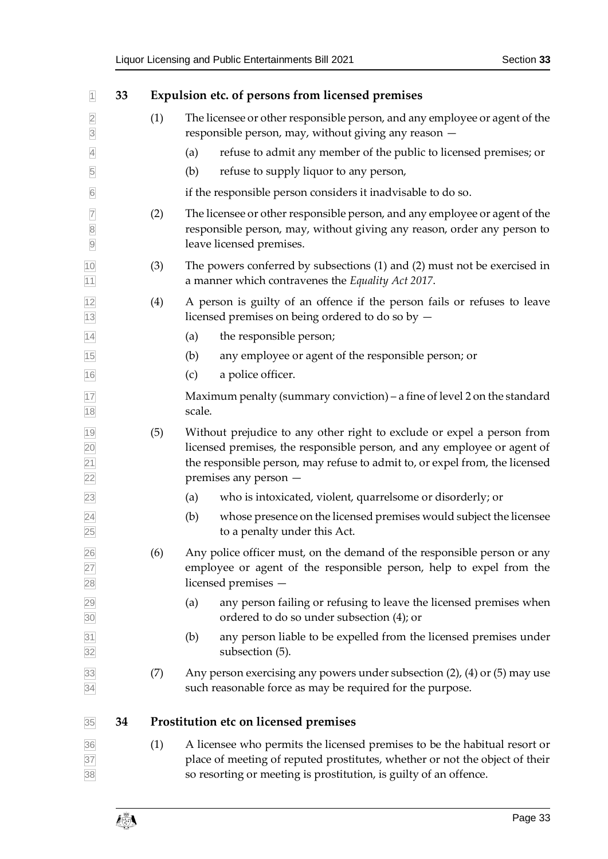<span id="page-32-4"></span><span id="page-32-3"></span><span id="page-32-2"></span><span id="page-32-1"></span><span id="page-32-0"></span>

| 1                                  | 33 |     | Expulsion etc. of persons from licensed premises                                                                                                                                                                                                          |
|------------------------------------|----|-----|-----------------------------------------------------------------------------------------------------------------------------------------------------------------------------------------------------------------------------------------------------------|
| $\overline{2}$<br>$\overline{3}$   |    | (1) | The licensee or other responsible person, and any employee or agent of the<br>responsible person, may, without giving any reason -                                                                                                                        |
| $\overline{4}$                     |    |     | refuse to admit any member of the public to licensed premises; or<br>(a)                                                                                                                                                                                  |
| $\overline{5}$                     |    |     | refuse to supply liquor to any person,<br>(b)                                                                                                                                                                                                             |
| $\boxed{6}$                        |    |     | if the responsible person considers it inadvisable to do so.                                                                                                                                                                                              |
| $\overline{7}$<br>8<br>9           |    | (2) | The licensee or other responsible person, and any employee or agent of the<br>responsible person, may, without giving any reason, order any person to<br>leave licensed premises.                                                                         |
| 10<br>11                           |    | (3) | The powers conferred by subsections (1) and (2) must not be exercised in<br>a manner which contravenes the Equality Act 2017.                                                                                                                             |
| $\frac{12}{13}$                    |    | (4) | A person is guilty of an offence if the person fails or refuses to leave<br>licensed premises on being ordered to do so by -                                                                                                                              |
| $\overline{14}$                    |    |     | the responsible person;<br>(a)                                                                                                                                                                                                                            |
| 15                                 |    |     | (b)<br>any employee or agent of the responsible person; or                                                                                                                                                                                                |
| 16                                 |    |     | a police officer.<br>(c)                                                                                                                                                                                                                                  |
| $\frac{17}{1}$<br>18               |    |     | Maximum penalty (summary conviction) – a fine of level 2 on the standard<br>scale.                                                                                                                                                                        |
| $\frac{19}{20}$<br>$\frac{21}{22}$ |    | (5) | Without prejudice to any other right to exclude or expel a person from<br>licensed premises, the responsible person, and any employee or agent of<br>the responsible person, may refuse to admit to, or expel from, the licensed<br>premises any person - |
| 23                                 |    |     | who is intoxicated, violent, quarrelsome or disorderly; or<br>(a)                                                                                                                                                                                         |
| $\frac{24}{25}$                    |    |     | whose presence on the licensed premises would subject the licensee<br>(b)<br>to a penalty under this Act.                                                                                                                                                 |
| 26<br>27<br>28<br>29<br>30         |    | (6) | Any police officer must, on the demand of the responsible person or any<br>employee or agent of the responsible person, help to expel from the<br>licensed premises -                                                                                     |
|                                    |    |     | any person failing or refusing to leave the licensed premises when<br>(a)<br>ordered to do so under subsection (4); or                                                                                                                                    |
| $\frac{31}{32}$                    |    |     | any person liable to be expelled from the licensed premises under<br>(b)<br>subsection (5).                                                                                                                                                               |
| $\frac{33}{34}$                    |    | (7) | Any person exercising any powers under subsection (2), (4) or (5) may use<br>such reasonable force as may be required for the purpose.                                                                                                                    |
| 35                                 | 34 |     | Prostitution etc on licensed premises                                                                                                                                                                                                                     |
| $\frac{36}{37}$                    |    | (1) | A licensee who permits the licensed premises to be the habitual resort or<br>place of meeting of reputed prostitutes, whether or not the object of their<br>so resorting or meeting is prostitution, is guilty of an offence.                             |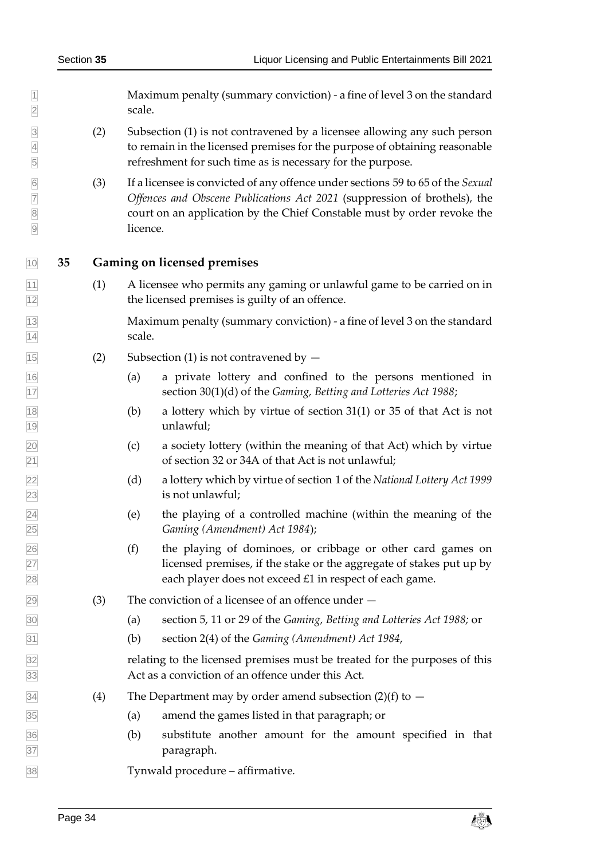Maximum penalty (summary conviction) - a fine of level 3 on the standard 2 scale.

- (2) Subsection (1) is not contravened by a licensee allowing any such person to remain in the licensed premises for the purpose of obtaining reasonable refreshment for such time as is necessary for the purpose.
- (3) If a licensee is convicted of any offence under sections 59 to 65 of the *Sexual Offences and Obscene Publications Act 2021* (suppression of brothels), the court on an application by the Chief Constable must by order revoke the licence.

#### <span id="page-33-0"></span>**35 Gaming on licensed premises**

 $\overline{11}$  (1) A licensee who permits any gaming or unlawful game to be carried on in the licensed premises is guilty of an offence.

 Maximum penalty (summary conviction) - a fine of level 3 on the standard 14 scale.

- $\sqrt{15}$  (2) Subsection (1) is not contravened by  $-$
- (a) a private lottery and confined to the persons mentioned in section 30(1)(d) of the *Gaming, Betting and Lotteries Act 1988*;
- $\boxed{18}$  (b) a lottery which by virtue of section 31(1) or 35 of that Act is not unlawful;
- (c) a society lottery (within the meaning of that Act) which by virtue of section 32 or 34A of that Act is not unlawful;
- (d) a lottery which by virtue of section 1 of the *National Lottery Act 1999* is not unlawful;
- (e) the playing of a controlled machine (within the meaning of the *Gaming (Amendment) Act 1984*);
- (f) the playing of dominoes, or cribbage or other card games on licensed premises, if the stake or the aggregate of stakes put up by each player does not exceed £1 in respect of each game.
- $\sqrt{29}$  (3) The conviction of a licensee of an offence under  $-$
- (a) section 5, 11 or 29 of the *Gaming, Betting and Lotteries Act 1988;* or
- (b) section 2(4) of the *Gaming (Amendment) Act 1984*,

 relating to the licensed premises must be treated for the purposes of this Act as a conviction of an offence under this Act.

- $\overline{34}$  (4) The Department may by order amend subsection (2)(f) to  $-$
- (a) amend the games listed in that paragraph; or
- (b) substitute another amount for the amount specified in that paragraph.

Tynwald procedure – affirmative.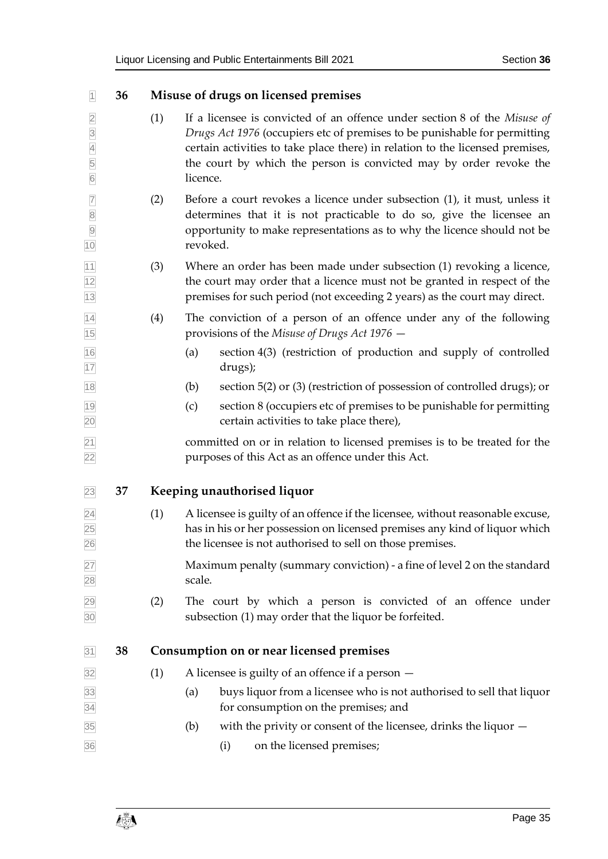<span id="page-34-2"></span><span id="page-34-1"></span><span id="page-34-0"></span>

| $\vert$ 1                                                            | 36 |     | Misuse of drugs on licensed premises                                                                                                                                                                                                                                                                                      |
|----------------------------------------------------------------------|----|-----|---------------------------------------------------------------------------------------------------------------------------------------------------------------------------------------------------------------------------------------------------------------------------------------------------------------------------|
| $\overline{2}$<br>$\overline{3}$<br>$\frac{4}{5}$<br>$6\overline{6}$ |    | (1) | If a licensee is convicted of an offence under section 8 of the Misuse of<br>Drugs Act 1976 (occupiers etc of premises to be punishable for permitting<br>certain activities to take place there) in relation to the licensed premises,<br>the court by which the person is convicted may by order revoke the<br>licence. |
| $\overline{7}$<br>8<br>9<br>10                                       |    | (2) | Before a court revokes a licence under subsection $(1)$ , it must, unless it<br>determines that it is not practicable to do so, give the licensee an<br>opportunity to make representations as to why the licence should not be<br>revoked.                                                                               |
| 11<br>12<br>13                                                       |    | (3) | Where an order has been made under subsection (1) revoking a licence,<br>the court may order that a licence must not be granted in respect of the<br>premises for such period (not exceeding 2 years) as the court may direct.                                                                                            |
| $\frac{14}{15}$                                                      |    | (4) | The conviction of a person of an offence under any of the following<br>provisions of the Misuse of Drugs Act 1976 –                                                                                                                                                                                                       |
| $\frac{16}{17}$                                                      |    |     | section 4(3) (restriction of production and supply of controlled<br>(a)<br>drugs);                                                                                                                                                                                                                                        |
| 18                                                                   |    |     | section 5(2) or (3) (restriction of possession of controlled drugs); or<br>(b)                                                                                                                                                                                                                                            |
| 19<br>20                                                             |    |     | section 8 (occupiers etc of premises to be punishable for permitting<br>(c)<br>certain activities to take place there),                                                                                                                                                                                                   |
| $\frac{21}{22}$                                                      |    |     | committed on or in relation to licensed premises is to be treated for the<br>purposes of this Act as an offence under this Act.                                                                                                                                                                                           |
| 23                                                                   | 37 |     | Keeping unauthorised liquor                                                                                                                                                                                                                                                                                               |
| $\frac{24}{25}$<br>26                                                |    | (1) | A licensee is guilty of an offence if the licensee, without reasonable excuse,<br>has in his or her possession on licensed premises any kind of liquor which<br>the licensee is not authorised to sell on those premises.                                                                                                 |
| $\frac{27}{28}$                                                      |    |     | Maximum penalty (summary conviction) - a fine of level 2 on the standard<br>scale.                                                                                                                                                                                                                                        |
| $\frac{29}{30}$                                                      |    | (2) | The court by which a person is convicted of an offence under<br>subsection (1) may order that the liquor be forfeited.                                                                                                                                                                                                    |
| 31                                                                   | 38 |     | Consumption on or near licensed premises                                                                                                                                                                                                                                                                                  |
| 32                                                                   |    | (1) | A licensee is guilty of an offence if a person $-$                                                                                                                                                                                                                                                                        |
| 33<br>34                                                             |    |     | buys liquor from a licensee who is not authorised to sell that liquor<br>(a)<br>for consumption on the premises; and                                                                                                                                                                                                      |
| 35<br>36                                                             |    |     | with the privity or consent of the licensee, drinks the liquor $-$<br>(b)<br>on the licensed premises;<br>(i)                                                                                                                                                                                                             |
|                                                                      |    |     |                                                                                                                                                                                                                                                                                                                           |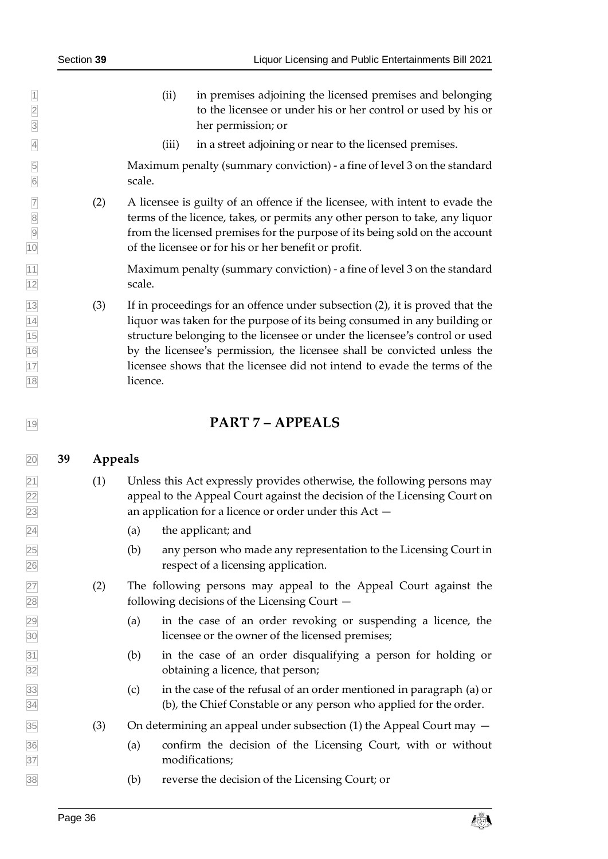- (ii) in premises adjoining the licensed premises and belonging to the licensee or under his or her control or used by his or her permission; or
- (iii) in a street adjoining or near to the licensed premises.

 Maximum penalty (summary conviction) - a fine of level 3 on the standard scale.

 (2) A licensee is guilty of an offence if the licensee, with intent to evade the terms of the licence, takes, or permits any other person to take, any liquor from the licensed premises for the purpose of its being sold on the account of the licensee or for his or her benefit or profit.

11 Maximum penalty (summary conviction) - a fine of level 3 on the standard 12 scale.

 (3) If in proceedings for an offence under subsection (2), it is proved that the liquor was taken for the purpose of its being consumed in any building or structure belonging to the licensee or under the licensee's control or used by the licensee's permission, the licensee shall be convicted unless the licensee shows that the licensee did not intend to evade the terms of the 18 licence.

# <span id="page-35-1"></span><span id="page-35-0"></span>**PART 7 – APPEALS**

#### **39 Appeals**

- $\boxed{21}$  (1) Unless this Act expressly provides otherwise, the following persons may appeal to the Appeal Court against the decision of the Licensing Court on an application for a licence or order under this Act —
- $\boxed{24}$  (a) the applicant; and
- (b) any person who made any representation to the Licensing Court in respect of a licensing application.
- (2) The following persons may appeal to the Appeal Court against the following decisions of the Licensing Court —
- (a) in the case of an order revoking or suspending a licence, the licensee or the owner of the licensed premises;
- (b) in the case of an order disqualifying a person for holding or obtaining a licence, that person;
- (c) in the case of the refusal of an order mentioned in paragraph (a) or (b), the Chief Constable or any person who applied for the order.
- (3) On determining an appeal under subsection (1) the Appeal Court may  $-$
- (a) confirm the decision of the Licensing Court, with or without modifications;
- (b) reverse the decision of the Licensing Court; or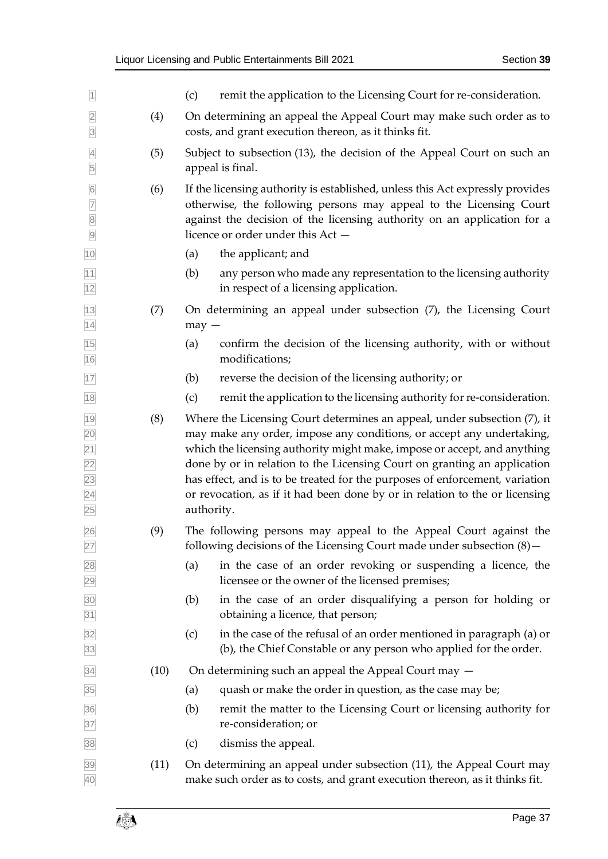| $\overline{1}$                                      |      | remit the application to the Licensing Court for re-consideration.<br>(c)                                                                                                                                                                                                                                                                                                                                                                                                             |  |  |  |  |  |  |
|-----------------------------------------------------|------|---------------------------------------------------------------------------------------------------------------------------------------------------------------------------------------------------------------------------------------------------------------------------------------------------------------------------------------------------------------------------------------------------------------------------------------------------------------------------------------|--|--|--|--|--|--|
| $\overline{2}$<br>$\overline{3}$                    | (4)  | On determining an appeal the Appeal Court may make such order as to<br>costs, and grant execution thereon, as it thinks fit.                                                                                                                                                                                                                                                                                                                                                          |  |  |  |  |  |  |
| $\overline{4}$<br>5                                 | (5)  | Subject to subsection (13), the decision of the Appeal Court on such an<br>appeal is final.                                                                                                                                                                                                                                                                                                                                                                                           |  |  |  |  |  |  |
| 00000                                               | (6)  | If the licensing authority is established, unless this Act expressly provides<br>otherwise, the following persons may appeal to the Licensing Court<br>against the decision of the licensing authority on an application for a<br>licence or order under this Act -                                                                                                                                                                                                                   |  |  |  |  |  |  |
| 10                                                  |      | (a)<br>the applicant; and                                                                                                                                                                                                                                                                                                                                                                                                                                                             |  |  |  |  |  |  |
| 11<br>12                                            |      | (b)<br>any person who made any representation to the licensing authority<br>in respect of a licensing application.                                                                                                                                                                                                                                                                                                                                                                    |  |  |  |  |  |  |
| 13<br>14                                            | (7)  | On determining an appeal under subsection (7), the Licensing Court<br>$may -$                                                                                                                                                                                                                                                                                                                                                                                                         |  |  |  |  |  |  |
| 15<br>16                                            |      | confirm the decision of the licensing authority, with or without<br>(a)<br>modifications;                                                                                                                                                                                                                                                                                                                                                                                             |  |  |  |  |  |  |
| 17                                                  |      | reverse the decision of the licensing authority; or<br>(b)                                                                                                                                                                                                                                                                                                                                                                                                                            |  |  |  |  |  |  |
| 18                                                  |      | remit the application to the licensing authority for re-consideration.<br>(c)                                                                                                                                                                                                                                                                                                                                                                                                         |  |  |  |  |  |  |
| 19<br>20<br>$\overline{21}$<br>22<br>23<br>24<br>25 | (8)  | Where the Licensing Court determines an appeal, under subsection (7), it<br>may make any order, impose any conditions, or accept any undertaking,<br>which the licensing authority might make, impose or accept, and anything<br>done by or in relation to the Licensing Court on granting an application<br>has effect, and is to be treated for the purposes of enforcement, variation<br>or revocation, as if it had been done by or in relation to the or licensing<br>authority. |  |  |  |  |  |  |
| 26<br>27                                            | (9)  | The following persons may appeal to the Appeal Court against the<br>following decisions of the Licensing Court made under subsection $(8)$ -                                                                                                                                                                                                                                                                                                                                          |  |  |  |  |  |  |
| 28<br>29                                            |      | in the case of an order revoking or suspending a licence, the<br>(a)<br>licensee or the owner of the licensed premises;                                                                                                                                                                                                                                                                                                                                                               |  |  |  |  |  |  |
| 30<br>31                                            |      | (b)<br>in the case of an order disqualifying a person for holding or<br>obtaining a licence, that person;                                                                                                                                                                                                                                                                                                                                                                             |  |  |  |  |  |  |
| 32<br>33                                            |      | (c)<br>in the case of the refusal of an order mentioned in paragraph (a) or<br>(b), the Chief Constable or any person who applied for the order.                                                                                                                                                                                                                                                                                                                                      |  |  |  |  |  |  |
| 34                                                  | (10) | On determining such an appeal the Appeal Court may -                                                                                                                                                                                                                                                                                                                                                                                                                                  |  |  |  |  |  |  |
| 35                                                  |      | quash or make the order in question, as the case may be;<br>(a)                                                                                                                                                                                                                                                                                                                                                                                                                       |  |  |  |  |  |  |
| 36<br>37                                            |      | (b)<br>remit the matter to the Licensing Court or licensing authority for<br>re-consideration; or                                                                                                                                                                                                                                                                                                                                                                                     |  |  |  |  |  |  |
| 38                                                  |      | (c)<br>dismiss the appeal.                                                                                                                                                                                                                                                                                                                                                                                                                                                            |  |  |  |  |  |  |
| 39<br>40                                            | (11) | On determining an appeal under subsection (11), the Appeal Court may<br>make such order as to costs, and grant execution thereon, as it thinks fit.                                                                                                                                                                                                                                                                                                                                   |  |  |  |  |  |  |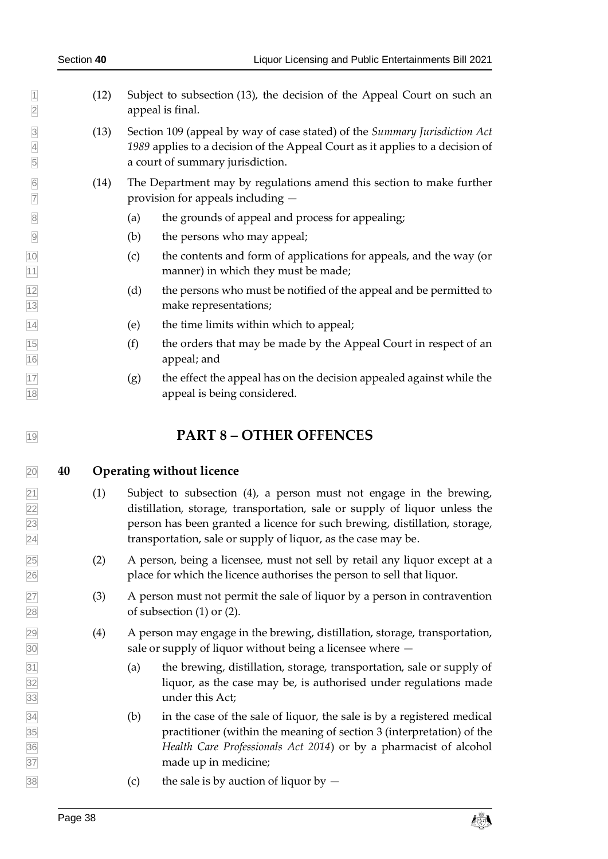- 1 (12) Subject to subsection (13), the decision of the Appeal Court on such an appeal is final.
- (13) Section 109 (appeal by way of case stated) of the *Summary Jurisdiction Act 1989* applies to a decision of the Appeal Court as it applies to a decision of a court of summary jurisdiction.
- 6 (14) The Department may by regulations amend this section to make further provision for appeals including  $$ provision for appeals including  $-$
- (a) the grounds of appeal and process for appealing;
- (b) the persons who may appeal;
- (c) the contents and form of applications for appeals, and the way (or 11 manner) in which they must be made;
- $\begin{bmatrix} 12 \\ 1 \end{bmatrix}$  (d) the persons who must be notified of the appeal and be permitted to make representations;
- $\boxed{14}$  (e) the time limits within which to appeal;
- $\frac{1}{15}$  (f) the orders that may be made by the Appeal Court in respect of an appeal; and
- $\frac{17}{17}$  (g) the effect the appeal has on the decision appealed against while the appeal is being considered.

## <span id="page-37-1"></span><span id="page-37-0"></span>**PART 8 – OTHER OFFENCES**

#### **40 Operating without licence**

- $\boxed{21}$  (1) Subject to subsection (4), a person must not engage in the brewing, distillation, storage, transportation, sale or supply of liquor unless the person has been granted a licence for such brewing, distillation, storage, transportation, sale or supply of liquor, as the case may be.
- (2) A person, being a licensee, must not sell by retail any liquor except at a place for which the licence authorises the person to sell that liquor.
- (3) A person must not permit the sale of liquor by a person in contravention of subsection (1) or (2).
- (4) A person may engage in the brewing, distillation, storage, transportation, sale or supply of liquor without being a licensee where —
- (a) the brewing, distillation, storage, transportation, sale or supply of liquor, as the case may be, is authorised under regulations made under this Act;
- (b) in the case of the sale of liquor, the sale is by a registered medical practitioner (within the meaning of section 3 (interpretation) of the *Health Care Professionals Act 2014*) or by a pharmacist of alcohol made up in medicine;
- $\frac{38}{38}$  (c) the sale is by auction of liquor by  $\sim$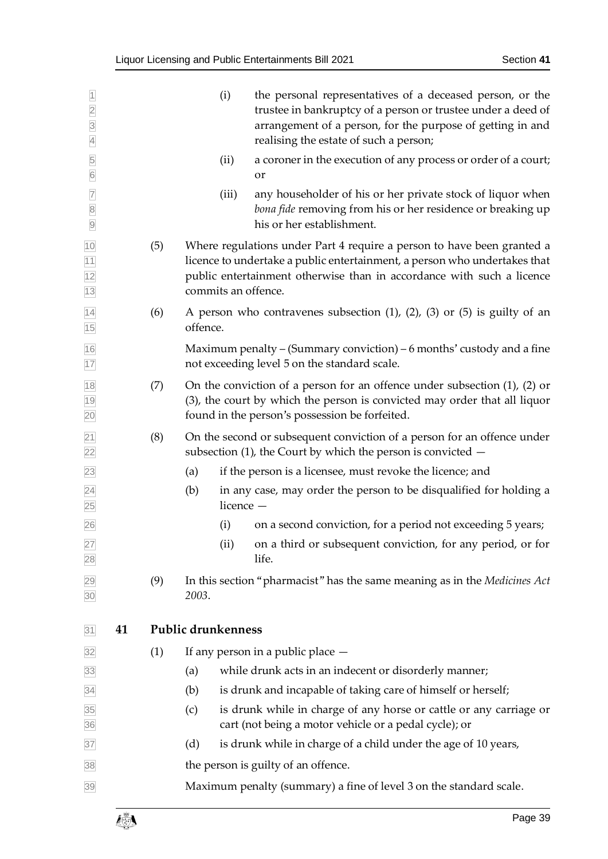<span id="page-38-0"></span>

| $\overline{1}$<br>$\frac{2}{3}$<br>$\overline{4}$                                                             |    |     |                    | (i)       | the personal representatives of a deceased person, or the<br>trustee in bankruptcy of a person or trustee under a deed of<br>arrangement of a person, for the purpose of getting in and<br>realising the estate of such a person;                   |
|---------------------------------------------------------------------------------------------------------------|----|-----|--------------------|-----------|-----------------------------------------------------------------------------------------------------------------------------------------------------------------------------------------------------------------------------------------------------|
| $\frac{5}{6}$                                                                                                 |    |     |                    | (ii)      | a coroner in the execution of any process or order of a court;<br>or                                                                                                                                                                                |
| $\begin{array}{ c c c }\hline \hline \text{7} & \text{8} \\ \hline \text{9} & \text{9} \\ \hline \end{array}$ |    |     |                    | (iii)     | any householder of his or her private stock of liquor when<br>bona fide removing from his or her residence or breaking up<br>his or her establishment.                                                                                              |
| $\frac{10}{11}$<br>$\frac{11}{12}$<br>13                                                                      |    | (5) |                    |           | Where regulations under Part 4 require a person to have been granted a<br>licence to undertake a public entertainment, a person who undertakes that<br>public entertainment otherwise than in accordance with such a licence<br>commits an offence. |
| 14<br>15                                                                                                      |    | (6) | offence.           |           | A person who contravenes subsection $(1)$ , $(2)$ , $(3)$ or $(5)$ is guilty of an                                                                                                                                                                  |
| 16<br>17                                                                                                      |    |     |                    |           | Maximum penalty – (Summary conviction) – 6 months' custody and a fine<br>not exceeding level 5 on the standard scale.                                                                                                                               |
| 18<br>19<br>20                                                                                                |    | (7) |                    |           | On the conviction of a person for an offence under subsection $(1)$ , $(2)$ or<br>(3), the court by which the person is convicted may order that all liquor<br>found in the person's possession be forfeited.                                       |
| $\overline{21}$<br>$\overline{22}$                                                                            |    | (8) |                    |           | On the second or subsequent conviction of a person for an offence under<br>subsection $(1)$ , the Court by which the person is convicted $-$                                                                                                        |
| 23                                                                                                            |    |     | (a)                |           | if the person is a licensee, must revoke the licence; and                                                                                                                                                                                           |
| $\overline{24}$<br>25                                                                                         |    |     | (b)                | licence - | in any case, may order the person to be disqualified for holding a                                                                                                                                                                                  |
| 26                                                                                                            |    |     |                    | (i)       | on a second conviction, for a period not exceeding 5 years;                                                                                                                                                                                         |
| 27<br>28                                                                                                      |    |     |                    | (ii)      | on a third or subsequent conviction, for any period, or for<br>life.                                                                                                                                                                                |
| 29<br>30                                                                                                      |    | (9) | 2003.              |           | In this section "pharmacist" has the same meaning as in the Medicines Act                                                                                                                                                                           |
| 31                                                                                                            | 41 |     | Public drunkenness |           |                                                                                                                                                                                                                                                     |
| 32                                                                                                            |    | (1) |                    |           | If any person in a public place $-$                                                                                                                                                                                                                 |
| 33                                                                                                            |    |     | (a)                |           | while drunk acts in an indecent or disorderly manner;                                                                                                                                                                                               |
| 34                                                                                                            |    |     | (b)                |           | is drunk and incapable of taking care of himself or herself;                                                                                                                                                                                        |
| 35<br>36                                                                                                      |    |     | (c)                |           | is drunk while in charge of any horse or cattle or any carriage or<br>cart (not being a motor vehicle or a pedal cycle); or                                                                                                                         |
| 37                                                                                                            |    |     | (d)                |           | is drunk while in charge of a child under the age of 10 years,                                                                                                                                                                                      |
| 38                                                                                                            |    |     |                    |           | the person is guilty of an offence.                                                                                                                                                                                                                 |
| 39                                                                                                            |    |     |                    |           | Maximum penalty (summary) a fine of level 3 on the standard scale.                                                                                                                                                                                  |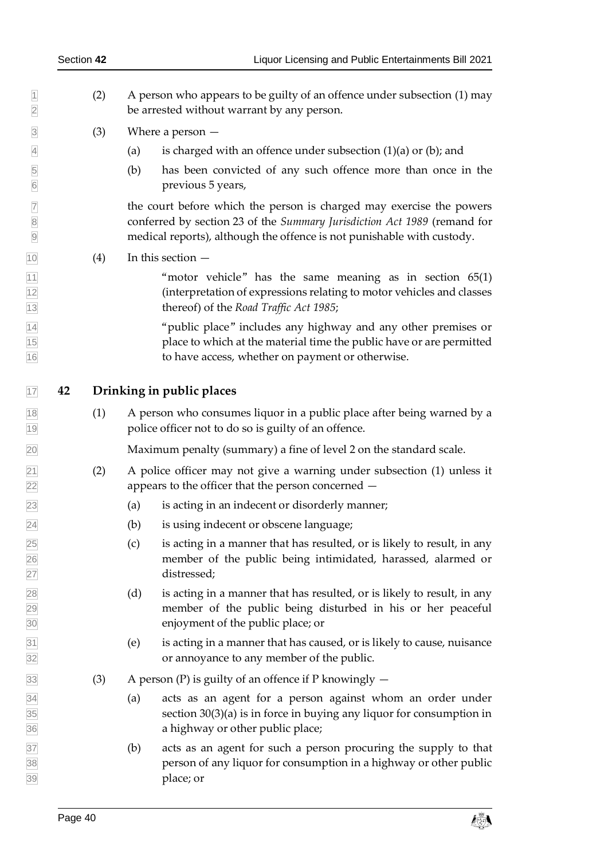- (2) A person who appears to be guilty of an offence under subsection (1) may be arrested without warrant by any person.
- $\boxed{3}$  (3) Where a person —
- $\overline{4}$  (a) is charged with an offence under subsection (1)(a) or (b); and
- (b) has been convicted of any such offence more than once in the previous 5 years,

 the court before which the person is charged may exercise the powers conferred by section 23 of the *Summary Jurisdiction Act 1989* (remand for medical reports), although the offence is not punishable with custody.

<span id="page-39-1"></span> $\boxed{10}$  (4) In this section  $-$ 

 $\frac{11}{11}$  "motor vehicle" has the same meaning as in section 65(1) (interpretation of expressions relating to motor vehicles and classes thereof) of the *Road Traffic Act 1985*;

 "public place" includes any highway and any other premises or place to which at the material time the public have or are permitted to have access, whether on payment or otherwise.

## <span id="page-39-0"></span>**42 Drinking in public places**

 (1) A person who consumes liquor in a public place after being warned by a police officer not to do so is guilty of an offence.

Maximum penalty (summary) a fine of level 2 on the standard scale.

- (2) A police officer may not give a warning under subsection (1) unless it appears to the officer that the person concerned —
- (a) is acting in an indecent or disorderly manner;
- (b) is using indecent or obscene language;
- $\sqrt{25}$  (c) is acting in a manner that has resulted, or is likely to result, in any member of the public being intimidated, harassed, alarmed or distressed;
- (d) is acting in a manner that has resulted, or is likely to result, in any member of the public being disturbed in his or her peaceful enjoyment of the public place; or
- (e) is acting in a manner that has caused, or is likely to cause, nuisance or annoyance to any member of the public.
- $\overline{33}$  (3) A person (P) is guilty of an offence if P knowingly  $-$
- (a) acts as an agent for a person against whom an order under section  $30(3)(a)$  $30(3)(a)$  is in force in buying any liquor for consumption in a highway or other public place;
- (b) acts as an agent for such a person procuring the supply to that person of any liquor for consumption in a highway or other public place; or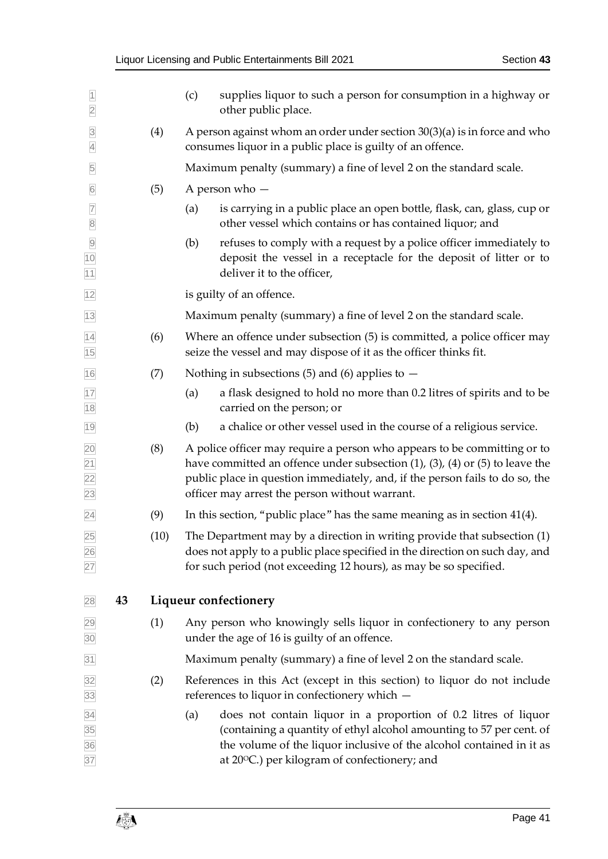<span id="page-40-0"></span>

| $\overline{1}$<br>$\overline{2}$      |      | supplies liquor to such a person for consumption in a highway or<br>(c)<br>other public place.                                                                                                                                                                                                       |  |  |  |  |  |
|---------------------------------------|------|------------------------------------------------------------------------------------------------------------------------------------------------------------------------------------------------------------------------------------------------------------------------------------------------------|--|--|--|--|--|
| $\overline{3}$<br>$\overline{4}$      | (4)  | A person against whom an order under section $30(3)(a)$ is in force and who<br>consumes liquor in a public place is guilty of an offence.                                                                                                                                                            |  |  |  |  |  |
| 5                                     |      | Maximum penalty (summary) a fine of level 2 on the standard scale.                                                                                                                                                                                                                                   |  |  |  |  |  |
| $6\overline{6}$                       | (5)  | A person who -                                                                                                                                                                                                                                                                                       |  |  |  |  |  |
| $\overline{7}$<br>$\boxed{8}$         |      | is carrying in a public place an open bottle, flask, can, glass, cup or<br>(a)<br>other vessel which contains or has contained liquor; and                                                                                                                                                           |  |  |  |  |  |
| $\frac{9}{10}$<br>11                  |      | refuses to comply with a request by a police officer immediately to<br>(b)<br>deposit the vessel in a receptacle for the deposit of litter or to<br>deliver it to the officer,                                                                                                                       |  |  |  |  |  |
| 12                                    |      | is guilty of an offence.                                                                                                                                                                                                                                                                             |  |  |  |  |  |
| $13$                                  |      | Maximum penalty (summary) a fine of level 2 on the standard scale.                                                                                                                                                                                                                                   |  |  |  |  |  |
| $\overline{14}$<br>15                 | (6)  | Where an offence under subsection (5) is committed, a police officer may<br>seize the vessel and may dispose of it as the officer thinks fit.                                                                                                                                                        |  |  |  |  |  |
| 16                                    | (7)  | Nothing in subsections (5) and (6) applies to $-$                                                                                                                                                                                                                                                    |  |  |  |  |  |
| 17<br>18                              |      | a flask designed to hold no more than 0.2 litres of spirits and to be<br>(a)<br>carried on the person; or                                                                                                                                                                                            |  |  |  |  |  |
| 19                                    |      | a chalice or other vessel used in the course of a religious service.<br>(b)                                                                                                                                                                                                                          |  |  |  |  |  |
| 20<br>$\frac{21}{22}$<br>23           | (8)  | A police officer may require a person who appears to be committing or to<br>have committed an offence under subsection $(1)$ , $(3)$ , $(4)$ or $(5)$ to leave the<br>public place in question immediately, and, if the person fails to do so, the<br>officer may arrest the person without warrant. |  |  |  |  |  |
| $\overline{24}$                       | (9)  | In this section, "public place" has the same meaning as in section $41(4)$ .                                                                                                                                                                                                                         |  |  |  |  |  |
| 25<br>$\frac{26}{27}$                 | (10) | The Department may by a direction in writing provide that subsection (1)<br>does not apply to a public place specified in the direction on such day, and<br>for such period (not exceeding 12 hours), as may be so specified.                                                                        |  |  |  |  |  |
| 43<br>28                              |      | Liqueur confectionery                                                                                                                                                                                                                                                                                |  |  |  |  |  |
| 29<br>30                              | (1)  | Any person who knowingly sells liquor in confectionery to any person<br>under the age of 16 is guilty of an offence.                                                                                                                                                                                 |  |  |  |  |  |
| 31                                    |      | Maximum penalty (summary) a fine of level 2 on the standard scale.                                                                                                                                                                                                                                   |  |  |  |  |  |
| 32<br>33                              | (2)  | References in this Act (except in this section) to liquor do not include<br>references to liquor in confectionery which -                                                                                                                                                                            |  |  |  |  |  |
| $\frac{34}{35}$ $\frac{36}{10}$<br>37 |      | does not contain liquor in a proportion of 0.2 litres of liquor<br>(a)<br>(containing a quantity of ethyl alcohol amounting to 57 per cent. of<br>the volume of the liquor inclusive of the alcohol contained in it as<br>at 20°C.) per kilogram of confectionery; and                               |  |  |  |  |  |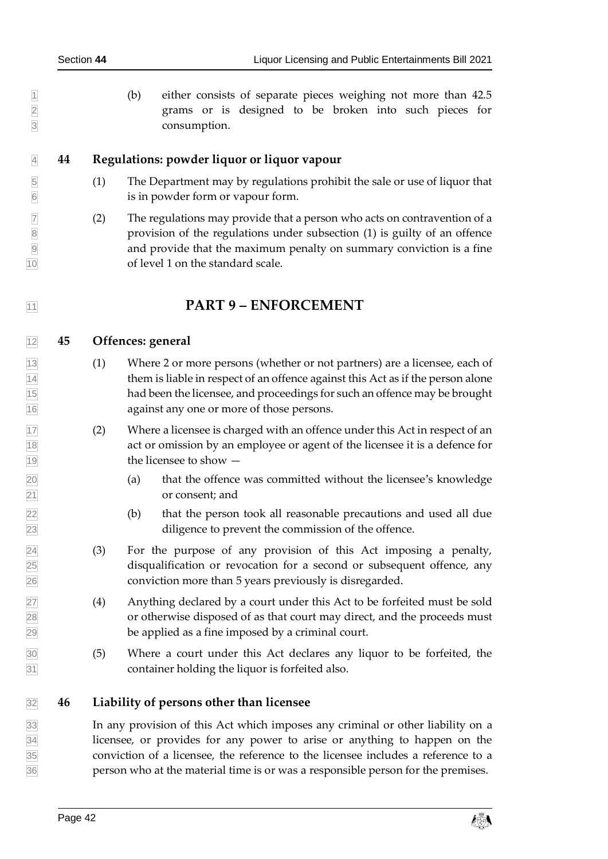1 (b) either consists of separate pieces weighing not more than 42.5 grams or is designed to be broken into such pieces for grams or is designed to be broken into such pieces for consumption.

#### <span id="page-41-0"></span>**44 Regulations: powder liquor or liquor vapour**

- (1) The Department may by regulations prohibit the sale or use of liquor that is in powder form or vapour form.
- $\overline{7}$  (2) The regulations may provide that a person who acts on contravention of a provision of the regulations under subsection (1) is guilty of an offence and provide that the maximum penalty on summary conviction is a fine of level 1 on the standard scale.

# <span id="page-41-2"></span><span id="page-41-1"></span>**PART 9 – ENFORCEMENT**

#### **45 Offences: general**

- (1) Where 2 or more persons (whether or not partners) are a licensee, each of them is liable in respect of an offence against this Act as if the person alone had been the licensee, and proceedings for such an offence may be brought against any one or more of those persons.
- (2) Where a licensee is charged with an offence under this Act in respect of an act or omission by an employee or agent of the licensee it is a defence for the licensee to show —
- (a) that the offence was committed without the licensee's knowledge or consent; and
- (b) that the person took all reasonable precautions and used all due diligence to prevent the commission of the offence.
- (3) For the purpose of any provision of this Act imposing a penalty, disqualification or revocation for a second or subsequent offence, any conviction more than 5 years previously is disregarded.
- (4) Anything declared by a court under this Act to be forfeited must be sold or otherwise disposed of as that court may direct, and the proceeds must be applied as a fine imposed by a criminal court.
- (5) Where a court under this Act declares any liquor to be forfeited, the container holding the liquor is forfeited also.

### <span id="page-41-3"></span>**46 Liability of persons other than licensee**

 In any provision of this Act which imposes any criminal or other liability on a licensee, or provides for any power to arise or anything to happen on the conviction of a licensee, the reference to the licensee includes a reference to a person who at the material time is or was a responsible person for the premises.

Page 42 contract the contract of the contract of  $\mathbb{Z}^2$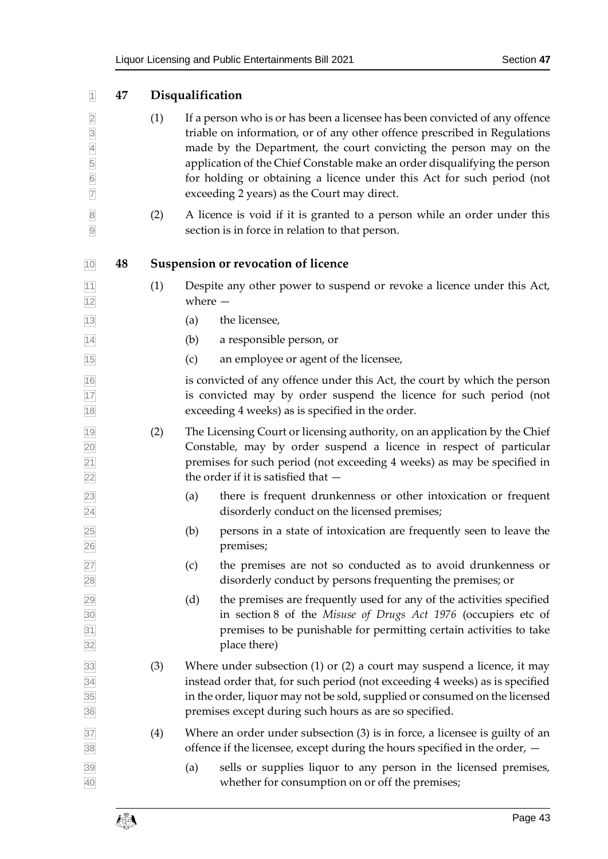<span id="page-42-1"></span><span id="page-42-0"></span>

| $\overline{1}$                                                                                      | 47 |     | Disqualification                                                                                                                                                                                                                                                                                                                                                                                                                     |
|-----------------------------------------------------------------------------------------------------|----|-----|--------------------------------------------------------------------------------------------------------------------------------------------------------------------------------------------------------------------------------------------------------------------------------------------------------------------------------------------------------------------------------------------------------------------------------------|
| $\overline{2}$<br>$\frac{3}{4}$<br>$\begin{array}{c c} 5 \\ \hline 6 \end{array}$<br>$\overline{7}$ |    | (1) | If a person who is or has been a licensee has been convicted of any offence<br>triable on information, or of any other offence prescribed in Regulations<br>made by the Department, the court convicting the person may on the<br>application of the Chief Constable make an order disqualifying the person<br>for holding or obtaining a licence under this Act for such period (not<br>exceeding 2 years) as the Court may direct. |
| $\bf 8$<br>$\overline{9}$                                                                           |    | (2) | A licence is void if it is granted to a person while an order under this<br>section is in force in relation to that person.                                                                                                                                                                                                                                                                                                          |
| 10                                                                                                  | 48 |     | <b>Suspension or revocation of licence</b>                                                                                                                                                                                                                                                                                                                                                                                           |
| $11$<br>12                                                                                          |    | (1) | Despite any other power to suspend or revoke a licence under this Act,<br>where $-$                                                                                                                                                                                                                                                                                                                                                  |
| 13                                                                                                  |    |     | the licensee,<br>(a)                                                                                                                                                                                                                                                                                                                                                                                                                 |
| 14                                                                                                  |    |     | (b)<br>a responsible person, or                                                                                                                                                                                                                                                                                                                                                                                                      |
| 15                                                                                                  |    |     | (c)<br>an employee or agent of the licensee,                                                                                                                                                                                                                                                                                                                                                                                         |
| 16<br>17<br>18                                                                                      |    |     | is convicted of any offence under this Act, the court by which the person<br>is convicted may by order suspend the licence for such period (not<br>exceeding 4 weeks) as is specified in the order.                                                                                                                                                                                                                                  |
| 19<br>20<br>$\overline{21}$<br>22                                                                   |    | (2) | The Licensing Court or licensing authority, on an application by the Chief<br>Constable, may by order suspend a licence in respect of particular<br>premises for such period (not exceeding 4 weeks) as may be specified in<br>the order if it is satisfied that $-$                                                                                                                                                                 |
| 23<br>$\overline{24}$                                                                               |    |     | there is frequent drunkenness or other intoxication or frequent<br>(a)<br>disorderly conduct on the licensed premises;                                                                                                                                                                                                                                                                                                               |
| 25<br>26                                                                                            |    |     | persons in a state of intoxication are frequently seen to leave the<br>(b)<br>premises;                                                                                                                                                                                                                                                                                                                                              |
| 27<br>28                                                                                            |    |     | (c)<br>the premises are not so conducted as to avoid drunkenness or<br>disorderly conduct by persons frequenting the premises; or                                                                                                                                                                                                                                                                                                    |
| $\frac{29}{30}$ $\frac{30}{31}$<br>32                                                               |    |     | the premises are frequently used for any of the activities specified<br>(d)<br>in section 8 of the Misuse of Drugs Act 1976 (occupiers etc of<br>premises to be punishable for permitting certain activities to take<br>place there)                                                                                                                                                                                                 |
| 33<br>34<br>35<br>36                                                                                |    | (3) | Where under subsection $(1)$ or $(2)$ a court may suspend a licence, it may<br>instead order that, for such period (not exceeding 4 weeks) as is specified<br>in the order, liquor may not be sold, supplied or consumed on the licensed<br>premises except during such hours as are so specified.                                                                                                                                   |
| 37<br>38                                                                                            |    | (4) | Where an order under subsection $(3)$ is in force, a licensee is guilty of an<br>offence if the licensee, except during the hours specified in the order, $-$                                                                                                                                                                                                                                                                        |
| 39<br>40                                                                                            |    |     | sells or supplies liquor to any person in the licensed premises,<br>(a)<br>whether for consumption on or off the premises;                                                                                                                                                                                                                                                                                                           |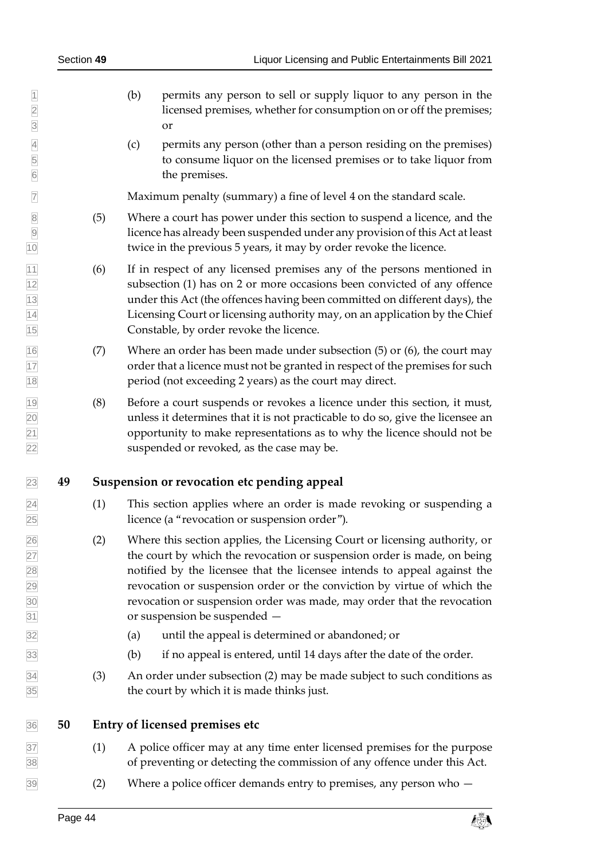- (b) permits any person to sell or supply liquor to any person in the licensed premises, whether for consumption on or off the premises; or
- (c) permits any person (other than a person residing on the premises) to consume liquor on the licensed premises or to take liquor from the premises.

Maximum penalty (summary) a fine of level 4 on the standard scale.

- (5) Where a court has power under this section to suspend a licence, and the licence has already been suspended under any provision of this Act at least twice in the previous 5 years, it may by order revoke the licence.
- (6) If in respect of any licensed premises any of the persons mentioned in subsection (1) has on 2 or more occasions been convicted of any offence under this Act (the offences having been committed on different days), the Licensing Court or licensing authority may, on an application by the Chief Constable, by order revoke the licence.
- (7) Where an order has been made under subsection (5) or (6), the court may order that a licence must not be granted in respect of the premises for such period (not exceeding 2 years) as the court may direct.
- (8) Before a court suspends or revokes a licence under this section, it must, unless it determines that it is not practicable to do so, give the licensee an opportunity to make representations as to why the licence should not be suspended or revoked, as the case may be.

### <span id="page-43-0"></span>**49 Suspension or revocation etc pending appeal**

- (1) This section applies where an order is made revoking or suspending a licence (a "revocation or suspension order").
- (2) Where this section applies, the Licensing Court or licensing authority, or the court by which the revocation or suspension order is made, on being notified by the licensee that the licensee intends to appeal against the revocation or suspension order or the conviction by virtue of which the revocation or suspension order was made, may order that the revocation or suspension be suspended —
- (a) until the appeal is determined or abandoned; or
- $\frac{33}{33}$  (b) if no appeal is entered, until 14 days after the date of the order.
- (3) An order under subsection (2) may be made subject to such conditions as the court by which it is made thinks just.

<span id="page-43-1"></span>

#### **50 Entry of licensed premises etc**

- (1) A police officer may at any time enter licensed premises for the purpose of preventing or detecting the commission of any offence under this Act.
- (2) Where a police officer demands entry to premises, any person who  $-$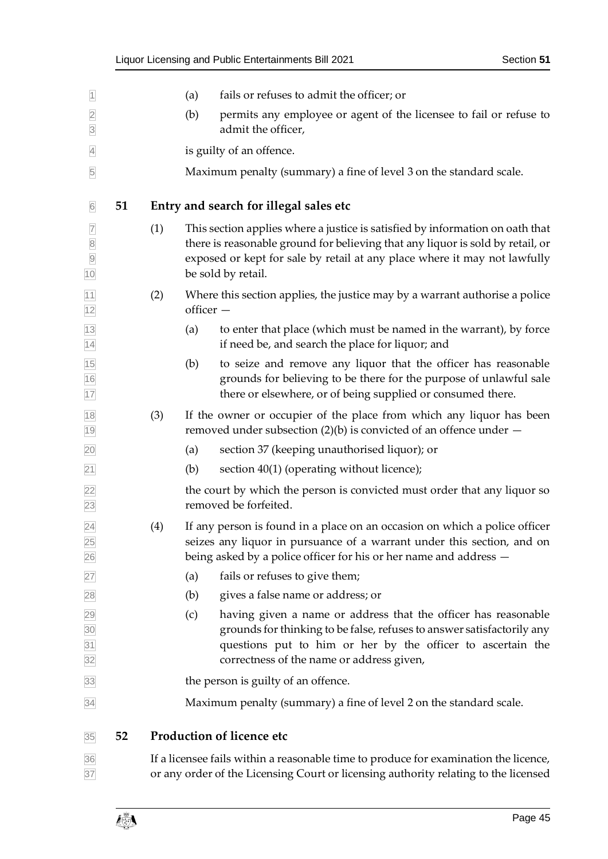<span id="page-44-1"></span><span id="page-44-0"></span>

| $\overline{1}$                            |    |     | (a)       | fails or refuses to admit the officer; or                                                                                                                                                                                                                          |
|-------------------------------------------|----|-----|-----------|--------------------------------------------------------------------------------------------------------------------------------------------------------------------------------------------------------------------------------------------------------------------|
| $\overline{2}$<br>$\overline{\mathbf{3}}$ |    |     | (b)       | permits any employee or agent of the licensee to fail or refuse to<br>admit the officer,                                                                                                                                                                           |
| $\overline{4}$                            |    |     |           | is guilty of an offence.                                                                                                                                                                                                                                           |
| $\overline{5}$                            |    |     |           | Maximum penalty (summary) a fine of level 3 on the standard scale.                                                                                                                                                                                                 |
| $\overline{6}$                            | 51 |     |           | Entry and search for illegal sales etc                                                                                                                                                                                                                             |
| $\overline{7}$<br>8<br>9<br>10            |    | (1) |           | This section applies where a justice is satisfied by information on oath that<br>there is reasonable ground for believing that any liquor is sold by retail, or<br>exposed or kept for sale by retail at any place where it may not lawfully<br>be sold by retail. |
| 11<br>12                                  |    | (2) | officer - | Where this section applies, the justice may by a warrant authorise a police                                                                                                                                                                                        |
| 13<br>$\overline{14}$                     |    |     | (a)       | to enter that place (which must be named in the warrant), by force<br>if need be, and search the place for liquor; and                                                                                                                                             |
| $\frac{15}{16}$<br>$\frac{1}{17}$         |    |     | (b)       | to seize and remove any liquor that the officer has reasonable<br>grounds for believing to be there for the purpose of unlawful sale<br>there or elsewhere, or of being supplied or consumed there.                                                                |
| 18<br>19                                  |    | (3) |           | If the owner or occupier of the place from which any liquor has been<br>removed under subsection (2)(b) is convicted of an offence under $-$                                                                                                                       |
| 20                                        |    |     | (a)       | section 37 (keeping unauthorised liquor); or                                                                                                                                                                                                                       |
| $\overline{21}$                           |    |     | (b)       | section 40(1) (operating without licence);                                                                                                                                                                                                                         |
| 22<br>23                                  |    |     |           | the court by which the person is convicted must order that any liquor so<br>removed be forfeited.                                                                                                                                                                  |
| $\overline{24}$<br>$\frac{25}{26}$        |    | (4) |           | If any person is found in a place on an occasion on which a police officer<br>seizes any liquor in pursuance of a warrant under this section, and on<br>being asked by a police officer for his or her name and address –                                          |
| 27                                        |    |     | (a)       | fails or refuses to give them;                                                                                                                                                                                                                                     |
| 28                                        |    |     | (b)       | gives a false name or address; or                                                                                                                                                                                                                                  |
| 29<br>30<br>31<br>31<br>32                |    |     | (c)       | having given a name or address that the officer has reasonable<br>grounds for thinking to be false, refuses to answer satisfactorily any<br>questions put to him or her by the officer to ascertain the<br>correctness of the name or address given,               |
| 33                                        |    |     |           | the person is guilty of an offence.                                                                                                                                                                                                                                |
| 34                                        |    |     |           | Maximum penalty (summary) a fine of level 2 on the standard scale.                                                                                                                                                                                                 |
| 35                                        | 52 |     |           | <b>Production of licence etc</b>                                                                                                                                                                                                                                   |
| $\frac{36}{37}$                           |    |     |           | If a licensee fails within a reasonable time to produce for examination the licence,<br>or any order of the Licensing Court or licensing authority relating to the licensed                                                                                        |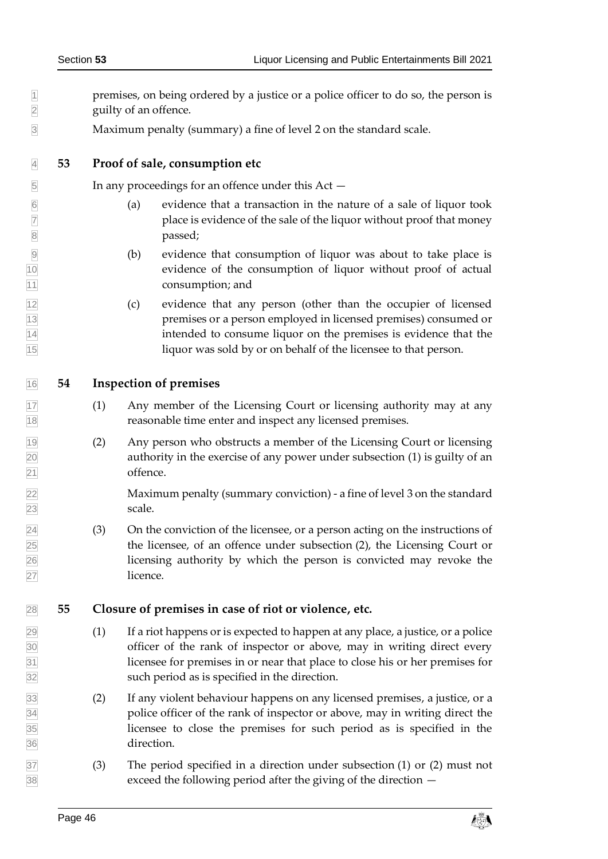- premises, on being ordered by a justice or a police officer to do so, the person is guilty of an offence.
- <span id="page-45-0"></span>Maximum penalty (summary) a fine of level 2 on the standard scale.

#### **53 Proof of sale, consumption etc**

In any proceedings for an offence under this Act —

- $\boxed{6}$  (a) evidence that a transaction in the nature of a sale of liquor took place is evidence of the sale of the liquor without proof that money **a** passed;
- (b) evidence that consumption of liquor was about to take place is evidence of the consumption of liquor without proof of actual consumption; and
- (c) evidence that any person (other than the occupier of licensed premises or a person employed in licensed premises) consumed or intended to consume liquor on the premises is evidence that the liquor was sold by or on behalf of the licensee to that person.
- <span id="page-45-1"></span>**54 Inspection of premises**
- (1) Any member of the Licensing Court or licensing authority may at any reasonable time enter and inspect any licensed premises.
- (2) Any person who obstructs a member of the Licensing Court or licensing authority in the exercise of any power under subsection (1) is guilty of an offence.

 Maximum penalty (summary conviction) - a fine of level 3 on the standard scale.

 $\sqrt{24}$  (3) On the conviction of the licensee, or a person acting on the instructions of the licensee, of an offence under subsection (2), the Licensing Court or licensing authority by which the person is convicted may revoke the licence.

#### <span id="page-45-2"></span>**55 Closure of premises in case of riot or violence, etc.**

- $\sqrt{29}$  (1) If a riot happens or is expected to happen at any place, a justice, or a police officer of the rank of inspector or above, may in writing direct every licensee for premises in or near that place to close his or her premises for such period as is specified in the direction.
- (2) If any violent behaviour happens on any licensed premises, a justice, or a police officer of the rank of inspector or above, may in writing direct the licensee to close the premises for such period as is specified in the direction.
- (3) The period specified in a direction under subsection (1) or (2) must not exceed the following period after the giving of the direction —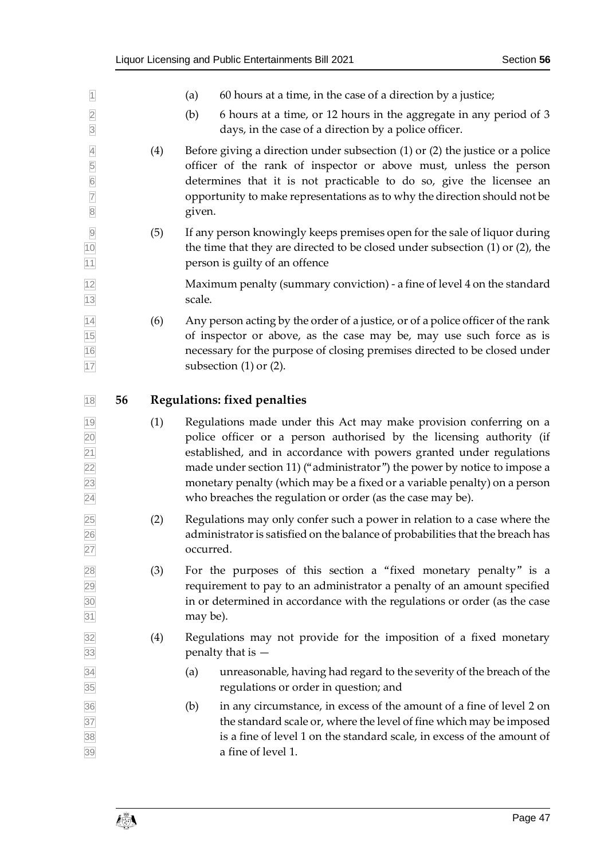<span id="page-46-0"></span>

| $\overline{1}$                                             |    |     | (a)<br>60 hours at a time, in the case of a direction by a justice;                                                                                                                                                                                                                                                                                                                                                                       |  |  |
|------------------------------------------------------------|----|-----|-------------------------------------------------------------------------------------------------------------------------------------------------------------------------------------------------------------------------------------------------------------------------------------------------------------------------------------------------------------------------------------------------------------------------------------------|--|--|
| $\overline{2}$<br>$\overline{3}$                           |    |     | 6 hours at a time, or 12 hours in the aggregate in any period of 3<br>(b)<br>days, in the case of a direction by a police officer.                                                                                                                                                                                                                                                                                                        |  |  |
| $\overline{4}$<br>5<br>6<br>7<br>8                         |    | (4) | Before giving a direction under subsection $(1)$ or $(2)$ the justice or a police<br>officer of the rank of inspector or above must, unless the person<br>determines that it is not practicable to do so, give the licensee an<br>opportunity to make representations as to why the direction should not be<br>given.                                                                                                                     |  |  |
| $\overline{9}$<br>10<br>11                                 |    | (5) | If any person knowingly keeps premises open for the sale of liquor during<br>the time that they are directed to be closed under subsection $(1)$ or $(2)$ , the<br>person is guilty of an offence                                                                                                                                                                                                                                         |  |  |
| 12<br>13                                                   |    |     | Maximum penalty (summary conviction) - a fine of level 4 on the standard<br>scale.                                                                                                                                                                                                                                                                                                                                                        |  |  |
| 14<br>15<br>16<br>17                                       |    | (6) | Any person acting by the order of a justice, or of a police officer of the rank<br>of inspector or above, as the case may be, may use such force as is<br>necessary for the purpose of closing premises directed to be closed under<br>subsection $(1)$ or $(2)$ .                                                                                                                                                                        |  |  |
| 18                                                         | 56 |     | <b>Regulations: fixed penalties</b>                                                                                                                                                                                                                                                                                                                                                                                                       |  |  |
| 19<br>20<br>$\overline{21}$<br>22<br>23<br>$\overline{24}$ |    | (1) | Regulations made under this Act may make provision conferring on a<br>police officer or a person authorised by the licensing authority (if<br>established, and in accordance with powers granted under regulations<br>made under section 11) ("administrator") the power by notice to impose a<br>monetary penalty (which may be a fixed or a variable penalty) on a person<br>who breaches the regulation or order (as the case may be). |  |  |
| 25<br>26<br>27                                             |    | (2) | Regulations may only confer such a power in relation to a case where the<br>administrator is satisfied on the balance of probabilities that the breach has<br>occurred.                                                                                                                                                                                                                                                                   |  |  |
| 28<br>29<br>30<br>31                                       |    | (3) | For the purposes of this section a "fixed monetary penalty" is a<br>requirement to pay to an administrator a penalty of an amount specified<br>in or determined in accordance with the regulations or order (as the case<br>may be).                                                                                                                                                                                                      |  |  |
| 32<br>33                                                   |    | (4) | Regulations may not provide for the imposition of a fixed monetary<br>penalty that is -                                                                                                                                                                                                                                                                                                                                                   |  |  |
|                                                            |    |     |                                                                                                                                                                                                                                                                                                                                                                                                                                           |  |  |
| 34<br>35                                                   |    |     | unreasonable, having had regard to the severity of the breach of the<br>(a)<br>regulations or order in question; and                                                                                                                                                                                                                                                                                                                      |  |  |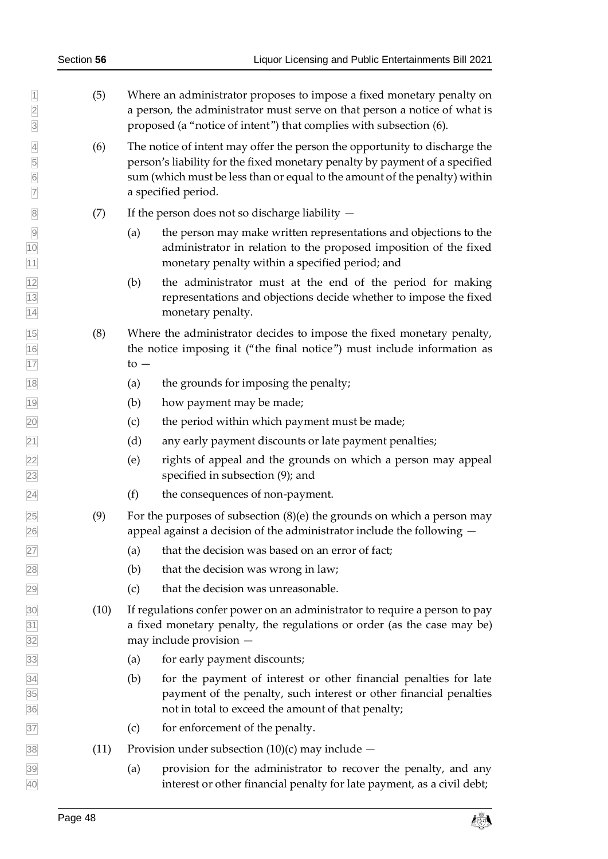|                                                                                             | Section 56 | Liquor Licensing and Public Entertainments Bill 2021                                                                                                                                                                                                           |  |  |
|---------------------------------------------------------------------------------------------|------------|----------------------------------------------------------------------------------------------------------------------------------------------------------------------------------------------------------------------------------------------------------------|--|--|
| $\overline{1}$<br>$\overline{2}$<br>$\overline{3}$                                          | (5)        | Where an administrator proposes to impose a fixed monetary penalty on<br>a person, the administrator must serve on that person a notice of what is<br>proposed (a "notice of intent") that complies with subsection (6).                                       |  |  |
| $\overline{4}$<br>5<br>$\overline{6}$<br>$\overline{7}$                                     | (6)        | The notice of intent may offer the person the opportunity to discharge the<br>person's liability for the fixed monetary penalty by payment of a specified<br>sum (which must be less than or equal to the amount of the penalty) within<br>a specified period. |  |  |
| $\overline{8}$                                                                              | (7)        | If the person does not so discharge liability $-$                                                                                                                                                                                                              |  |  |
| $\overline{9}$<br>$\overline{10}$                                                           |            | the person may make written representations and objections to the<br>(a)<br>administrator in relation to the proposed imposition of the fixed<br>monetary penalty within a specified period; and                                                               |  |  |
| $\frac{11}{12}$<br>$\frac{12}{13}$<br>$\frac{13}{14}$                                       |            | the administrator must at the end of the period for making<br>(b)<br>representations and objections decide whether to impose the fixed<br>monetary penalty.                                                                                                    |  |  |
| $\frac{15}{16}$<br>$\frac{1}{17}$                                                           | (8)        | Where the administrator decides to impose the fixed monetary penalty,<br>the notice imposing it ("the final notice") must include information as<br>$\mathfrak{t}$ <sup><math>\circ</math></sup> $\mathfrak{-}$                                                |  |  |
| $\frac{18}{1}$                                                                              |            | the grounds for imposing the penalty;<br>(a)                                                                                                                                                                                                                   |  |  |
| $\frac{19}{2}$                                                                              |            | (b)<br>how payment may be made;                                                                                                                                                                                                                                |  |  |
| $\overline{20}$                                                                             |            | the period within which payment must be made;<br>(c)                                                                                                                                                                                                           |  |  |
|                                                                                             |            | (d)<br>any early payment discounts or late payment penalties;                                                                                                                                                                                                  |  |  |
| $\frac{21}{22}$<br>$\frac{22}{23}$<br>$\frac{24}{24}$                                       |            | (e)<br>rights of appeal and the grounds on which a person may appeal<br>specified in subsection (9); and                                                                                                                                                       |  |  |
|                                                                                             |            | the consequences of non-payment.<br>(f)                                                                                                                                                                                                                        |  |  |
| $\frac{25}{26}$ $\frac{27}{28}$                                                             | (9)        | For the purposes of subsection $(8)(e)$ the grounds on which a person may<br>appeal against a decision of the administrator include the following $-$                                                                                                          |  |  |
|                                                                                             |            | that the decision was based on an error of fact;<br>(a)                                                                                                                                                                                                        |  |  |
|                                                                                             |            | that the decision was wrong in law;<br>(b)                                                                                                                                                                                                                     |  |  |
| $\overline{29}$                                                                             |            | that the decision was unreasonable.<br>(c)                                                                                                                                                                                                                     |  |  |
|                                                                                             | (10)       | If regulations confer power on an administrator to require a person to pay<br>a fixed monetary penalty, the regulations or order (as the case may be)<br>may include provision -                                                                               |  |  |
|                                                                                             |            | for early payment discounts;<br>(a)                                                                                                                                                                                                                            |  |  |
| $\frac{30}{31}$<br>$\frac{31}{32}$<br>$\frac{33}{33}$<br>$\frac{34}{35}$<br>$\frac{35}{36}$ |            | (b)<br>for the payment of interest or other financial penalties for late<br>payment of the penalty, such interest or other financial penalties<br>not in total to exceed the amount of that penalty;                                                           |  |  |
| 37                                                                                          |            | for enforcement of the penalty.<br>(c)                                                                                                                                                                                                                         |  |  |
| $\overline{38}$                                                                             | (11)       | Provision under subsection $(10)(c)$ may include $-$                                                                                                                                                                                                           |  |  |
| $\frac{39}{40}$                                                                             |            | provision for the administrator to recover the penalty, and any<br>(a)<br>interest or other financial penalty for late payment, as a civil debt;                                                                                                               |  |  |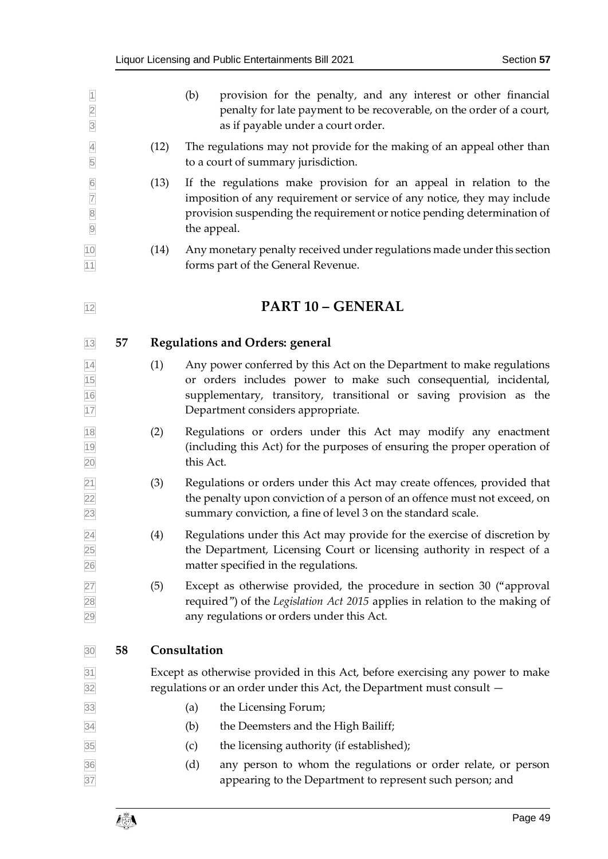<span id="page-48-2"></span><span id="page-48-1"></span><span id="page-48-0"></span>

| $\overline{1}$<br>$\overline{2}$<br>$\overline{3}$                                                    |    |      | provision for the penalty, and any interest or other financial<br>(b)<br>penalty for late payment to be recoverable, on the order of a court,<br>as if payable under a court order.                                                                  |  |
|-------------------------------------------------------------------------------------------------------|----|------|------------------------------------------------------------------------------------------------------------------------------------------------------------------------------------------------------------------------------------------------------|--|
| $\overline{4}$<br>5                                                                                   |    | (12) | The regulations may not provide for the making of an appeal other than<br>to a court of summary jurisdiction.                                                                                                                                        |  |
| $\overline{6}$<br>$\overline{7}$<br>$\begin{array}{ c c } \hline 8 \\ \hline 9 \\ \hline \end{array}$ |    | (13) | If the regulations make provision for an appeal in relation to the<br>imposition of any requirement or service of any notice, they may include<br>provision suspending the requirement or notice pending determination of<br>the appeal.             |  |
| 10<br>11                                                                                              |    | (14) | Any monetary penalty received under regulations made under this section<br>forms part of the General Revenue.                                                                                                                                        |  |
| 12                                                                                                    |    |      | <b>PART 10 - GENERAL</b>                                                                                                                                                                                                                             |  |
| 13                                                                                                    | 57 |      | <b>Regulations and Orders: general</b>                                                                                                                                                                                                               |  |
| $\frac{14}{15}$<br>$\frac{15}{16}$<br>$\frac{1}{17}$                                                  |    | (1)  | Any power conferred by this Act on the Department to make regulations<br>or orders includes power to make such consequential, incidental,<br>supplementary, transitory, transitional or saving provision as the<br>Department considers appropriate. |  |
| 18<br>19<br>20                                                                                        |    | (2)  | Regulations or orders under this Act may modify any enactment<br>(including this Act) for the purposes of ensuring the proper operation of<br>this Act.                                                                                              |  |
| $\frac{21}{22}$ $\frac{22}{23}$                                                                       |    | (3)  | Regulations or orders under this Act may create offences, provided that<br>the penalty upon conviction of a person of an offence must not exceed, on<br>summary conviction, a fine of level 3 on the standard scale.                                 |  |
| 24<br>25<br>26                                                                                        |    | (4)  | Regulations under this Act may provide for the exercise of discretion by<br>the Department, Licensing Court or licensing authority in respect of a<br>matter specified in the regulations.                                                           |  |
| $\frac{27}{28}$<br>29                                                                                 |    | (5)  | Except as otherwise provided, the procedure in section 30 ("approval<br>required") of the Legislation Act 2015 applies in relation to the making of<br>any regulations or orders under this Act.                                                     |  |
| 30                                                                                                    | 58 |      | Consultation                                                                                                                                                                                                                                         |  |
| 31<br>32                                                                                              |    |      | Except as otherwise provided in this Act, before exercising any power to make<br>regulations or an order under this Act, the Department must consult -                                                                                               |  |
| 33                                                                                                    |    |      | the Licensing Forum;<br>(a)                                                                                                                                                                                                                          |  |
| 34                                                                                                    |    |      | the Deemsters and the High Bailiff;<br>(b)                                                                                                                                                                                                           |  |
| 35                                                                                                    |    |      | the licensing authority (if established);<br>(c)                                                                                                                                                                                                     |  |
| 36<br>37                                                                                              |    |      | (d)<br>any person to whom the regulations or order relate, or person<br>appearing to the Department to represent such person; and                                                                                                                    |  |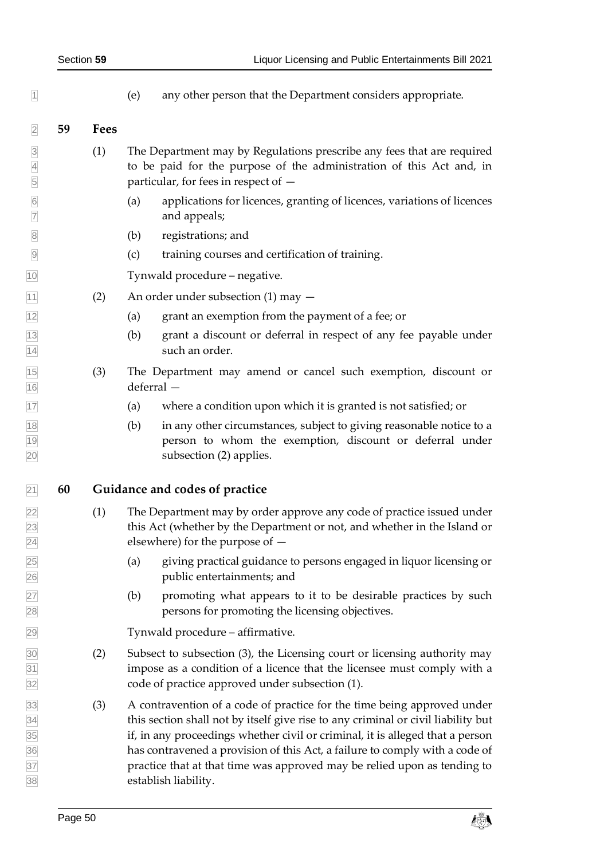<span id="page-49-0"></span> $\mathbb{I}$  (e) any other person that the Department considers appropriate.

#### **59 Fees**

- (1) The Department may by Regulations prescribe any fees that are required to be paid for the purpose of the administration of this Act and, in particular, for fees in respect of —
- (a) applications for licences, granting of licences, variations of licences and appeals;
- (b) registrations; and
- (c) training courses and certification of training.

Tynwald procedure – negative.

- $\boxed{11}$  (2) An order under subsection (1) may  $-$
- (a) grant an exemption from the payment of a fee; or
- (b) grant a discount or deferral in respect of any fee payable under 14 such an order.
- (3) The Department may amend or cancel such exemption, discount or deferral —
- (a) where a condition upon which it is granted is not satisfied; or
- $\frac{18}{18}$  (b) in any other circumstances, subject to giving reasonable notice to a person to whom the exemption, discount or deferral under subsection (2) applies.
- <span id="page-49-1"></span>**60 Guidance and codes of practice**
- (1) The Department may by order approve any code of practice issued under this Act (whether by the Department or not, and whether in the Island or elsewhere) for the purpose of —
- (a) giving practical guidance to persons engaged in liquor licensing or public entertainments; and
- (b) promoting what appears to it to be desirable practices by such persons for promoting the licensing objectives.

Tynwald procedure – affirmative.

- (2) Subsect to subsection (3), the Licensing court or licensing authority may impose as a condition of a licence that the licensee must comply with a code of practice approved under subsection (1).
- (3) A contravention of a code of practice for the time being approved under this section shall not by itself give rise to any criminal or civil liability but if, in any proceedings whether civil or criminal, it is alleged that a person has contravened a provision of this Act, a failure to comply with a code of practice that at that time was approved may be relied upon as tending to establish liability.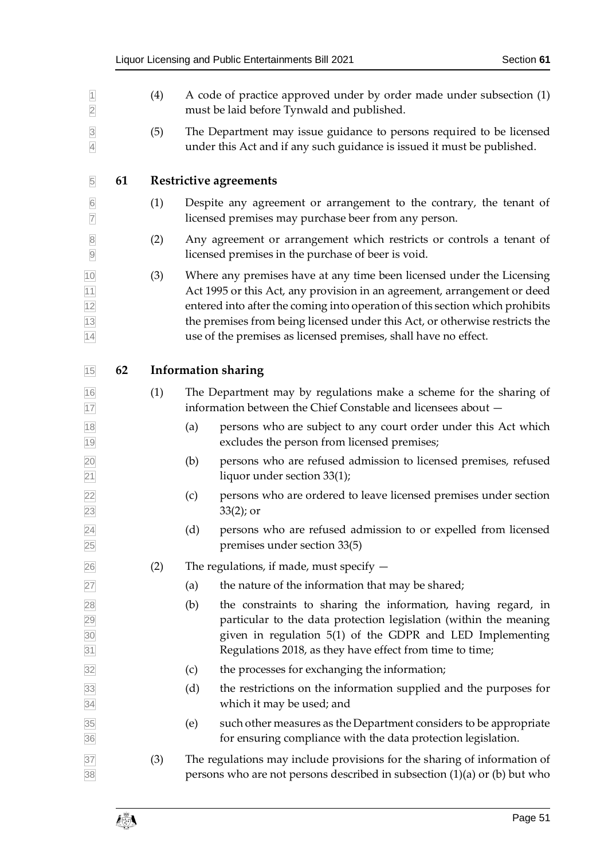<span id="page-50-1"></span><span id="page-50-0"></span>

| $\vert$ 1<br>$\overline{2}$                                     |    | (4) | A code of practice approved under by order made under subsection (1)<br>must be laid before Tynwald and published.                              |                                                                                                                                                                                                                                                                                                                                                                                     |
|-----------------------------------------------------------------|----|-----|-------------------------------------------------------------------------------------------------------------------------------------------------|-------------------------------------------------------------------------------------------------------------------------------------------------------------------------------------------------------------------------------------------------------------------------------------------------------------------------------------------------------------------------------------|
| $\overline{3}$<br>$\overline{4}$                                |    | (5) | The Department may issue guidance to persons required to be licensed<br>under this Act and if any such guidance is issued it must be published. |                                                                                                                                                                                                                                                                                                                                                                                     |
| $\overline{5}$                                                  | 61 |     |                                                                                                                                                 | Restrictive agreements                                                                                                                                                                                                                                                                                                                                                              |
| $\overline{6}$<br>$\overline{7}$                                |    | (1) |                                                                                                                                                 | Despite any agreement or arrangement to the contrary, the tenant of<br>licensed premises may purchase beer from any person.                                                                                                                                                                                                                                                         |
| $\overline{8}$<br>$\overline{9}$                                |    | (2) |                                                                                                                                                 | Any agreement or arrangement which restricts or controls a tenant of<br>licensed premises in the purchase of beer is void.                                                                                                                                                                                                                                                          |
| $\frac{10}{11}$ $\frac{11}{12}$ $\frac{12}{13}$ $\frac{14}{14}$ |    | (3) |                                                                                                                                                 | Where any premises have at any time been licensed under the Licensing<br>Act 1995 or this Act, any provision in an agreement, arrangement or deed<br>entered into after the coming into operation of this section which prohibits<br>the premises from being licensed under this Act, or otherwise restricts the<br>use of the premises as licensed premises, shall have no effect. |
| $15$                                                            | 62 |     |                                                                                                                                                 | <b>Information sharing</b>                                                                                                                                                                                                                                                                                                                                                          |
| $\frac{16}{17}$                                                 |    | (1) |                                                                                                                                                 | The Department may by regulations make a scheme for the sharing of<br>information between the Chief Constable and licensees about -                                                                                                                                                                                                                                                 |
| 18<br>19                                                        |    |     | (a)                                                                                                                                             | persons who are subject to any court order under this Act which<br>excludes the person from licensed premises;                                                                                                                                                                                                                                                                      |
| 20<br>$\overline{21}$                                           |    |     | (b)                                                                                                                                             | persons who are refused admission to licensed premises, refused<br>liquor under section 33(1);                                                                                                                                                                                                                                                                                      |
| $\frac{22}{23}$                                                 |    |     | (c)                                                                                                                                             | persons who are ordered to leave licensed premises under section<br>$33(2)$ ; or                                                                                                                                                                                                                                                                                                    |
| $\frac{24}{25}$                                                 |    |     | (d)                                                                                                                                             | persons who are refused admission to or expelled from licensed<br>premises under section 33(5)                                                                                                                                                                                                                                                                                      |
| 26                                                              |    | (2) |                                                                                                                                                 | The regulations, if made, must specify $-$                                                                                                                                                                                                                                                                                                                                          |
| 27                                                              |    |     | (a)                                                                                                                                             | the nature of the information that may be shared;                                                                                                                                                                                                                                                                                                                                   |
| 28<br>29<br>30<br>31                                            |    |     | (b)                                                                                                                                             | the constraints to sharing the information, having regard, in<br>particular to the data protection legislation (within the meaning<br>given in regulation 5(1) of the GDPR and LED Implementing<br>Regulations 2018, as they have effect from time to time;                                                                                                                         |
| 32                                                              |    |     | (c)                                                                                                                                             | the processes for exchanging the information;                                                                                                                                                                                                                                                                                                                                       |
| 33<br>34                                                        |    |     | (d)                                                                                                                                             | the restrictions on the information supplied and the purposes for<br>which it may be used; and                                                                                                                                                                                                                                                                                      |
| 35<br>36                                                        |    |     | (e)                                                                                                                                             | such other measures as the Department considers to be appropriate<br>for ensuring compliance with the data protection legislation.                                                                                                                                                                                                                                                  |
| 37<br>38                                                        |    | (3) |                                                                                                                                                 | The regulations may include provisions for the sharing of information of<br>persons who are not persons described in subsection $(1)(a)$ or $(b)$ but who                                                                                                                                                                                                                           |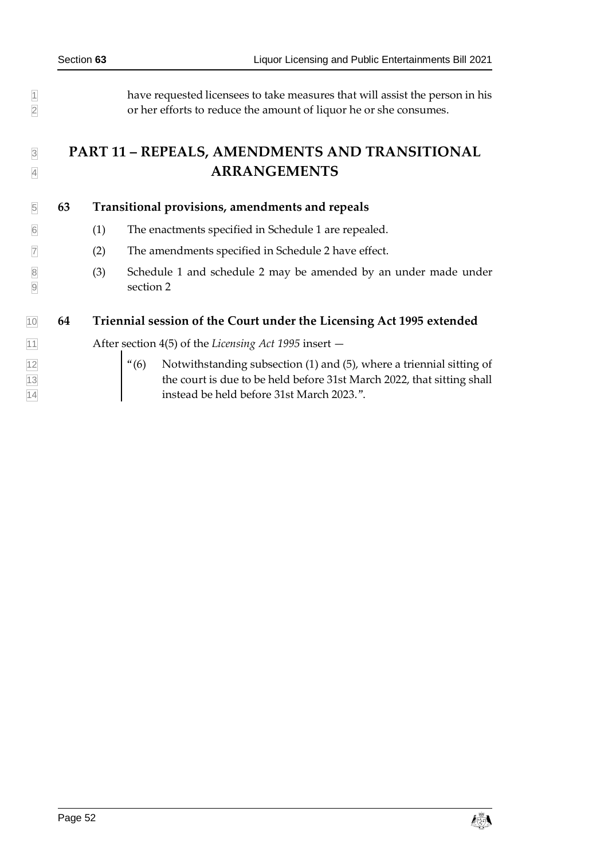have requested licensees to take measures that will assist the person in his or her efforts to reduce the amount of liquor he or she consumes.

# <span id="page-51-0"></span> **PART 11 – REPEALS, AMENDMENTS AND TRANSITIONAL 4 <b>ARRANGEMENTS**

#### <span id="page-51-1"></span>**63 Transitional provisions, amendments and repeals**

- <span id="page-51-3"></span>(1) The enactments specified in Schedule 1 are repealed.
- <span id="page-51-4"></span> $\sqrt{7}$  (2) The amendments specified in Schedule 2 have effect.
- (3) Schedule 1 and schedule 2 may be amended by an under made under sectio[n 2](#page-12-2)

## <span id="page-51-2"></span>**64 Triennial session of the Court under the Licensing Act 1995 extended**

After section 4(5) of the *Licensing Act 1995* insert —

 $\left| \begin{array}{cc} \frac{1}{2} \end{array} \right|$  "(6) Notwithstanding subsection (1) and (5), where a triennial sitting of 13 the court is due to be held before 31st March 2022, that sitting shall instead be held before 31st March 2023.".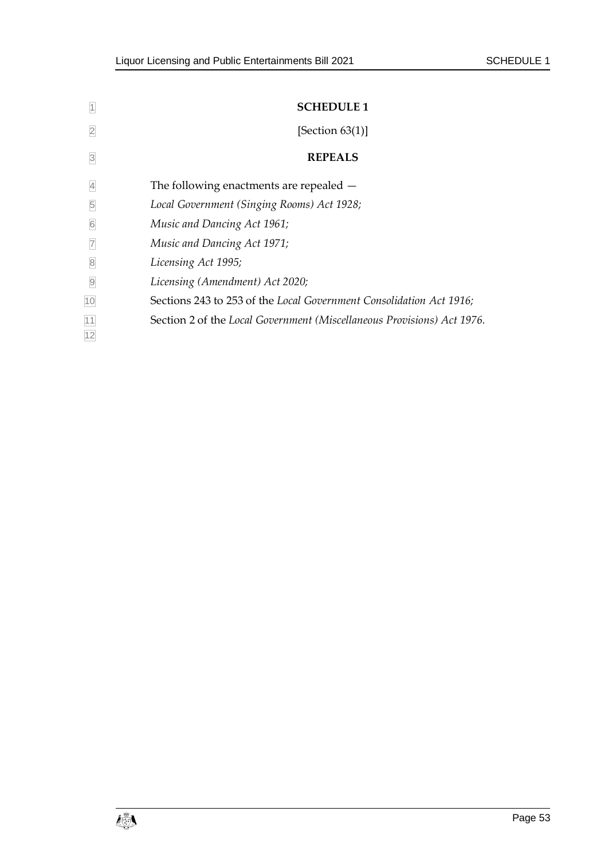<span id="page-52-1"></span><span id="page-52-0"></span>

| 1               | <b>SCHEDULE 1</b>                                                      |
|-----------------|------------------------------------------------------------------------|
|                 | [Section $63(1)$ ]                                                     |
| $\beta$         | <b>REPEALS</b>                                                         |
| $\vert 4 \vert$ | The following enactments are repealed $-$                              |
| 5               | Local Government (Singing Rooms) Act 1928;                             |
| $\sqrt{6}$      | Music and Dancing Act 1961;                                            |
| $\overline{7}$  | Music and Dancing Act 1971;                                            |
| $\delta$        | Licensing Act 1995;                                                    |
| $\Theta$        | Licensing (Amendment) Act 2020;                                        |
| 10              | Sections 243 to 253 of the Local Government Consolidation Act 1916;    |
| 11<br>12        | Section 2 of the Local Government (Miscellaneous Provisions) Act 1976. |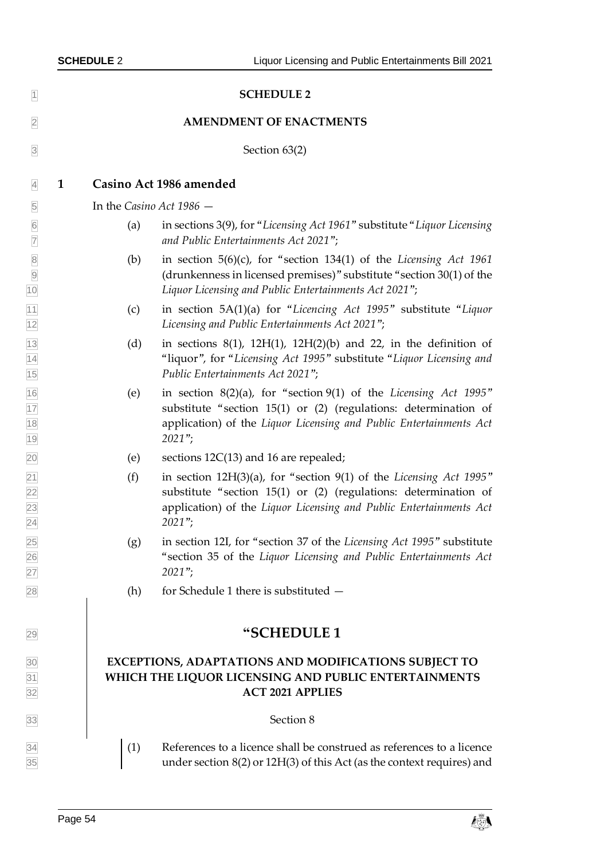<span id="page-53-1"></span><span id="page-53-0"></span>

| $\vert$ 1                                             |                          | <b>SCHEDULE 2</b>                                                                                                                                                                                                        |  |  |  |  |
|-------------------------------------------------------|--------------------------|--------------------------------------------------------------------------------------------------------------------------------------------------------------------------------------------------------------------------|--|--|--|--|
| $\overline{2}$                                        |                          | <b>AMENDMENT OF ENACTMENTS</b>                                                                                                                                                                                           |  |  |  |  |
| $\overline{3}$                                        |                          | Section 63(2)                                                                                                                                                                                                            |  |  |  |  |
| $\overline{4}$                                        | 1                        | Casino Act 1986 amended                                                                                                                                                                                                  |  |  |  |  |
| $\overline{5}$                                        | In the Casino Act 1986 - |                                                                                                                                                                                                                          |  |  |  |  |
| $6\overline{6}$<br>$\overline{7}$                     | (a)                      | in sections 3(9), for "Licensing Act 1961" substitute "Liquor Licensing<br>and Public Entertainments Act 2021";                                                                                                          |  |  |  |  |
| 8<br>9<br>10<br>10                                    | (b)                      | in section $5(6)(c)$ , for "section 134(1) of the Licensing Act 1961<br>(drunkenness in licensed premises)" substitute "section 30(1) of the<br>Liquor Licensing and Public Entertainments Act 2021";                    |  |  |  |  |
|                                                       | (c)                      | in section 5A(1)(a) for "Licencing Act 1995" substitute "Liquor<br>Licensing and Public Entertainments Act 2021";                                                                                                        |  |  |  |  |
| $\frac{11}{12}$<br>$\frac{13}{14}$<br>$\frac{14}{15}$ | (d)                      | in sections $8(1)$ , $12H(1)$ , $12H(2)(b)$ and 22, in the definition of<br>"liquor", for "Licensing Act 1995" substitute "Liquor Licensing and<br>Public Entertainments Act 2021";                                      |  |  |  |  |
| $\frac{16}{17}$<br>$\frac{18}{19}$                    | (e)                      | in section 8(2)(a), for "section 9(1) of the Licensing Act 1995"<br>substitute "section 15(1) or (2) (regulations: determination of<br>application) of the Liquor Licensing and Public Entertainments Act<br>$2021$ ";   |  |  |  |  |
|                                                       | (e)                      | sections $12C(13)$ and 16 are repealed;                                                                                                                                                                                  |  |  |  |  |
| $\frac{20}{21}$<br>$\frac{22}{23}$<br>$\frac{23}{24}$ | (f)                      | in section 12H(3)(a), for "section 9(1) of the Licensing Act 1995"<br>substitute "section 15(1) or (2) (regulations: determination of<br>application) of the Liquor Licensing and Public Entertainments Act<br>$2021$ "; |  |  |  |  |
| $\frac{25}{26}$ $\frac{27}{28}$                       | (g)                      | in section 12I, for "section 37 of the Licensing Act 1995" substitute<br>"section 35 of the Liquor Licensing and Public Entertainments Act<br>$2021$ ";                                                                  |  |  |  |  |
|                                                       | (h)                      | for Schedule 1 there is substituted -                                                                                                                                                                                    |  |  |  |  |
| 29                                                    |                          | "SCHEDULE 1                                                                                                                                                                                                              |  |  |  |  |
| $\frac{30}{31}$ $\frac{31}{32}$                       |                          | EXCEPTIONS, ADAPTATIONS AND MODIFICATIONS SUBJECT TO<br>WHICH THE LIQUOR LICENSING AND PUBLIC ENTERTAINMENTS<br><b>ACT 2021 APPLIES</b>                                                                                  |  |  |  |  |
| 33                                                    |                          | Section 8                                                                                                                                                                                                                |  |  |  |  |
| $\frac{34}{35}$                                       | (1)                      | References to a licence shall be construed as references to a licence<br>under section $8(2)$ or $12H(3)$ of this Act (as the context requires) and                                                                      |  |  |  |  |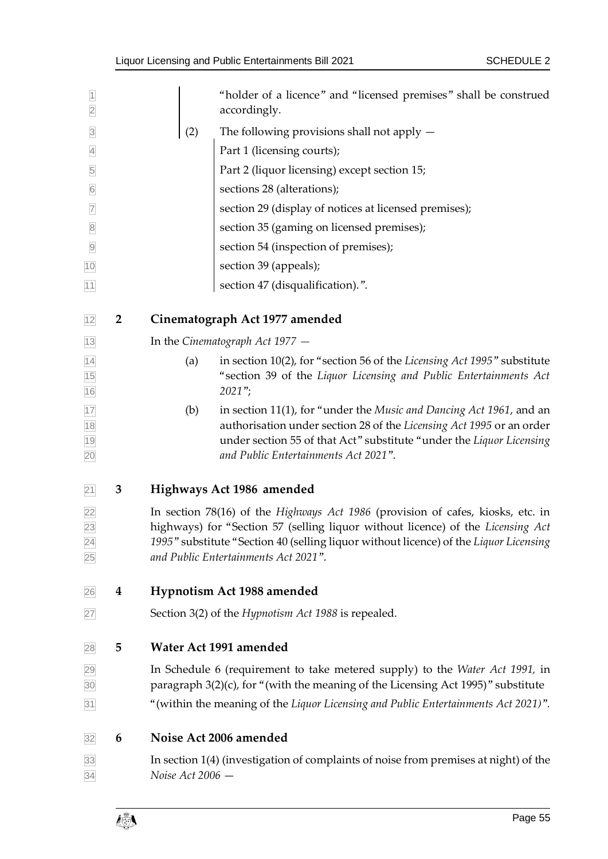| $\overline{1}$<br>$\overline{2}$   |                |                                                                                                                                                                                                                                                                                                     | "holder of a licence" and "licensed premises" shall be construed<br>accordingly.                                                                                                                                                                            |  |  |
|------------------------------------|----------------|-----------------------------------------------------------------------------------------------------------------------------------------------------------------------------------------------------------------------------------------------------------------------------------------------------|-------------------------------------------------------------------------------------------------------------------------------------------------------------------------------------------------------------------------------------------------------------|--|--|
| $\overline{3}$                     |                | (2)<br>The following provisions shall not apply $-$                                                                                                                                                                                                                                                 |                                                                                                                                                                                                                                                             |  |  |
| $\overline{4}$                     |                | Part 1 (licensing courts);                                                                                                                                                                                                                                                                          |                                                                                                                                                                                                                                                             |  |  |
| 5                                  |                |                                                                                                                                                                                                                                                                                                     | Part 2 (liquor licensing) except section 15;                                                                                                                                                                                                                |  |  |
| $6\,$                              |                |                                                                                                                                                                                                                                                                                                     | sections 28 (alterations);                                                                                                                                                                                                                                  |  |  |
| $\overline{7}$                     |                |                                                                                                                                                                                                                                                                                                     | section 29 (display of notices at licensed premises);                                                                                                                                                                                                       |  |  |
| $\overline{8}$                     |                |                                                                                                                                                                                                                                                                                                     | section 35 (gaming on licensed premises);                                                                                                                                                                                                                   |  |  |
| $\overline{9}$                     |                |                                                                                                                                                                                                                                                                                                     | section 54 (inspection of premises);                                                                                                                                                                                                                        |  |  |
| 10                                 |                |                                                                                                                                                                                                                                                                                                     | section 39 (appeals);                                                                                                                                                                                                                                       |  |  |
| 11                                 |                |                                                                                                                                                                                                                                                                                                     | section 47 (disqualification).".                                                                                                                                                                                                                            |  |  |
| 12                                 | $\overline{2}$ |                                                                                                                                                                                                                                                                                                     | Cinematograph Act 1977 amended                                                                                                                                                                                                                              |  |  |
| 13                                 |                |                                                                                                                                                                                                                                                                                                     | In the Cinematograph Act $1977 -$                                                                                                                                                                                                                           |  |  |
| $\frac{14}{15}$<br>$\frac{15}{16}$ |                | (a)                                                                                                                                                                                                                                                                                                 | in section 10(2), for "section 56 of the Licensing Act 1995" substitute<br>"section 39 of the Liquor Licensing and Public Entertainments Act                                                                                                                |  |  |
|                                    |                |                                                                                                                                                                                                                                                                                                     | $2021$ ";                                                                                                                                                                                                                                                   |  |  |
| 17<br>18<br>19<br>20               |                | (b)                                                                                                                                                                                                                                                                                                 | in section 11(1), for "under the Music and Dancing Act 1961, and an<br>authorisation under section 28 of the Licensing Act 1995 or an order<br>under section 55 of that Act" substitute "under the Liquor Licensing<br>and Public Entertainments Act 2021". |  |  |
| $\overline{21}$                    | 3              |                                                                                                                                                                                                                                                                                                     | Highways Act 1986 amended                                                                                                                                                                                                                                   |  |  |
| $\frac{22}{23}$<br>$\frac{24}{25}$ |                | In section 78(16) of the Highways Act 1986 (provision of cafes, kiosks, etc. in<br>highways) for "Section 57 (selling liquor without licence) of the Licensing Act<br>1995" substitute "Section 40 (selling liquor without licence) of the Liquor Licensing<br>and Public Entertainments Act 2021". |                                                                                                                                                                                                                                                             |  |  |
| 26                                 | 4              | Hypnotism Act 1988 amended                                                                                                                                                                                                                                                                          |                                                                                                                                                                                                                                                             |  |  |
| 27                                 |                |                                                                                                                                                                                                                                                                                                     | Section 3(2) of the Hypnotism Act 1988 is repealed.                                                                                                                                                                                                         |  |  |
| 28                                 | 5              | Water Act 1991 amended                                                                                                                                                                                                                                                                              |                                                                                                                                                                                                                                                             |  |  |
| 29<br>30                           |                | In Schedule 6 (requirement to take metered supply) to the Water Act 1991, in                                                                                                                                                                                                                        |                                                                                                                                                                                                                                                             |  |  |
|                                    |                |                                                                                                                                                                                                                                                                                                     | paragraph 3(2)(c), for "(with the meaning of the Licensing Act 1995)" substitute                                                                                                                                                                            |  |  |
| 31                                 |                |                                                                                                                                                                                                                                                                                                     | "(within the meaning of the Liquor Licensing and Public Entertainments Act 2021)".                                                                                                                                                                          |  |  |
| 32                                 | 6              |                                                                                                                                                                                                                                                                                                     | Noise Act 2006 amended                                                                                                                                                                                                                                      |  |  |
| 33                                 |                |                                                                                                                                                                                                                                                                                                     | In section 1(4) (investigation of complaints of noise from premises at night) of the                                                                                                                                                                        |  |  |
| 34                                 |                | Noise $Act$ 2006 $-$                                                                                                                                                                                                                                                                                |                                                                                                                                                                                                                                                             |  |  |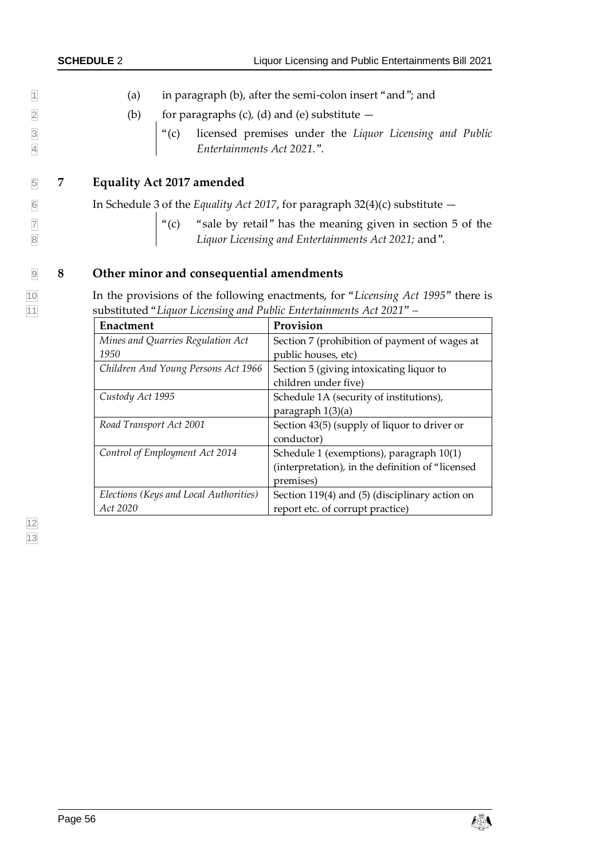|                                  | <b>SCHEDULE 2</b>                | Liquor Licensing and Public Entertainments Bill 2021                                                                                                            |
|----------------------------------|----------------------------------|-----------------------------------------------------------------------------------------------------------------------------------------------------------------|
| $\overline{1}$                   | (a)                              | in paragraph (b), after the semi-colon insert "and"; and                                                                                                        |
| $\overline{2}$                   |                                  |                                                                                                                                                                 |
| $\overline{3}$<br>$\overline{4}$ |                                  | (b) for paragraphs (c), (d) and (e) substitute $-$<br>"(c) licensed premises under the <i>Liquor Licensing and Public</i><br><i>Entertainments Act 2021."</i> . |
| $\overline{5}$                   | <b>Equality Act 2017 amended</b> |                                                                                                                                                                 |
| $\overline{6}$                   |                                  | In Schedule 3 of the Equality Act 2017, for paragraph 32(4)(c) substitute $-$                                                                                   |
| $\overline{7}$<br>$\mathbf 8$    |                                  | "(c) "sale by retail" has the meaning given in section 5 of the Liquor Licensing and Entertainments Act 2021; and".                                             |

# 9 **8 Other minor and consequential amendments**

10 In the provisions of the following enactments, for "*Licensing Act 1995*" there is 11 substituted "*Liquor Licensing and Public Entertainments Act 2021" –*

| Enactment                              | Provision                                        |
|----------------------------------------|--------------------------------------------------|
| Mines and Quarries Regulation Act      | Section 7 (prohibition of payment of wages at    |
| 1950                                   | public houses, etc)                              |
| Children And Young Persons Act 1966    | Section 5 (giving intoxicating liquor to         |
|                                        | children under five)                             |
| Custody Act 1995                       | Schedule 1A (security of institutions),          |
|                                        | paragraph 1(3)(a)                                |
| Road Transport Act 2001                | Section 43(5) (supply of liquor to driver or     |
|                                        | conductor)                                       |
| Control of Employment Act 2014         | Schedule 1 (exemptions), paragraph 10(1)         |
|                                        | (interpretation), in the definition of "licensed |
|                                        | premises)                                        |
| Elections (Keys and Local Authorities) | Section 119(4) and (5) (disciplinary action on   |
| Act 2020                               | report etc. of corrupt practice)                 |

12 13